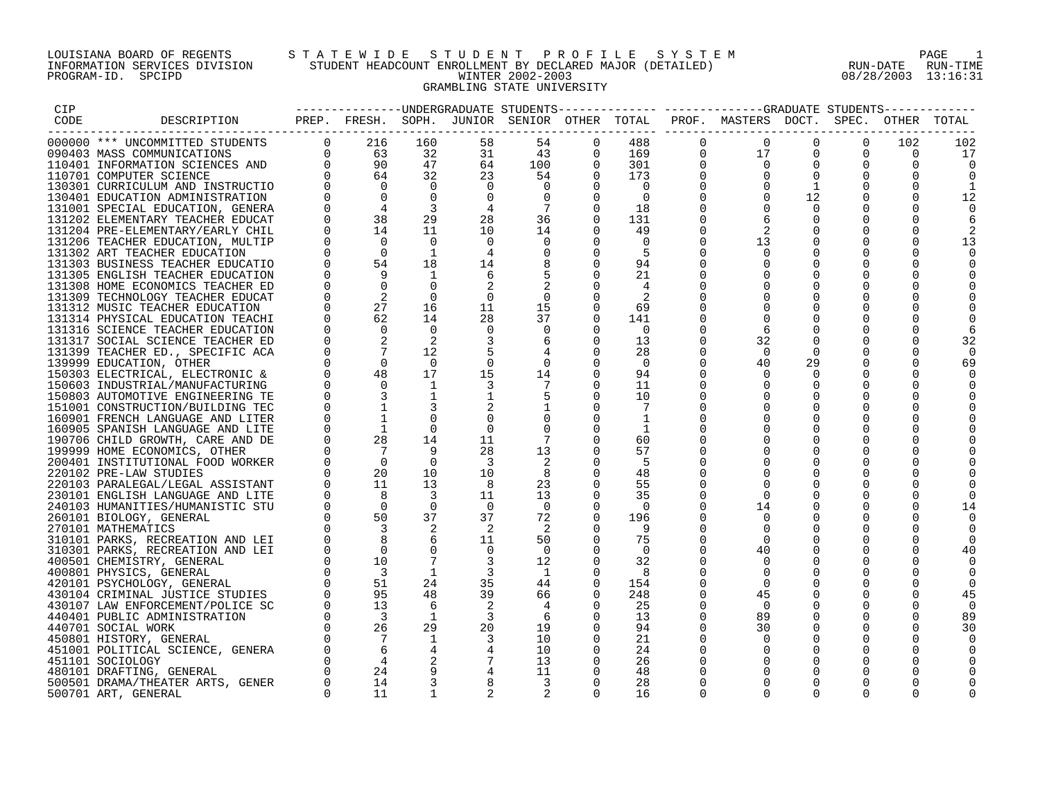## LOUISIANA BOARD OF REGENTS S T A T E W I D E S T U D E N T P R O F I L E S Y S T E M PAGE 1 INFORMATION SERVICES DIVISION STUDENT HEADCOUNT ENROLLMENT BY DECLARED MAJOR (DETAILED) RUN-DATE RUN-TIME PROGRAM-ID. SPCIPD WINTER 2002-2003 08/28/2003 13:16:31 GRAMBLING STATE UNIVERSITY

| CIP  |                                                                                                                                                                 |                |                                                     |                |                          |                          |                |                |             | --------------DNDERGRADUATE STUDENTS------------- -----------GRADUATE STUDENTS-    |                |             |             |     |
|------|-----------------------------------------------------------------------------------------------------------------------------------------------------------------|----------------|-----------------------------------------------------|----------------|--------------------------|--------------------------|----------------|----------------|-------------|------------------------------------------------------------------------------------|----------------|-------------|-------------|-----|
| CODE | DESCRIPTION                                                                                                                                                     |                |                                                     |                |                          |                          |                |                |             | PREP. FRESH. SOPH. JUNIOR SENIOR OTHER TOTAL PROF. MASTERS DOCT. SPEC. OTHER TOTAL |                |             |             |     |
|      |                                                                                                                                                                 |                |                                                     |                |                          |                          |                |                |             |                                                                                    |                |             |             |     |
|      | 000000 *** UNCOMMITTED STUDENTS                                                                                                                                 | $\overline{0}$ | 216                                                 | 160            | 58                       | 54                       | $\mathbf{0}$   | 488            | $\mathbf 0$ | $\Omega$                                                                           | $\mathbf 0$    | $\Omega$    | 102         | 102 |
|      | 090403 MASS COMMUNICATIONS                                                                                                                                      |                |                                                     | 32             | 31                       | 43                       | $\overline{0}$ | 169            | 0           | 17                                                                                 | $\Omega$       | $\Omega$    | $\mathbf 0$ | 17  |
|      |                                                                                                                                                                 |                | $\begin{array}{ccc}\n0 & 63 \\ 0 & 90\n\end{array}$ | 47             | 64                       | 100                      | $\Omega$       | 301            | $\Omega$    | $\Omega$                                                                           | $\Omega$       | $\Omega$    | $\Omega$    |     |
|      |                                                                                                                                                                 |                | 64                                                  | 32             |                          |                          | $\Omega$       |                | $\mathbf 0$ | $\overline{0}$                                                                     | $\mathbf 0$    | $\mathbf 0$ |             |     |
|      | 090403 MASS COMMUNICATIONS<br>110401 INFORMATION SCIENCES AND<br>110701 COMPUTER SCIENCE<br>130301 CURRICULUM AND INSTRUCTIO<br>130401 EDUCATION ADMINISTRATION |                |                                                     |                | 23                       | 54                       |                | 173            |             |                                                                                    |                |             | $\Omega$    |     |
|      |                                                                                                                                                                 |                | $\Omega$                                            | $\overline{0}$ | $\overline{0}$           | 0                        | $\Omega$       | $\overline{0}$ | $\Omega$    | $\Omega$                                                                           | $\mathbf{1}$   | $\Omega$    | $\Omega$    |     |
|      |                                                                                                                                                                 |                | $\Omega$                                            | $\overline{0}$ | $\overline{0}$           | $\Omega$                 | $\Omega$       | $\Omega$       | $\Omega$    | $\Omega$                                                                           | 12             | $\Omega$    | $\Omega$    | 12  |
|      | 131001 SPECIAL EDUCATION, GENERA                                                                                                                                |                | $\overline{4}$                                      | 3              | 4                        | 7                        | $\Omega$       | 18             | $\Omega$    | $\Omega$                                                                           | $\Omega$       | $\Omega$    | $\Omega$    |     |
|      | 131202 ELEMENTARY TEACHER EDUCAT                                                                                                                                |                | 38                                                  | 29             | 28                       | 36                       | $\Omega$       | 131            | $\Omega$    | -6                                                                                 | $\Omega$       | $\Omega$    | $\Omega$    |     |
|      | 131204 PRE-ELEMENTARY/EARLY CHIL                                                                                                                                |                | 14                                                  | 11             | 10                       | 14                       | $\Omega$       | 49             | $\Omega$    | 2                                                                                  | $\Omega$       | $\Omega$    | $\Omega$    |     |
|      | 131206 TEACHER EDUCATION, MULTIP                                                                                                                                |                | $\overline{0}$                                      | $\Omega$       | 0                        | 0                        | $\Omega$       | $\Omega$       | $\Omega$    | 13                                                                                 | 0              | 0           | 0           | 13  |
|      | 131302 ART TEACHER EDUCATION                                                                                                                                    |                | $\overline{0}$                                      | 1              | 4                        |                          | $\Omega$       | -5             |             | $\Omega$                                                                           | $\Omega$       | 0           | 0           |     |
|      | 131303 BUSINESS TEACHER EDUCATIO                                                                                                                                | $\Omega$       | 54                                                  | 18             | 14                       |                          | $\Omega$       | 94             | $\Omega$    | $\Omega$                                                                           | $\Omega$       | $\Omega$    | $\Omega$    |     |
|      |                                                                                                                                                                 |                | 9                                                   | 1              |                          |                          | $\Omega$       |                | $\Omega$    | $\Omega$                                                                           | $\Omega$       | $\Omega$    |             |     |
|      | 131305 ENGLISH TEACHER EDUCATION                                                                                                                                |                |                                                     |                | -6                       |                          |                | 21             |             |                                                                                    |                |             | 0           |     |
|      | 131308 HOME ECONOMICS TEACHER ED                                                                                                                                |                | $\Omega$                                            | $\Omega$       |                          |                          |                | 4              | $\Omega$    | $\Omega$                                                                           | $\Omega$       | $\Omega$    | $\Omega$    |     |
|      | 131309 TECHNOLOGY TEACHER EDUCAT                                                                                                                                |                | 2                                                   | $\Omega$       | 0                        | $\Omega$                 | $\Omega$       |                |             | $\Omega$                                                                           | $\Omega$       | $\Omega$    | $\Omega$    |     |
|      | 131312 MUSIC TEACHER EDUCATION                                                                                                                                  |                | 27                                                  | 16             | 11                       | 15                       | $\Omega$       | 69             |             | $\Omega$                                                                           | $\Omega$       | $\Omega$    |             |     |
|      | 131314 PHYSICAL EDUCATION TEACHI                                                                                                                                | $\Omega$       | 62                                                  | 14             | 28                       | 37                       | $\Omega$       | 141            | $\Omega$    | $\Omega$                                                                           | $\Omega$       | $\Omega$    | $\Omega$    |     |
|      | 131316 SCIENCE TEACHER EDUCATION                                                                                                                                |                | $\Omega$                                            | $\Omega$       | 0                        | $\overline{0}$           | $\Omega$       | $\Omega$       |             |                                                                                    |                | $\Omega$    | 0           |     |
|      | 131317 SOCIAL SCIENCE TEACHER ED                                                                                                                                |                |                                                     | 2              |                          | 6                        | $\Omega$       | 13             | $\Omega$    | 32                                                                                 | $\Omega$       | $\Omega$    | $\Omega$    | 32  |
|      | 131399 TEACHER ED., SPECIFIC ACA                                                                                                                                |                |                                                     | 12             |                          |                          | $\Omega$       | 28             | $\Omega$    | $\Omega$                                                                           | $\Omega$       | $\Omega$    | 0           |     |
|      |                                                                                                                                                                 |                | $\Omega$                                            | $\bigcap$      | $\Omega$                 | $\Omega$                 | $\Omega$       | $\bigcap$      | $\Omega$    | 40                                                                                 | 29             | $\Omega$    | $\Omega$    |     |
|      | 139999 EDUCATION, OTHER                                                                                                                                         |                | 48                                                  |                |                          |                          |                |                |             |                                                                                    |                |             |             | 69  |
|      | 150303 ELECTRICAL, ELECTRONIC &                                                                                                                                 |                |                                                     | 17             | 15                       | 14                       | $\overline{0}$ | 94             | $\Omega$    | $\Omega$                                                                           | $\overline{0}$ | 0           | 0           |     |
|      | 150603 INDUSTRIAL/MANUFACTURING                                                                                                                                 |                | $\Omega$                                            | $\mathbf{1}$   | 3                        |                          | $\Omega$       | 11             | $\Omega$    |                                                                                    | $\Omega$       | $\Omega$    | 0           |     |
|      | 150803 AUTOMOTIVE ENGINEERING TE                                                                                                                                |                |                                                     | $\mathbf{1}$   | $\mathbf{1}$             |                          |                | 10             | $\Omega$    | $\Omega$                                                                           | $\Omega$       | $\Omega$    | $\Omega$    |     |
|      | 151001 CONSTRUCTION/BUILDING TEC                                                                                                                                |                |                                                     |                |                          |                          |                | 7              | $\Omega$    | $\Omega$                                                                           | $\Omega$       | $\Omega$    |             |     |
|      | 160901 FRENCH LANGUAGE AND LITER                                                                                                                                |                |                                                     | $\Omega$       | $\Omega$                 |                          |                | 1              |             | $\Omega$                                                                           | $\Omega$       | $\Omega$    |             |     |
|      | 160905 SPANISH LANGUAGE AND LITE                                                                                                                                |                | <sup>1</sup>                                        | $\Omega$       | $\Omega$                 |                          |                | 1              |             | $\Omega$                                                                           | $\Omega$       | $\Omega$    | $\Omega$    |     |
|      | 190706 CHILD GROWTH, CARE AND DE                                                                                                                                |                | 28                                                  | 14             | 11                       |                          | $\Omega$       | 60             |             |                                                                                    | 0              | 0           |             |     |
|      | 199999 HOME ECONOMICS, OTHER                                                                                                                                    |                | $\overline{7}$                                      | -9             | 28                       | 13                       |                | 57             | $\Omega$    | $\Omega$                                                                           | $\Omega$       | 0           | O           |     |
|      |                                                                                                                                                                 |                | $\overline{0}$                                      | $\Omega$       | -3                       |                          |                | -5             | $\Omega$    | $\Omega$                                                                           | $\Omega$       | $\Omega$    | $\Omega$    |     |
|      | 200401 INSTITUTIONAL FOOD WORKER                                                                                                                                |                |                                                     |                |                          |                          |                |                |             |                                                                                    |                |             |             |     |
|      | 220102 PRE-LAW STUDIES                                                                                                                                          |                | 20                                                  | 10             | 10                       | 8                        |                | 48             | $\Omega$    | $\Omega$                                                                           | $\Omega$       | $\Omega$    | $\Omega$    |     |
|      | 220103 PARALEGAL/LEGAL ASSISTANT                                                                                                                                |                | 11                                                  | 13             | $_{\rm 8}$               | 23                       |                | 55             | $\Omega$    | $\Omega$                                                                           | $\Omega$       | $\Omega$    |             |     |
|      | 230101 ENGLISH LANGUAGE AND LITE                                                                                                                                |                | 8                                                   | $\overline{3}$ | 11                       | 13                       | $\Omega$       | 35             | $\Omega$    | $\Omega$                                                                           | $\Omega$       | $\Omega$    | $\Omega$    |     |
|      | 240103 HUMANITIES/HUMANISTIC STU                                                                                                                                |                | $\overline{0}$                                      | $\overline{0}$ | $\overline{0}$           | $\overline{0}$           | $\Omega$       | $\Omega$       | $\Omega$    | 14                                                                                 | $\Omega$       | $\Omega$    | 0           | 14  |
|      | 260101 BIOLOGY, GENERAL                                                                                                                                         | $\Omega$       | 50                                                  | 37             | 37                       | 72                       | $\Omega$       | 196            | $\Omega$    | $\Omega$                                                                           | $\Omega$       | $\Omega$    | $\Omega$    |     |
|      | 270101 MATHEMATICS                                                                                                                                              |                |                                                     | 2              | $\overline{2}$           | -2                       |                | -9             | $\Omega$    | $\Omega$                                                                           | 0              | 0           | $\Omega$    |     |
|      | 310101 PARKS, RECREATION AND LEI                                                                                                                                |                |                                                     | 6              | 11                       | 50                       | $\Omega$       | 75             | $\Omega$    | $\Omega$                                                                           | $\Omega$       | $\Omega$    | $\Omega$    |     |
|      | 310301 PARKS, RECREATION AND LEI                                                                                                                                |                | $\Omega$                                            | $\mathbf 0$    | $\overline{0}$           | $\overline{0}$           | $\Omega$       | $\Omega$       | $\Omega$    | 40                                                                                 | $\Omega$       | $\Omega$    | 0           | 40  |
|      | 400501 CHEMISTRY, GENERAL                                                                                                                                       | $\Omega$       | 10                                                  | 7              | $\overline{3}$           | 12                       | $\Omega$       | 32             | $\Omega$    | $\Omega$                                                                           | $\Omega$       | $\Omega$    |             |     |
|      |                                                                                                                                                                 | $\Omega$       | $\overline{\phantom{a}}$                            | $\mathbf{1}$   | $\overline{3}$           | $\overline{1}$           |                |                | $\Omega$    |                                                                                    |                |             |             |     |
|      | 400801 PHYSICS, GENERAL                                                                                                                                         |                |                                                     |                |                          |                          | 0              | -8             |             | $\mathbf 0$                                                                        | 0              | 0           | 0           |     |
|      | 420101 PSYCHOLOGY, GENERAL                                                                                                                                      |                | 51                                                  | 24             | 35                       | 44                       | $\mathbf{0}$   | 154            | $\Omega$    | $\Omega$                                                                           |                | 0           | 0           |     |
|      | 430104 CRIMINAL JUSTICE STUDIES                                                                                                                                 |                | 95                                                  | 48             | 39                       | 66                       |                | 248            | $\Omega$    | 45                                                                                 | $\Omega$       | $\Omega$    | $\Omega$    | 45  |
|      | 430107 LAW ENFORCEMENT/POLICE SC                                                                                                                                |                | 13                                                  | 6              |                          |                          | $\Omega$       | 25             | $\Omega$    | $\Omega$                                                                           | $\Omega$       | $\Omega$    | 0           |     |
|      | 440401 PUBLIC ADMINISTRATION                                                                                                                                    |                | $\overline{\phantom{a}}$                            | $\mathbf{1}$   | $\overline{\phantom{a}}$ | -6                       | $\Omega$       | 13             | $\Omega$    | 89                                                                                 | $\Omega$       | $\Omega$    | $\Omega$    | 89  |
|      | 440701 SOCIAL WORK                                                                                                                                              |                | 26                                                  | 29             | 20                       | 19                       |                | 94             | $\Omega$    | 30                                                                                 | $\mathbf{0}$   | $\Omega$    | $\Omega$    | 30  |
|      | 450801 HISTORY, GENERAL                                                                                                                                         |                | $\overline{7}$                                      | $\mathbf{1}$   | $\overline{3}$           | 10                       | $\Omega$       | 21             | $\Omega$    | $\Omega$                                                                           | 0              | 0           | 0           |     |
|      | 451001 POLITICAL SCIENCE, GENERA                                                                                                                                |                | 6                                                   |                |                          | 10                       |                | 24             | $\Omega$    | $\Omega$                                                                           | $\Omega$       | 0           | $\Omega$    |     |
|      | 451101 SOCIOLOGY                                                                                                                                                |                | $\overline{4}$                                      |                | $\overline{7}$           | 13                       |                | 26             | $\Omega$    | $\Omega$                                                                           | $\Omega$       | $\Omega$    |             |     |
|      |                                                                                                                                                                 |                |                                                     |                |                          |                          |                |                |             |                                                                                    |                |             |             |     |
|      | 480101 DRAFTING, GENERAL                                                                                                                                        |                | 24                                                  | 9              | $\overline{4}$           | 11                       | $\Omega$       | 48             | $\Omega$    | $\Omega$                                                                           | $\Omega$       | $\Omega$    |             |     |
|      | 500501 DRAMA/THEATER ARTS, GENER                                                                                                                                | $\Omega$       | 14                                                  |                | 8                        | $\overline{\phantom{a}}$ | $\Omega$       | 28             | $\Omega$    | $\Omega$                                                                           | $\Omega$       | $\Omega$    |             |     |
|      | 500701 ART, GENERAL                                                                                                                                             | $\Omega$       | 11                                                  | 1              | $\overline{2}$           |                          | $\Omega$       | 16             | $\Omega$    | $\Omega$                                                                           | $\cap$         | $\Omega$    |             |     |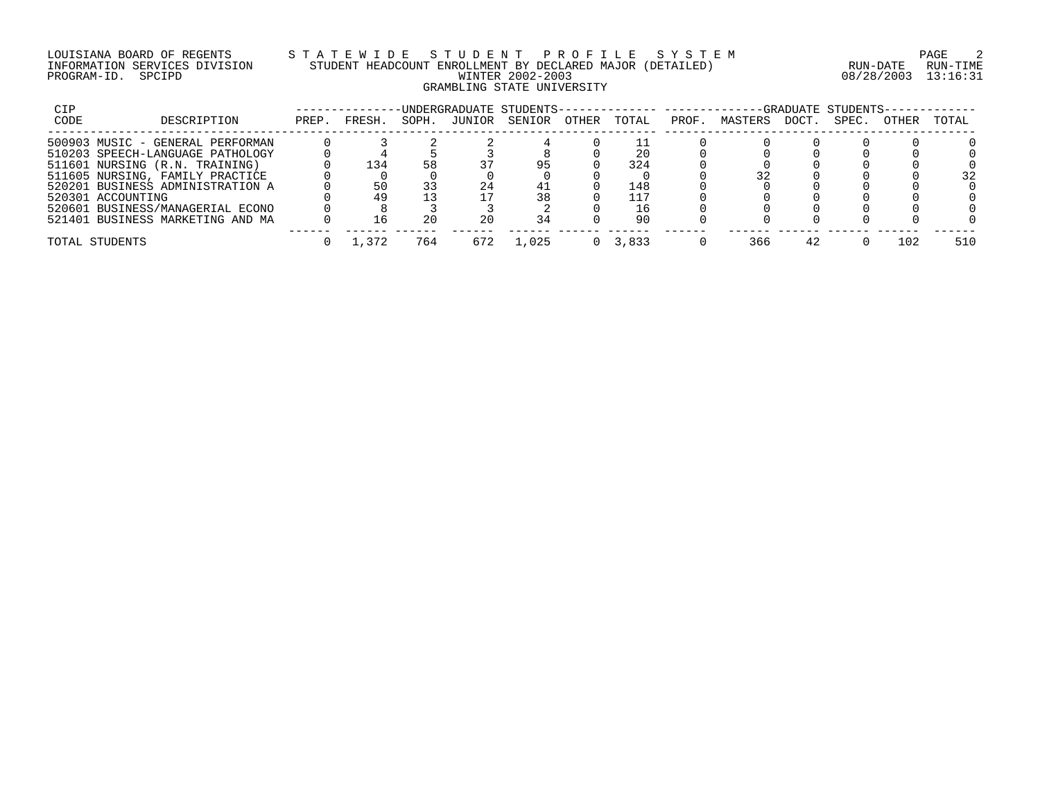## LOUISIANA BOARD OF REGENTS S T A T E W I D E S T U D E N T P R O F I L E S Y S T E M PAGE 2 INFORMATION SERVICES DIVISION STUDENT HEADCOUNT ENROLLMENT BY DECLARED MAJOR (DETAILED) RUN-DATE RUN-TIME PROGRAM-ID. SPCIPD WINTER 2002-2003 08/28/2003 13:16:31 GRAMBLING STATE UNIVERSITY

| CIP  |                                  |       |         |       |        | -UNDERGRADUATE STUDENTS-- |       |       |      |         |       | -GRADUATE STUDENTS- |       |       |
|------|----------------------------------|-------|---------|-------|--------|---------------------------|-------|-------|------|---------|-------|---------------------|-------|-------|
| CODE | DESCRIPTION                      | PREP. | FRESH.  | SOPH. | JUNIOR | SENIOR                    | OTHER | TOTAL | PROF | MASTERS | DOCT. | SPEC.               | OTHER | TOTAL |
|      | 500903 MUSIC - GENERAL PERFORMAN |       |         |       |        |                           |       |       |      |         |       |                     |       |       |
|      | 510203 SPEECH-LANGUAGE PATHOLOGY |       |         |       |        |                           |       | 20    |      |         |       |                     |       |       |
|      | 511601 NURSING (R.N. TRAINING)   |       | 134     | 58    |        |                           |       | 324   |      |         |       |                     |       |       |
|      | 511605 NURSING, FAMILY PRACTICE  |       |         |       |        |                           |       |       |      |         |       |                     |       | 32    |
|      | 520201 BUSINESS ADMINISTRATION A |       |         |       | 24     |                           |       | 148   |      |         |       |                     |       |       |
|      | 520301 ACCOUNTING                |       | 49      |       |        | 38                        |       | 117   |      |         |       |                     |       |       |
|      | 520601 BUSINESS/MANAGERIAL ECONO |       |         |       |        |                           |       | 16    |      |         |       |                     |       |       |
|      | 521401 BUSINESS MARKETING AND MA |       | _რ      | 20    | 20     | 34                        |       | 90    |      |         |       |                     |       |       |
|      | TOTAL STUDENTS                   |       | . . 372 | 764   |        | L.O25                     |       | 3.833 |      | 366     | 42    |                     | 102   | 510   |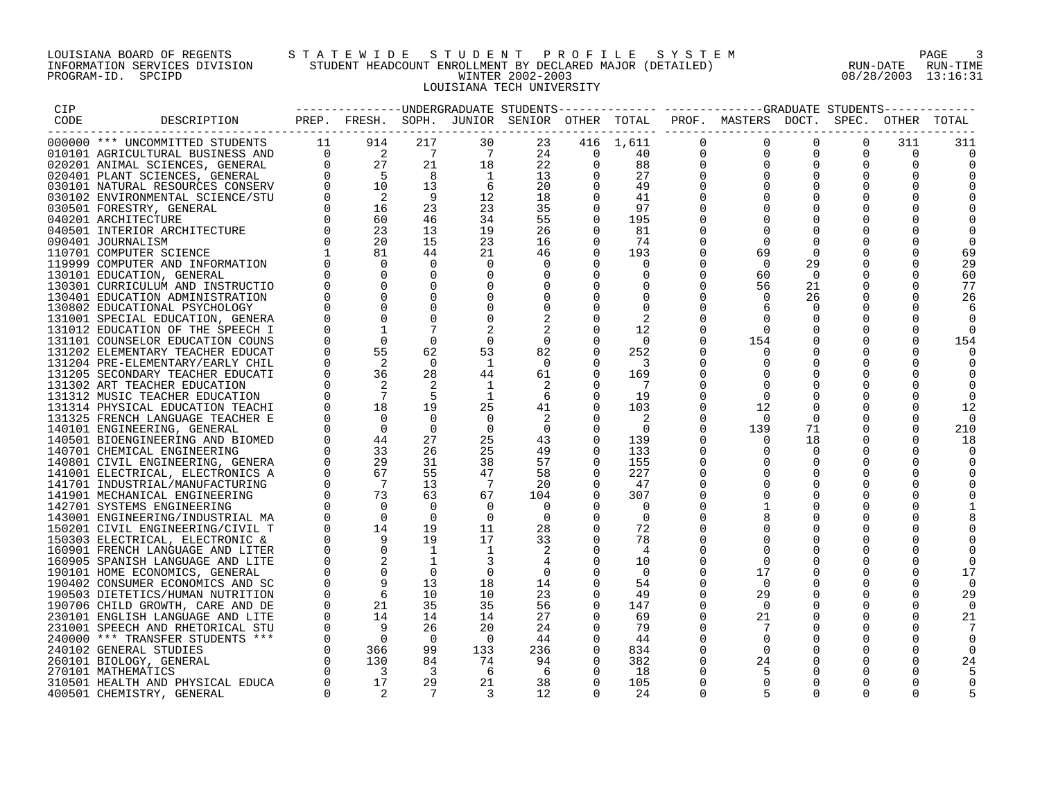## LOUISIANA BOARD OF REGENTS S T A T E W I D E S T U D E N T P R O F I L E S Y S T E M PAGE 3 INFORMATION SERVICES DIVISION STUDENT HEADCOUNT ENROLLMENT BY DECLARED MAJOR (DETAILED) RUN-DATE RUN-TIME PROGRAM-ID. SPCIPD WINTER 2002-2003 08/28/2003 13:16:31 LOUISIANA TECH UNIVERSITY

| CIP  |                                                                                                                                                                                                                                                     |             |                            |                         |                | ---------------UNDERGRADUATE STUDENTS        |          |                         |              | -------------GRADUATE STUDENTS------  |             |             |              |     |
|------|-----------------------------------------------------------------------------------------------------------------------------------------------------------------------------------------------------------------------------------------------------|-------------|----------------------------|-------------------------|----------------|----------------------------------------------|----------|-------------------------|--------------|---------------------------------------|-------------|-------------|--------------|-----|
| CODE | DESCRIPTION                                                                                                                                                                                                                                         |             |                            |                         |                | PREP. FRESH. SOPH. JUNIOR SENIOR OTHER TOTAL |          |                         |              | PROF. MASTERS DOCT. SPEC. OTHER TOTAL |             |             |              |     |
|      |                                                                                                                                                                                                                                                     |             |                            |                         |                |                                              |          |                         |              |                                       |             |             |              |     |
|      | 000000 *** UNCOMMITTED STUDENTS                                                                                                                                                                                                                     | 11          | 914                        | 217                     | 30             | 23                                           |          | 416 1,611               | $\mathbf{0}$ | $\mathbf 0$                           | $\Omega$    | $\Omega$    | 311          | 311 |
|      | 010101 AGRICULTURAL BUSINESS AND                                                                                                                                                                                                                    | $\Omega$    | $\frac{2}{27}$             | $\overline{7}$          | 7              | 24                                           | $\Omega$ | 40                      | $\mathbf 0$  | $\Omega$                              | $\Omega$    | $\Omega$    | $\Omega$     |     |
|      | 010101 AGRICULTURAL BUSINESS AND<br>020201 ANIMAL SCIENCES, GENERAL<br>020401 PLANT SCIENCES, GENERAL<br>030101 NATURAL RESOURCES CONSERV<br>030102 ENVIRONMENTAL SCIENCE/STU<br>030501 FORESTRY, GENERAL<br>040201 ARCHITECTURE<br>040501 INTERIOR | $\Omega$    |                            | 21                      | 18             | 22                                           | $\Omega$ | 88                      | $\Omega$     | $\Omega$                              | $\Omega$    | $\Omega$    | $\Omega$     |     |
|      |                                                                                                                                                                                                                                                     |             | $5^{\circ}$                | 8                       | $\overline{1}$ | 13                                           |          | 27                      | $\Omega$     | $\Omega$                              | $\Omega$    | $\Omega$    | $\Omega$     |     |
|      |                                                                                                                                                                                                                                                     |             | 10                         | 13                      | -6             | 20                                           | $\Omega$ | 49                      |              |                                       | $\Omega$    | $\Omega$    | $\Omega$     |     |
|      |                                                                                                                                                                                                                                                     |             | $\overline{\phantom{0}}^2$ | - 9                     | 12             | 18                                           | $\Omega$ | 41                      | $\Omega$     | $\Omega$                              | $\Omega$    | $\Omega$    | $\Omega$     |     |
|      |                                                                                                                                                                                                                                                     |             | 16                         | 23                      | 23             | 35                                           | $\Omega$ | 97                      | $\Omega$     | $\Omega$                              | $\Omega$    | $\Omega$    | $\Omega$     |     |
|      |                                                                                                                                                                                                                                                     |             | 60                         | 46                      | 34             | 55                                           | $\Omega$ | 195                     |              | $\Omega$                              | $\Omega$    | $\Omega$    | 0            |     |
|      |                                                                                                                                                                                                                                                     |             | 23                         | 13                      | 19             | 26                                           |          | 81                      |              | $\Omega$                              | $\Omega$    | $\Omega$    |              |     |
|      |                                                                                                                                                                                                                                                     |             | 20                         | 15                      | 23             | 16                                           | $\Omega$ | 74                      | $\Omega$     | $\Omega$                              | $\Omega$    | $\Omega$    | U            |     |
|      | 110701 COMPUTER SCIENCE                                                                                                                                                                                                                             |             | 81                         | 44                      | 21             | 46                                           | $\Omega$ | 193                     |              | 69                                    | $\Omega$    | $\Omega$    |              | 69  |
|      | 119999 COMPUTER AND INFORMATION                                                                                                                                                                                                                     |             | $\Omega$                   | $\Omega$                | $\Omega$       |                                              | $\Omega$ | $\Omega$                | $\Omega$     | $\Omega$                              | 29          | 0           | $\Omega$     | 29  |
|      | 130101 EDUCATION, GENERAL                                                                                                                                                                                                                           |             | $\Omega$                   | $\Omega$                |                |                                              |          | 0                       | $\Omega$     | 60                                    | 0           | 0           | 0            | 60  |
|      | 130301 CURRICULUM AND INSTRUCTIO                                                                                                                                                                                                                    |             |                            |                         |                |                                              |          |                         | $\Omega$     | 56                                    | 21          | $\Omega$    | $\Omega$     | 77  |
|      | 130401 EDUCATION ADMINISTRATION                                                                                                                                                                                                                     |             |                            | $\Omega$                |                |                                              |          | $\Omega$                | 0            | $\Omega$                              | 26          | $\Omega$    | $\Omega$     | 26  |
|      | 130802 EDUCATIONAL PSYCHOLOGY                                                                                                                                                                                                                       |             | $\Omega$                   | $\Omega$                |                |                                              |          | $\Omega$                |              |                                       | $\Omega$    | $\Omega$    | $\cap$       |     |
|      | 131001 SPECIAL EDUCATION, GENERA                                                                                                                                                                                                                    |             |                            |                         | $\Omega$       |                                              |          |                         | $\Omega$     | $\Omega$                              | $\Omega$    | $\Omega$    | $\Omega$     |     |
|      |                                                                                                                                                                                                                                                     |             |                            |                         |                |                                              |          | 12                      | $\Omega$     | $\Omega$                              | $\mathbf 0$ | $\mathbf 0$ | 0            |     |
|      | 131012 EDUCATION OF THE SPEECH I                                                                                                                                                                                                                    |             |                            |                         |                |                                              |          |                         |              |                                       |             |             |              |     |
|      | 131101 COUNSELOR EDUCATION COUNS                                                                                                                                                                                                                    | $\Omega$    | $\Omega$                   | $\Omega$                | $\Omega$       | $\overline{0}$                               |          | $\Omega$                | $\Omega$     | 154                                   | $\Omega$    | 0           | $\Omega$     | 154 |
|      | 131202 ELEMENTARY TEACHER EDUCAT                                                                                                                                                                                                                    | $\Omega$    | 55                         | 62                      | 53             | 82                                           | $\Omega$ | 252                     | $\Omega$     | $\Omega$                              | $\Omega$    | $\Omega$    | $\Omega$     |     |
|      | 131204 PRE-ELEMENTARY/EARLY CHIL                                                                                                                                                                                                                    | $\Omega$    | 2                          | $\Omega$                | -1             | $\Omega$                                     | $\Omega$ | $\overline{\mathbf{3}}$ |              | $\Omega$                              | $\Omega$    | $\Omega$    | $\Omega$     |     |
|      | 131205 SECONDARY TEACHER EDUCATI                                                                                                                                                                                                                    |             | 36                         | 28                      | 44             | 61                                           | $\Omega$ | 169                     | $\Omega$     | $\Omega$                              | $\Omega$    | $\Omega$    | $\Omega$     |     |
|      | 131302 ART TEACHER EDUCATION                                                                                                                                                                                                                        |             |                            |                         | 1              |                                              |          | 7                       | $\Omega$     | $\Omega$                              | $\Omega$    | $\Omega$    | 0            |     |
|      | 131312 MUSIC TEACHER EDUCATION                                                                                                                                                                                                                      |             |                            | 5                       | <sup>1</sup>   | 6                                            | $\Omega$ | 19                      | $\Omega$     | $\Omega$                              | $\Omega$    | $\Omega$    | $\Omega$     |     |
|      | 131314 PHYSICAL EDUCATION TEACHI                                                                                                                                                                                                                    |             | 18                         | 19                      | 25             | 41                                           | $\Omega$ | 103                     | $\Omega$     | 12                                    | $\Omega$    | $\Omega$    | 0            | 12  |
|      | 131325 FRENCH LANGUAGE TEACHER E                                                                                                                                                                                                                    | $\Omega$    | $\Omega$                   | $\Omega$                | $\Omega$       | 2                                            |          | 2                       | $\Omega$     | $\overline{0}$                        | $\Omega$    | $\Omega$    | $\Omega$     |     |
|      | 140101 ENGINEERING, GENERAL                                                                                                                                                                                                                         |             | $\Omega$                   | $\Omega$                | $\overline{0}$ | $\overline{0}$                               |          | $\Omega$                | $\Omega$     | 139                                   | 71          | 0           | 0            | 210 |
|      | 140501 BIOENGINEERING AND BIOMED                                                                                                                                                                                                                    |             | 44                         | 27                      | 25             | 43                                           |          | 139                     | $\Omega$     | $\Omega$                              | 18          | $\Omega$    | $\Omega$     | 18  |
|      | 140701 CHEMICAL ENGINEERING                                                                                                                                                                                                                         |             | 33                         | 26                      | 25             | 49                                           |          | 133                     | $\Omega$     | $\Omega$                              | $\Omega$    | $\Omega$    | $\Omega$     |     |
|      | 140801 CIVIL ENGINEERING, GENERA                                                                                                                                                                                                                    | $\Omega$    | 29                         | 31                      | 38             | 57                                           | $\Omega$ | 155                     | $\Omega$     | $\Omega$                              | $\Omega$    | $\Omega$    | $\Omega$     |     |
|      | 141001 ELECTRICAL, ELECTRONICS A                                                                                                                                                                                                                    | $\Omega$    | 67                         | 55                      | 47             | 58                                           | $\Omega$ | 227                     | $\Omega$     | $\Omega$                              | $\Omega$    | $\Omega$    | $\Omega$     |     |
|      | 141701 INDUSTRIAL/MANUFACTURING                                                                                                                                                                                                                     |             | $\overline{7}$             | 13                      | 7              | 20                                           |          | 47                      | $\Omega$     | $\Omega$                              | 0           | 0           | O            |     |
|      | 141901 MECHANICAL ENGINEERING                                                                                                                                                                                                                       |             | 73                         | 63                      | 67             | 104                                          | $\Omega$ | 307                     | $\Omega$     | $\Omega$                              | $\Omega$    | $\Omega$    | O            |     |
|      | 142701 SYSTEMS ENGINEERING                                                                                                                                                                                                                          |             | $\Omega$                   | $\Omega$                | $\Omega$       | $\Omega$                                     |          | $\Omega$                |              |                                       | $\Omega$    | $\Omega$    |              |     |
|      | 143001 ENGINEERING/INDUSTRIAL MA                                                                                                                                                                                                                    | $\Omega$    | $\overline{0}$             | $\overline{0}$          | $\Omega$       | $\overline{0}$                               | $\Omega$ | $\Omega$                |              |                                       | $\Omega$    | $\Omega$    | $\Omega$     |     |
|      | 150201 CIVIL ENGINEERING/CIVIL T                                                                                                                                                                                                                    |             | 14                         | 19                      | 11             | 28                                           | $\Omega$ | 72                      |              | $\Omega$                              | $\Omega$    | $\Omega$    | $\Omega$     |     |
|      | 150303 ELECTRICAL, ELECTRONIC &                                                                                                                                                                                                                     |             | 9                          | 19                      | 17             | 33                                           |          | 78                      |              | $\Omega$                              | $\Omega$    | $\Omega$    | $\Omega$     |     |
|      | 160901 FRENCH LANGUAGE AND LITER                                                                                                                                                                                                                    |             | $\Omega$                   | $\mathbf 1$             | 1              |                                              |          | 4                       |              | $\Omega$                              | $\Omega$    | $\Omega$    |              |     |
|      | 160905 SPANISH LANGUAGE AND LITE                                                                                                                                                                                                                    |             |                            | 1                       |                |                                              |          | 10                      |              | $\Omega$                              |             | $\Omega$    | <sup>0</sup> |     |
|      | 190101 HOME ECONOMICS, GENERAL                                                                                                                                                                                                                      | $\Omega$    |                            | $\mathbf 0$             | $\overline{0}$ | 0                                            |          | $\Omega$                | $\Omega$     | 17                                    | 0           | 0           | 0            | 17  |
|      | 190402 CONSUMER ECONOMICS AND SC                                                                                                                                                                                                                    |             |                            | 13                      | 18             | 14                                           |          | 54                      | $\Omega$     | $\Omega$                              | $\Omega$    | $\Omega$    | O            |     |
|      | 190503 DIETETICS/HUMAN NUTRITION                                                                                                                                                                                                                    | $\mathbf 0$ | 6                          | 10                      | 10             | 23                                           |          | 49                      | $\Omega$     | 29                                    | $\Omega$    | $\Omega$    | $\Omega$     | 29  |
|      | 190706 CHILD GROWTH, CARE AND DE                                                                                                                                                                                                                    | $\Omega$    | 21                         | 35                      | 35             | 56                                           | $\Omega$ | 147                     | $\Omega$     | $\Omega$                              | $\Omega$    | $\Omega$    | $\Omega$     |     |
|      |                                                                                                                                                                                                                                                     | $\Omega$    | 14                         | 14                      |                |                                              | $\Omega$ |                         | $\Omega$     |                                       |             | $\Omega$    | $\Omega$     |     |
|      | 230101 ENGLISH LANGUAGE AND LITE                                                                                                                                                                                                                    |             |                            |                         | 14             | 27                                           |          | 69                      | $\Omega$     | 21                                    | $\Omega$    |             |              | 21  |
|      | 231001 SPEECH AND RHETORICAL STU                                                                                                                                                                                                                    |             | - 9                        | 26                      | 20             | 24                                           |          | 79                      |              | 7                                     | $\mathbf 0$ | $\mathbf 0$ | $\Omega$     |     |
|      | 240000 *** TRANSFER STUDENTS ***                                                                                                                                                                                                                    |             | $\overline{0}$             | $\Omega$                | $\overline{0}$ | 44                                           |          | 44                      | $\Omega$     | $\Omega$                              | $\Omega$    | 0           | $\Omega$     |     |
|      | 240102 GENERAL STUDIES                                                                                                                                                                                                                              |             | 366                        | 99                      | 133            | 236                                          |          | 834                     | $\Omega$     | $\Omega$                              | $\Omega$    | $\Omega$    | $\Omega$     |     |
|      | 260101 BIOLOGY, GENERAL                                                                                                                                                                                                                             | $\Omega$    | 130                        | 84                      | 74             | 94                                           |          | 382                     | $\Omega$     | 24                                    | $\Omega$    | $\Omega$    | $\Omega$     | 24  |
|      | 270101 MATHEMATICS                                                                                                                                                                                                                                  |             | $\overline{\phantom{a}}$   | $\overline{\mathbf{3}}$ | - 6            | -6                                           |          | 18                      | $\Omega$     | 5                                     | $\Omega$    | $\Omega$    |              |     |
|      | 310501 HEALTH AND PHYSICAL EDUCA                                                                                                                                                                                                                    |             | 17                         | 29                      | 21             | 38                                           | $\Omega$ | 105                     | $\Omega$     | $\Omega$                              | $\Omega$    | $\Omega$    |              |     |
|      | 400501 CHEMISTRY, GENERAL                                                                                                                                                                                                                           | $\Omega$    |                            |                         | $\mathcal{F}$  | 12                                           | $\Omega$ | 24                      | $\Omega$     | 5                                     | $\Omega$    | $\Omega$    | $\Omega$     |     |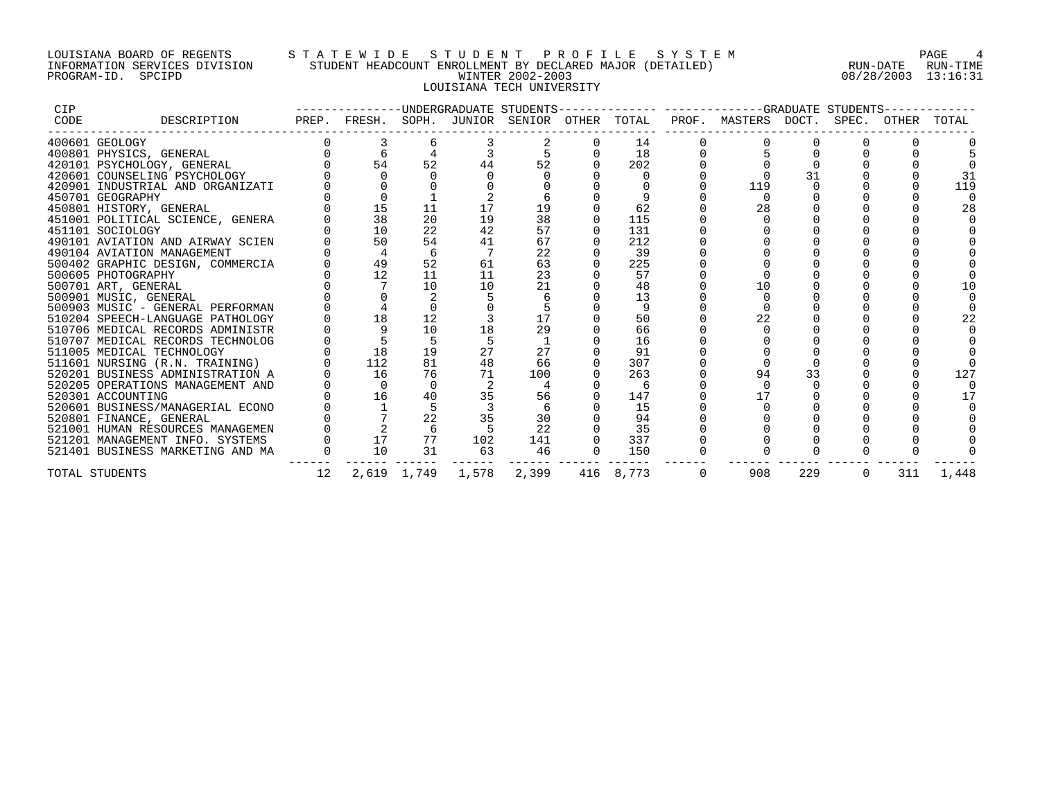## LOUISIANA BOARD OF REGENTS S T A T E W I D E S T U D E N T P R O F I L E S Y S T E M PAGE 4 INFORMATION SERVICES DIVISION STUDENT HEADCOUNT ENROLLMENT BY DECLARED MAJOR (DETAILED) RUN-DATE RUN-TIME PROGRAM-ID. SPCIPD WINTER 2002-2003 08/28/2003 13:16:31 LOUISIANA TECH UNIVERSITY

| <b>CIP</b> |                                  |    |                                              |             |       |       |           | -------------UNDERGRADUATE STUDENTS-------------- -------------GRADUATE STUDENTS- |     |          |     |       |
|------------|----------------------------------|----|----------------------------------------------|-------------|-------|-------|-----------|-----------------------------------------------------------------------------------|-----|----------|-----|-------|
| CODE       | DESCRIPTION                      |    | PREP. FRESH. SOPH. JUNIOR SENIOR OTHER TOTAL |             |       |       |           | PROF. MASTERS DOCT. SPEC. OTHER TOTAL                                             |     |          |     |       |
|            | 400601 GEOLOGY                   |    |                                              |             |       |       | 14        |                                                                                   |     |          |     |       |
|            | 400801 PHYSICS, GENERAL          |    |                                              |             |       |       | 18        |                                                                                   |     |          |     |       |
|            | 420101 PSYCHOLOGY, GENERAL       |    | 54                                           | 52          | 44    | 52    | 202       |                                                                                   |     |          |     |       |
|            | 420601 COUNSELING PSYCHOLOGY     |    |                                              |             |       |       |           |                                                                                   |     |          |     |       |
|            | 420901 INDUSTRIAL AND ORGANIZATI |    |                                              |             |       |       |           | 119                                                                               |     |          |     | 119   |
|            | 450701 GEOGRAPHY                 |    |                                              |             |       |       |           |                                                                                   |     |          |     |       |
|            | 450801 HISTORY, GENERAL          |    | 15                                           | 11          |       | 19    | 62        | 28                                                                                |     |          |     | 28    |
|            | 451001 POLITICAL SCIENCE, GENERA |    | 38                                           | 20          | 19    | 38    | 115       |                                                                                   |     |          |     |       |
|            | 451101 SOCIOLOGY                 |    | 10                                           | 22          | 42    | 57    | 131       |                                                                                   |     |          |     |       |
|            | 490101 AVIATION AND AIRWAY SCIEN |    | 50                                           | 54          | 41    | 67    | 212       |                                                                                   |     |          |     |       |
|            | 490104 AVIATION MANAGEMENT       |    |                                              | 6           |       | 22    | 39        |                                                                                   |     |          |     |       |
|            | 500402 GRAPHIC DESIGN, COMMERCIA |    | 49                                           | 52          | 61    | 63    | 225       |                                                                                   |     |          |     |       |
|            | 500605 PHOTOGRAPHY               |    | 12                                           | 11          | 11    | 23    | 57        |                                                                                   |     |          |     |       |
|            | 500701 ART, GENERAL              |    |                                              | 10          | 10    | 21    | 48        | 10                                                                                |     |          |     |       |
|            | 500901 MUSIC, GENERAL            |    |                                              |             |       |       | 13        |                                                                                   |     |          |     |       |
|            | 500903 MUSIC - GENERAL PERFORMAN |    |                                              |             |       |       |           |                                                                                   |     |          |     |       |
|            | 510204 SPEECH-LANGUAGE PATHOLOGY |    | 18                                           | 12          |       |       | 50        | 22                                                                                |     |          |     |       |
|            | 510706 MEDICAL RECORDS ADMINISTR |    |                                              | 10          | 18    | 29    | 66        |                                                                                   |     |          |     |       |
|            | 510707 MEDICAL RECORDS TECHNOLOG |    |                                              |             |       |       | 16        |                                                                                   |     |          |     |       |
|            | 511005 MEDICAL TECHNOLOGY        |    | 18                                           | 19          | 27    | 27    | 91        |                                                                                   |     |          |     |       |
|            | 511601 NURSING (R.N. TRAINING)   |    | 112                                          | 81          | 48    | 66    | 307       |                                                                                   |     |          |     |       |
|            | 520201 BUSINESS ADMINISTRATION A |    | 16                                           | 76          | 71    | 100   | 263       | 94                                                                                | 33  |          |     | 127   |
|            | 520205 OPERATIONS MANAGEMENT AND |    | $\Omega$                                     | $\Omega$    |       |       | 6         |                                                                                   |     |          |     |       |
|            | 520301 ACCOUNTING                |    | 16                                           | 40          | 35    | 56    | 147       | 17                                                                                |     |          |     |       |
|            | 520601 BUSINESS/MANAGERIAL ECONO |    |                                              |             |       |       | 15        |                                                                                   |     |          |     |       |
|            | 520801 FINANCE, GENERAL          |    |                                              | 22          | 35    | 30    | 94        |                                                                                   |     |          |     |       |
|            | 521001 HUMAN RESOURCES MANAGEMEN |    |                                              | 6           |       | 22    | 35        |                                                                                   |     |          |     |       |
|            | 521201 MANAGEMENT INFO. SYSTEMS  |    | 17                                           | 77          | 102   | 141   | 337       |                                                                                   |     |          |     |       |
|            | 521401 BUSINESS MARKETING AND MA |    | 10                                           | 31          | 63    | 46    | 150       |                                                                                   |     |          |     |       |
|            | TOTAL STUDENTS                   | 12 |                                              | 2,619 1,749 | 1,578 | 2,399 | 416 8,773 | 908                                                                               | 229 | $\Omega$ | 311 | 1,448 |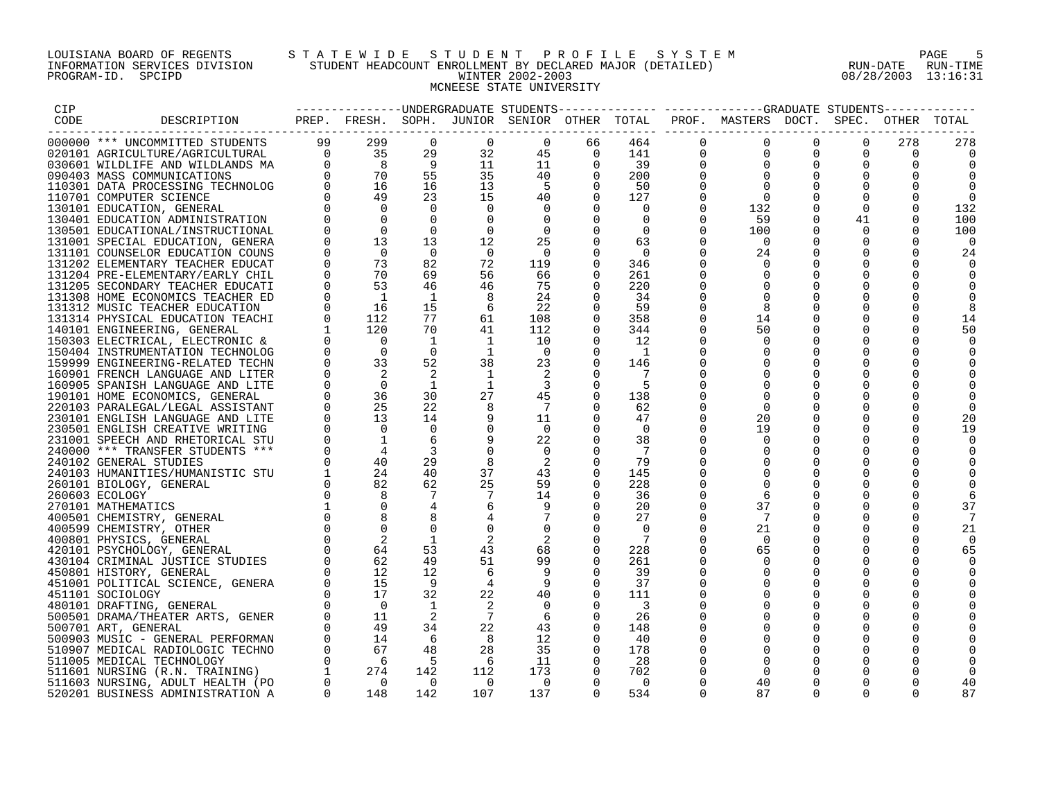# LOUISIANA BOARD OF REGENTS STA TEWIDE STUDENT PROFILE SYSTEM NAGE 5 INFORMATION SERVICES DIVISION STUDENT HEADCOUNT ENROLLMENT BY DECLARED MAJOR (DETAILED) RUN-DATE RUN-DATE RUN-TIME<br>PROGRAM-ID. SPCIPD 808/28/2003 13:16:31 PROGRAM-ID. SPCIPD WINTER 2002-2003 08/28/2003 13:16:31 MCNEESE STATE UNIVERSITY

| CIP  |                                  |                |                                                                                                                                          |                |                                            |                         |                |                |             | --------------UNDERGRADUATE STUDENTS------------- -----------GRADUATE STUDENTS----------- |             |                |          |                  |
|------|----------------------------------|----------------|------------------------------------------------------------------------------------------------------------------------------------------|----------------|--------------------------------------------|-------------------------|----------------|----------------|-------------|-------------------------------------------------------------------------------------------|-------------|----------------|----------|------------------|
| CODE | DESCRIPTION                      |                |                                                                                                                                          |                |                                            |                         |                |                |             | PREP. FRESH. SOPH. JUNIOR SENIOR OTHER TOTAL PROF. MASTERS DOCT. SPEC. OTHER TOTAL        |             |                |          |                  |
|      |                                  |                |                                                                                                                                          |                |                                            |                         |                |                |             |                                                                                           |             |                |          |                  |
|      | 000000 *** UNCOMMITTED STUDENTS  |                |                                                                                                                                          |                | $\Omega$                                   | $\Omega$                | 66             | 464            | $\Omega$    | $\mathbf 0$                                                                               | $\Omega$    | $\Omega$       | 278      | 278              |
|      | 020101 AGRICULTURE/AGRICULTURAL  |                |                                                                                                                                          |                | 32                                         |                         |                | 141            | 0           | $\mathbf{0}$                                                                              |             | $\Omega$       | $\Omega$ |                  |
|      | 030601 WILDLIFE AND WILDLANDS MA |                |                                                                                                                                          |                | 11                                         |                         |                | 39             | $\mathbf 0$ |                                                                                           | 0           | 0              | $\Omega$ |                  |
|      | 090403 MASS COMMUNICATIONS       |                | $\begin{array}{cccc} & & 99 & & 299 & & 0 \ 0 & & 35 & & 29 \ 0 & & 8 & & 9 \ 3 & & 0 & & 70 & & 55 \ 3 & & 0 & & 16 & & 16 \end{array}$ |                | 35                                         |                         |                | 200            | $\Omega$    | $\Omega$                                                                                  | $\Omega$    | $\Omega$       | $\Omega$ |                  |
|      | 110301 DATA PROCESSING TECHNOLOG |                |                                                                                                                                          |                | 13                                         |                         |                | 50             |             |                                                                                           |             | 0              |          |                  |
|      | 110701 COMPUTER SCIENCE          | $\Omega$       | 49                                                                                                                                       | 23             | 15                                         |                         |                | 127            | $\Omega$    | $\bigcap$                                                                                 |             | $\overline{0}$ |          | $\Omega$         |
|      | 130101 EDUCATION, GENERAL        |                | $\overline{0}$                                                                                                                           | $\bigcap$      | $\Omega$                                   |                         |                | $\Omega$       | $\Omega$    | 132                                                                                       | $\Omega$    | $\overline{0}$ | $\Omega$ | 132              |
|      | 130401 EDUCATION ADMINISTRATION  |                | $\overline{0}$                                                                                                                           | $\Omega$       | $\Omega$                                   | $\Omega$                | $\Omega$       | $\Omega$       | $\Omega$    | 59                                                                                        | $\Omega$    | 41             | $\Omega$ | 100              |
|      | 130501 EDUCATIONAL/INSTRUCTIONAL | $\mathbf 0$    | $\overline{0}$                                                                                                                           | $\Omega$       | $\mathbf{0}$                               | $\overline{0}$          | $\overline{0}$ | $\overline{0}$ | $\mathbf 0$ | 100                                                                                       | $\Omega$    | $\overline{0}$ |          | 100              |
|      | 131001 SPECIAL EDUCATION, GENERA | $\mathbf 0$    | 13                                                                                                                                       | 13             | 12                                         | 25                      | $\overline{0}$ | 63             | 0           | - 0                                                                                       | $\Omega$    | 0              |          | $\left( \right)$ |
|      | 131101 COUNSELOR EDUCATION COUNS |                | $\overline{0}$                                                                                                                           | $\bigcirc$     | $\overline{0}$                             | $\overline{0}$          | $\Omega$       | $\overline{0}$ | $\Omega$    | 24                                                                                        | $\Omega$    | $\Omega$       | $\Omega$ | 24               |
|      | 131202 ELEMENTARY TEACHER EDUCAT | $\Omega$       | 73                                                                                                                                       | 82             | 72                                         | 119                     | $\Omega$       | 346            | $\Omega$    |                                                                                           |             | $\Omega$       |          |                  |
|      | 131204 PRE-ELEMENTARY/EARLY CHIL | $\mathbf 0$    | 70                                                                                                                                       | 69             | 56                                         | 66                      | 0              | 261            | 0           |                                                                                           |             | $\mathbf 0$    |          |                  |
|      | 131205 SECONDARY TEACHER EDUCATI | $\Omega$       | 53                                                                                                                                       | 46             | 46                                         | 75                      |                | 220            |             |                                                                                           | $\Omega$    | $\mathbf 0$    |          |                  |
|      | 131308 HOME ECONOMICS TEACHER ED | $\mathbf 0$    | $\overline{1}$                                                                                                                           | $\mathbf{1}$   | 8                                          | 24                      |                | 34             |             |                                                                                           |             |                |          |                  |
|      | 131312 MUSIC TEACHER EDUCATION   | $\Omega$       | 16                                                                                                                                       | 15             | 6                                          | 22                      | $\Omega$       | 59             | 0           |                                                                                           |             | $\Omega$       |          |                  |
|      | 131314 PHYSICAL EDUCATION TEACHI | $\mathbf 0$    | 112                                                                                                                                      | 77             | 61                                         | 108                     | $\overline{0}$ | 358            | 0           | 14                                                                                        | $\mathbf 0$ | $\mathbf 0$    | 0        | 14               |
|      | 140101 ENGINEERING, GENERAL      |                | 120                                                                                                                                      | 70             | 41                                         | 112                     |                | 344            | $\Omega$    | 50                                                                                        |             | 0              |          | 50               |
|      | 150303 ELECTRICAL, ELECTRONIC &  |                | $\overline{0}$                                                                                                                           | $\mathbf{1}$   | $\begin{array}{cc} & 1 \\ & 1 \end{array}$ | 10                      | $\Omega$       | 12             | $\Omega$    | $\Omega$                                                                                  | $\Omega$    | $\Omega$       |          |                  |
|      | 150404 INSTRUMENTATION TECHNOLOG |                | $\overline{0}$                                                                                                                           | $\overline{0}$ |                                            | $\overline{0}$          | $\Omega$       | $\mathbf{1}$   | $\Omega$    |                                                                                           | $\Omega$    | $\Omega$       |          |                  |
|      | 159999 ENGINEERING-RELATED TECHN | $\Omega$       | 33                                                                                                                                       | 52             | 38                                         | 23                      | $\mathbf 0$    | 146            | $\Omega$    |                                                                                           | $\Omega$    | $\mathbf 0$    |          |                  |
|      | 160901 FRENCH LANGUAGE AND LITER | $\mathbf 0$    |                                                                                                                                          | 2              | $\overline{1}$                             |                         |                |                |             |                                                                                           |             | $\mathbf 0$    |          |                  |
|      | 160905 SPANISH LANGUAGE AND LITE | $\mathbf 0$    | $\overline{0}$                                                                                                                           | $\mathbf{1}$   | 1                                          | $\overline{\mathbf{3}}$ |                | -5             |             |                                                                                           |             | $\mathbf 0$    |          |                  |
|      | 190101 HOME ECONOMICS, GENERAL   |                | 36                                                                                                                                       | 30             | 27                                         | 45                      | $\Omega$       | 138            |             |                                                                                           |             | $\Omega$       |          |                  |
|      | 220103 PARALEGAL/LEGAL ASSISTANT | $\mathbf 0$    | 25                                                                                                                                       | 22             |                                            | $\overline{7}$          | $\Omega$       | 62             | $\Omega$    | $\Omega$                                                                                  |             | $\mathbf 0$    |          |                  |
|      | 230101 ENGLISH LANGUAGE AND LITE | $\overline{0}$ | 13                                                                                                                                       | 14             | 9                                          | 11                      | $\Omega$       | 47             | $\Omega$    | 20                                                                                        | 0           | 0              | O        | 20               |
|      | 230501 ENGLISH CREATIVE WRITING  |                | $\overline{0}$                                                                                                                           | $\overline{0}$ | $\overline{0}$                             | $\bigcirc$              |                | $\Omega$       | 0           | 19                                                                                        | $\Omega$    | $\mathbf 0$    | $\Omega$ | 19               |
|      | 231001 SPEECH AND RHETORICAL STU |                | $\overline{1}$                                                                                                                           | 6              | 9                                          | 22                      | $\Omega$       | 38             |             |                                                                                           |             | $\Omega$       |          |                  |
|      | 240000 *** TRANSFER STUDENTS *** |                | $\overline{4}$                                                                                                                           | 3              | $\mathbf 0$                                | $\Omega$                |                |                |             |                                                                                           | $\Omega$    | $\Omega$       |          |                  |
|      | 240102 GENERAL STUDIES           |                | 40                                                                                                                                       | 29             | 8                                          | - 2                     | $\Omega$       | 79             |             |                                                                                           | $\Omega$    | 0              |          |                  |
|      | 240103 HUMANITIES/HUMANISTIC STU |                |                                                                                                                                          | 40             | 37                                         | 43                      | $\Omega$       | 145            |             |                                                                                           |             | $\Omega$       |          |                  |
|      | 260101 BIOLOGY, GENERAL          |                |                                                                                                                                          | 62             | 25                                         | 59                      | $\Omega$       | 228            |             |                                                                                           |             | $\Omega$       |          |                  |
|      | 260603 ECOLOGY                   |                |                                                                                                                                          | 7              |                                            | 14                      |                | 36             | $\Omega$    | 6                                                                                         |             | $\Omega$       |          |                  |
|      | 270101 MATHEMATICS               |                |                                                                                                                                          |                | 6                                          |                         | $\Omega$       | 20             | $\Omega$    | 37                                                                                        | $\Omega$    | 0              |          | 37               |
|      | 400501 CHEMISTRY, GENERAL        |                |                                                                                                                                          |                |                                            |                         | $\Omega$       | 27             | $\Omega$    | - 7                                                                                       |             | $\Omega$       |          |                  |
|      | 400599 CHEMISTRY, OTHER          |                |                                                                                                                                          | $\Omega$       | $\mathbf 0$                                |                         | $\Omega$       | $\Omega$       | $\Omega$    | 21                                                                                        | 0           | $\mathbf 0$    | 0        | 21               |
|      | 400801 PHYSICS, GENERAL          |                |                                                                                                                                          | 1              |                                            | $\overline{2}$          | $\Omega$       | 7              | $\Omega$    | - 0                                                                                       |             | $\Omega$       | $\Omega$ |                  |
|      | 420101 PSYCHOLOGY, GENERAL       |                |                                                                                                                                          | 53             | 43                                         | 68                      | $\Omega$       | 228            | $\Omega$    | 65                                                                                        | $\Omega$    | $\Omega$       | $\Omega$ | 65               |
|      | 430104 CRIMINAL JUSTICE STUDIES  |                |                                                                                                                                          | 49             | 51                                         | 99                      | $\Omega$       | 261            | $\Omega$    | $\Omega$                                                                                  | $\Omega$    | $\Omega$       |          |                  |
|      | 450801 HISTORY, GENERAL          |                |                                                                                                                                          | 12             | 6                                          |                         |                | 39             | $\Omega$    |                                                                                           | $\mathbf 0$ | $\mathbf 0$    |          |                  |
|      | 451001 POLITICAL SCIENCE, GENERA |                |                                                                                                                                          | - 9            | 4                                          | - 9                     | $\Omega$       | 37             |             |                                                                                           | $\Omega$    | $\Omega$       |          |                  |
|      | 451101 SOCIOLOGY                 |                |                                                                                                                                          | 32             | 22                                         | 40                      | $\Omega$       | 111            | $\Omega$    |                                                                                           | $\Omega$    | $\Omega$       |          |                  |
|      | 480101 DRAFTING, GENERAL         |                |                                                                                                                                          | $\overline{1}$ |                                            | $\overline{0}$          | $\Omega$       | 3              |             |                                                                                           | $\Omega$    | $\Omega$       |          |                  |
|      | 500501 DRAMA/THEATER ARTS, GENER |                |                                                                                                                                          | 2              | $\overline{7}$                             | 6                       |                | 26             |             |                                                                                           |             | $\mathbf 0$    |          |                  |
|      |                                  |                |                                                                                                                                          | 34             | 22                                         | 43                      | $\Omega$       | 148            |             |                                                                                           |             | 0              |          |                  |
|      | 500701 ART, GENERAL              |                |                                                                                                                                          | 6              | 8                                          | 12                      | $\Omega$       | 40             | $\Omega$    | $\Omega$                                                                                  | $\Omega$    | $\Omega$       |          |                  |
|      | 500903 MUSIC - GENERAL PERFORMAN |                |                                                                                                                                          | 48             | 28                                         | 35                      | $\Omega$       | 178            | $\Omega$    |                                                                                           | $\Omega$    | $\Omega$       |          |                  |
|      | 510907 MEDICAL RADIOLOGIC TECHNO |                |                                                                                                                                          | $5^{\circ}$    |                                            |                         |                |                |             |                                                                                           |             | $\mathbf 0$    |          |                  |
|      | 511005 MEDICAL TECHNOLOGY        |                |                                                                                                                                          |                | 6                                          | 11                      | $\overline{0}$ | 28             |             |                                                                                           |             |                |          |                  |
|      | 511601 NURSING (R.N. TRAINING)   |                |                                                                                                                                          | 142            | 112                                        | 173                     | $\mathbf{0}$   | 702            |             |                                                                                           |             | $\Omega$       |          |                  |
|      | 511603 NURSING, ADULT HEALTH (PO |                |                                                                                                                                          | $\bigcap$      | $\overline{0}$                             | $\overline{0}$          | $\Omega$       | $\overline{0}$ |             | 40                                                                                        |             | $\Omega$       |          |                  |
|      | 520201 BUSINESS ADMINISTRATION A | $\overline{0}$ | 148                                                                                                                                      | 142            | 107                                        | 137                     | $\Omega$       | 534            | $\Omega$    | 87                                                                                        | $\Omega$    | $\Omega$       | ∩        | 87               |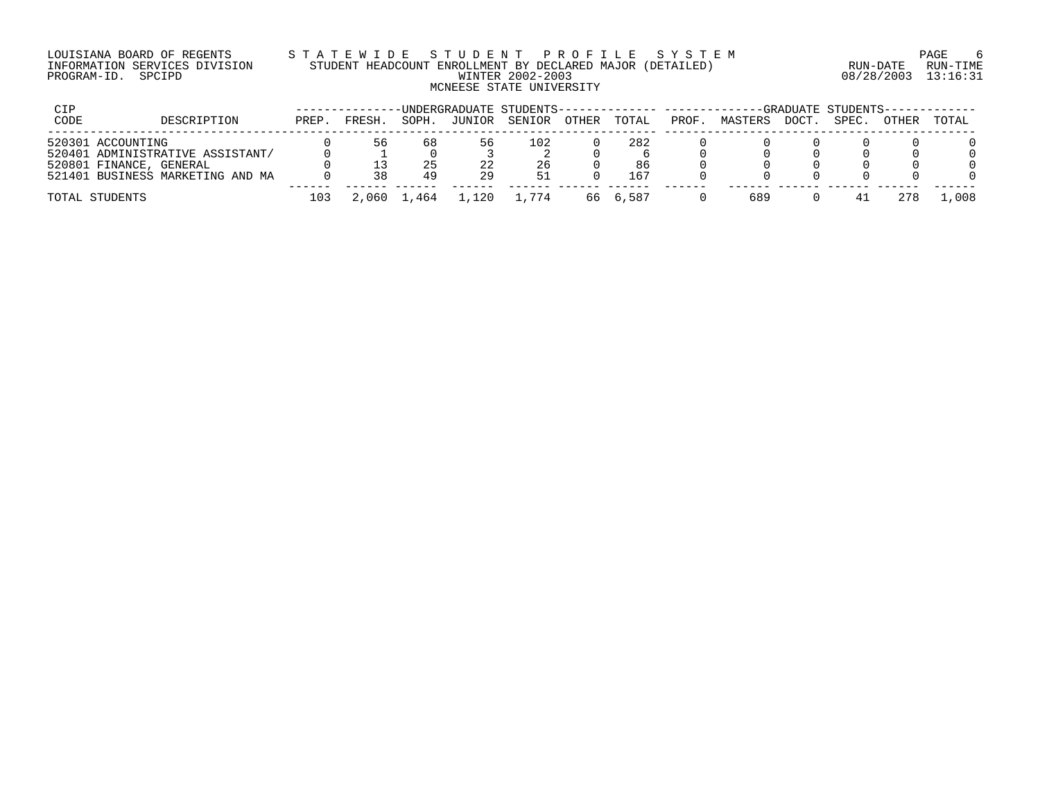## LOUISIANA BOARD OF REGENTS S T A T E W I D E S T U D E N T P R O F I L E S Y S T E M PAGE 6 INFORMATION SERVICES DIVISION STUDENT HEADCOUNT ENROLLMENT BY DECLARED MAJOR (DETAILED) RUN-DATE RUN-TIME PROGRAM-ID. SPCIPD WINTER 2002-2003 08/28/2003 13:16:31 MCNEESE STATE UNIVERSITY

| CIP  |                                  |       |        |             |         | -UNDERGRADUATE STUDENTS-------------- ------- |       |          |      |         |       | -GRADUATE STUDENTS-- |       |       |
|------|----------------------------------|-------|--------|-------------|---------|-----------------------------------------------|-------|----------|------|---------|-------|----------------------|-------|-------|
| CODE | DESCRIPTION                      | PREP. | FRESH. | SOPH.       | JUNIOR  | SENIOR                                        | OTHER | TOTAL    | PROF | MASTERS | DOCT. | SPEC.                | OTHER | TOTAL |
|      | 520301 ACCOUNTING                |       | 56     | 68          | 56      | 102                                           |       | 282      |      |         |       |                      |       |       |
|      | 520401 ADMINISTRATIVE ASSISTANT/ |       |        |             |         |                                               |       |          |      |         |       |                      |       |       |
|      | 520801 FINANCE, GENERAL          |       |        | 25          |         | 26                                            |       | 86       |      |         |       |                      |       |       |
|      | 521401 BUSINESS MARKETING AND MA |       | 38     | 49          | 29      | 51                                            |       | 167      |      |         |       |                      |       |       |
|      | TOTAL STUDENTS                   | 103   |        | 2,060 1,464 | . . 120 | 1.774                                         |       | 66 6,587 |      | 689     |       |                      |       | L,008 |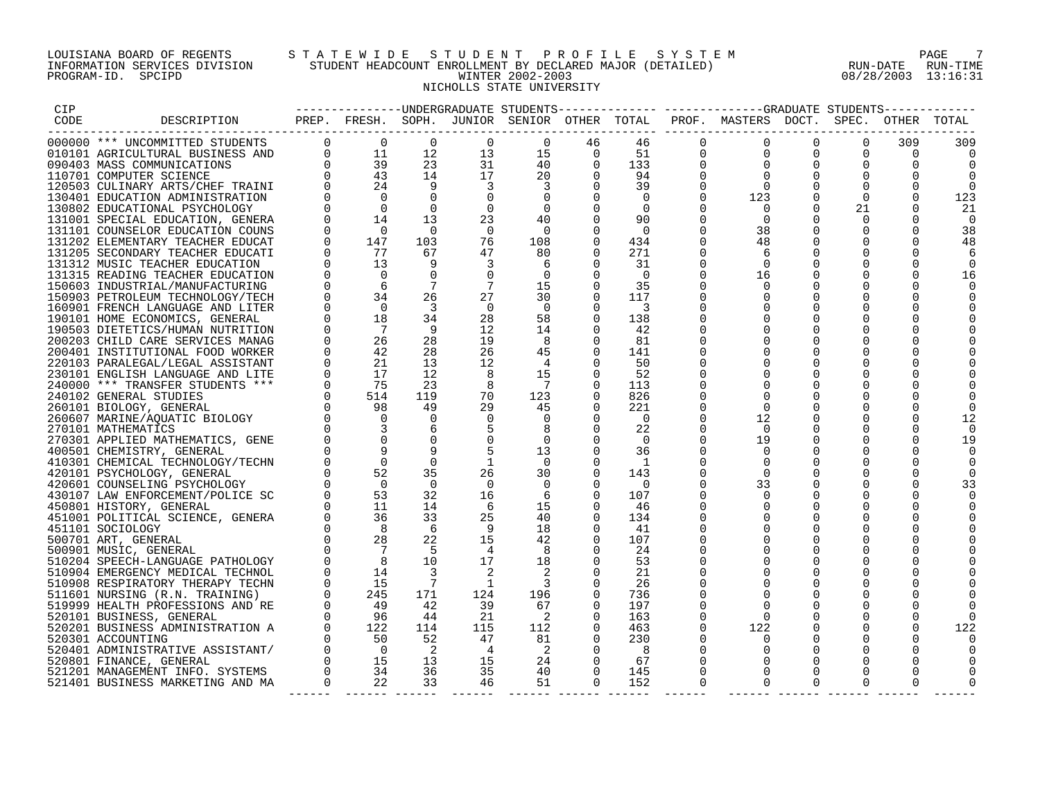## LOUISIANA BOARD OF REGENTS S T A T E W I D E S T U D E N T P R O F I L E S Y S T E M PAGE 7 INFORMATION SERVICES DIVISION STUDENT HEADCOUNT ENROLLMENT BY DECLARED MAJOR (DETAILED) RUN-DATE RUN-TIME PROGRAM-ID. SPCIPD WINTER 2002-2003 08/28/2003 13:16:31 NICHOLLS STATE UNIVERSITY

| CIP  |                                                                |                                                     |                                                                                                                                                                                                 |                                  |                 | --------------DNDERGRADUATE STUDENTS-------- |                |                |                      | -------------GRADUATE STUDENTS-                                                    |                      |                      |                      |          |
|------|----------------------------------------------------------------|-----------------------------------------------------|-------------------------------------------------------------------------------------------------------------------------------------------------------------------------------------------------|----------------------------------|-----------------|----------------------------------------------|----------------|----------------|----------------------|------------------------------------------------------------------------------------|----------------------|----------------------|----------------------|----------|
| CODE | DESCRIPTION                                                    |                                                     |                                                                                                                                                                                                 |                                  |                 |                                              |                |                |                      | PREP. FRESH. SOPH. JUNIOR SENIOR OTHER TOTAL PROF. MASTERS DOCT. SPEC. OTHER TOTAL |                      |                      |                      |          |
|      |                                                                |                                                     |                                                                                                                                                                                                 |                                  |                 |                                              |                |                |                      |                                                                                    |                      |                      |                      |          |
|      | 000000 *** UNCOMMITTED STUDENTS                                |                                                     | $\begin{array}{ccc} 0 & \hspace{.1cm} 0 & \hspace{.1cm} \\ 0 & \hspace{.1cm} 11 & \hspace{.1cm} \\ 0 & \hspace{.1cm} 39 & \hspace{.1cm} \\ 9 & \hspace{.1cm} 43 & \hspace{.1cm} \\ \end{array}$ | $\Omega$<br>12 <sup>°</sup>      | $\Omega$<br>13  | $\Omega$<br>15                               | 46<br>$\Omega$ | 46<br>51       | $\Omega$<br>$\Omega$ | $\Omega$<br>$\Omega$                                                               | $\Omega$<br>$\Omega$ | $\Omega$<br>$\Omega$ | 309<br>$\Omega$      | 309      |
|      | 010101 AGRICULTURAL BUSINESS AND<br>090403 MASS COMMUNICATIONS |                                                     |                                                                                                                                                                                                 | 23                               | 31              | 40                                           | $\Omega$       | 133            | $\Omega$             | $\Omega$                                                                           | $\Omega$             | $\Omega$             | $\Omega$             | $\Omega$ |
|      | 110701 COMPUTER SCIENCE                                        | $\begin{matrix} 0 \\ 0 \\ 0 \\ 0 \\ 0 \end{matrix}$ |                                                                                                                                                                                                 | 14                               | 17              | 20                                           | $\Omega$       | 94             | $\Omega$             | $\Omega$                                                                           | $\Omega$             | $\Omega$             | $\Omega$             |          |
|      | 120503 CULINARY ARTS/CHEF TRAINI                               |                                                     |                                                                                                                                                                                                 |                                  | $\overline{3}$  | 3                                            |                | 39             |                      | $\Omega$                                                                           |                      | $\Omega$             |                      |          |
|      | 130401 EDUCATION ADMINISTRATION                                |                                                     | $\overline{0}$                                                                                                                                                                                  | $\Omega$                         | $\Omega$        | $\Omega$                                     |                | $\Omega$       | $\Omega$             | 123                                                                                | $\Omega$             | $\Omega$             | $\Omega$             | 123      |
|      | 130802 EDUCATIONAL PSYCHOLOGY                                  | $\Omega$                                            | $\overline{0}$                                                                                                                                                                                  | $\Omega$                         | $\overline{0}$  | 0                                            | $\Omega$       | $\Omega$       | $\Omega$             | $\cap$                                                                             | $\Omega$             | 21                   | $\Omega$             | 21       |
|      | 131001 SPECIAL EDUCATION, GENERA                               |                                                     | 14                                                                                                                                                                                              | 13                               | 23              | 40                                           | $\Omega$       | 90             | $\Omega$             | $\cap$                                                                             | $\Omega$             | $\Omega$             | $\Omega$             | 0        |
|      | 131101 COUNSELOR EDUCATION COUNS                               | $\Omega$                                            | $\overline{0}$                                                                                                                                                                                  | $\overline{0}$                   | $\overline{0}$  | $\Omega$                                     | $\Omega$       | $\Omega$       | $\Omega$             | 38                                                                                 | $\Omega$             | $\Omega$             | $\Omega$             | 38       |
|      | 131202 ELEMENTARY TEACHER EDUCAT                               | $\mathbf 0$                                         | 147                                                                                                                                                                                             | 103                              | 76              | 108                                          | $\Omega$       | 434            |                      | 48                                                                                 |                      | $\Omega$             | $\Omega$             | 48       |
|      | 131205 SECONDARY TEACHER EDUCATI                               | $\Omega$                                            | 77                                                                                                                                                                                              | 67                               | 47              | 80                                           |                | 271            | $\Omega$             | 6                                                                                  | $\Omega$             | $\Omega$             | $\Omega$             | 6        |
|      | 131312 MUSIC TEACHER EDUCATION                                 | $\Omega$                                            | 13                                                                                                                                                                                              | 9                                |                 | 6                                            |                | 31             | $\Omega$             | $\Omega$                                                                           | $\Omega$             | $\Omega$             | $\Omega$             |          |
|      | 131315 READING TEACHER EDUCATION                               |                                                     | $\overline{0}$                                                                                                                                                                                  | $\Omega$                         | 0               | $\Omega$                                     | $\Omega$       | $\Omega$       | $\Omega$             | 16                                                                                 | $\Omega$             | $\Omega$             | $\Omega$             | 16       |
|      | 150603 INDUSTRIAL/MANUFACTURING                                | $\Omega$                                            | 6                                                                                                                                                                                               | 7                                | $7\phantom{.0}$ | 15                                           | $\Omega$       | 35             | $\Omega$             | $\Omega$                                                                           | $\Omega$             | $\Omega$             | $\Omega$             |          |
|      | 150903 PETROLEUM TECHNOLOGY/TECH                               | $\mathbf 0$                                         | 34                                                                                                                                                                                              | 26                               | 27              | 30                                           | $\Omega$       | 117            |                      |                                                                                    |                      | 0                    | $\Omega$             |          |
|      | 160901 FRENCH LANGUAGE AND LITER                               | $\Omega$                                            | $\bigcirc$                                                                                                                                                                                      | $\overline{3}$                   | $\Omega$        | $\overline{0}$                               | $\Omega$       | -3             | $\Omega$             | $\Omega$                                                                           | $\Omega$             | $\Omega$             |                      |          |
|      | 190101 HOME ECONOMICS, GENERAL                                 | $\mathbf 0$                                         | 18                                                                                                                                                                                              | 34                               | 28              | 58                                           | $\Omega$       | 138            |                      | $\Omega$                                                                           | 0                    | 0                    | O                    |          |
|      | 190503 DIETETICS/HUMAN NUTRITION                               |                                                     | $\overline{7}$                                                                                                                                                                                  | - 9                              | 12              | 14                                           | $\Omega$       | 42             |                      | $\Omega$                                                                           | $\Omega$             | $\Omega$             |                      |          |
|      | 200203 CHILD CARE SERVICES MANAG                               |                                                     | 26                                                                                                                                                                                              | 28                               | 19              | - 8                                          | $\Omega$       | 81             | $\Omega$             | $\Omega$                                                                           | $\Omega$             | $\Omega$             |                      |          |
|      | 200401 INSTITUTIONAL FOOD WORKER                               |                                                     | 42                                                                                                                                                                                              | 28                               | 26              | 45                                           | 0              | 141            |                      |                                                                                    |                      | 0                    |                      |          |
|      | 220103 PARALEGAL/LEGAL ASSISTANT                               |                                                     | 21                                                                                                                                                                                              | 13                               | 12              | $\overline{4}$                               |                | 50             |                      | $\Omega$                                                                           | $\Omega$             | $\mathbf 0$          |                      |          |
|      | 230101 ENGLISH LANGUAGE AND LITE                               |                                                     | 17                                                                                                                                                                                              | 12                               | -8              | 15                                           | 0              | 52             |                      |                                                                                    | $\Omega$             | 0                    |                      |          |
|      | 240000 *** TRANSFER STUDENTS ***                               |                                                     | 75                                                                                                                                                                                              | 23                               | - 8             | $\overline{7}$                               | $\Omega$       | 113            |                      | $\Omega$                                                                           | $\Omega$             | $\Omega$             |                      |          |
|      | 240102 GENERAL STUDIES                                         |                                                     | 514                                                                                                                                                                                             | 119                              | 70              | 123                                          | $\Omega$       | 826            | $\Omega$             | $\Omega$                                                                           | $\Omega$             | $\Omega$             |                      |          |
|      | 260101 BIOLOGY, GENERAL                                        |                                                     | 98                                                                                                                                                                                              | 49                               | 29              | 45                                           | $\Omega$       | 221            |                      | $\Omega$                                                                           |                      | $\Omega$             | ∩                    |          |
|      | 260607 MARINE/AQUATIC BIOLOGY                                  |                                                     | $\overline{0}$                                                                                                                                                                                  | $\Omega$                         | $\mathbf 0$     | $\Omega$                                     |                | $\bigcap$      | $\Omega$             | 12                                                                                 | $\Omega$             | $\Omega$             | $\Omega$             | 12       |
|      | 270101 MATHEMATICS                                             |                                                     | 3                                                                                                                                                                                               |                                  | 5               | 8                                            | $\Omega$       | 22             | $\Omega$             | $\Omega$                                                                           | $\Omega$             | $\Omega$             | $\Omega$             |          |
|      | 270301 APPLIED MATHEMATICS, GENE                               |                                                     |                                                                                                                                                                                                 | $\Omega$                         | $\overline{0}$  | $\Omega$                                     | $\Omega$       | $\bigcap$      | $\Omega$             | 19                                                                                 | $\Omega$             | $\Omega$             | $\Omega$             | 19       |
|      | 400501 CHEMISTRY, GENERAL                                      |                                                     |                                                                                                                                                                                                 |                                  |                 | 13                                           | $\Omega$       | 36             | $\Omega$             | $\Omega$                                                                           | $\Omega$             | $\Omega$             | $\Omega$             |          |
|      | 410301 CHEMICAL TECHNOLOGY/TECHN                               |                                                     | $\Omega$                                                                                                                                                                                        | $\Omega$                         | <sup>1</sup>    | $\Omega$                                     | $\Omega$       | $\overline{1}$ |                      | $\Omega$                                                                           | $\Omega$             | $\Omega$             | $\Omega$             |          |
|      | 420101 PSYCHOLOGY, GENERAL                                     |                                                     | 52                                                                                                                                                                                              | 35                               | 26              | 30                                           | $\Omega$       | 143            | $\Omega$             | $\Omega$                                                                           | $\Omega$             | $\Omega$             | $\Omega$             | $\Omega$ |
|      | 420601 COUNSELING PSYCHOLOGY                                   |                                                     | $\overline{0}$                                                                                                                                                                                  | $\Omega$                         | $\overline{0}$  | 0                                            |                | $\Omega$       | $\Omega$             | 33                                                                                 | $\Omega$             | $\Omega$             | $\Omega$             | 33       |
|      | 430107 LAW ENFORCEMENT/POLICE SC                               |                                                     | 53                                                                                                                                                                                              | 32                               | 16              | - 6                                          | $\Omega$       | 107            | $\Omega$             | $\Omega$                                                                           | $\Omega$             | $\Omega$             | $\Omega$             |          |
|      | 450801 HISTORY, GENERAL                                        |                                                     | 11                                                                                                                                                                                              | 14                               | 6               | 15                                           | $\Omega$       | 46             | $\Omega$             | $\Omega$                                                                           | $\Omega$             | $\Omega$             | $\Omega$             |          |
|      | 451001 POLITICAL SCIENCE, GENERA                               |                                                     | 36                                                                                                                                                                                              | 33                               | 25              | 40                                           | $\Omega$       | 134            |                      |                                                                                    | $\Omega$             | $\Omega$             | $\Omega$             |          |
|      | 451101 SOCIOLOGY                                               |                                                     | $\overline{\phantom{0}}$ 8                                                                                                                                                                      | 6                                | $\overline{9}$  | 18                                           | $\Omega$       | 41             | $\Omega$             | $\Omega$                                                                           | $\mathbf 0$          | $\mathbf 0$          |                      |          |
|      | 500701 ART, GENERAL                                            |                                                     | 28                                                                                                                                                                                              | 22                               | 15              | 42                                           | $\Omega$       | 107            |                      | $\Omega$                                                                           | $\Omega$             | $\Omega$             |                      |          |
|      | 500901 MUSIC, GENERAL                                          |                                                     | $\overline{7}$                                                                                                                                                                                  | $-5$                             | $\overline{4}$  | 8                                            | $\Omega$       | 24             |                      | $\Omega$                                                                           | $\Omega$             | $\Omega$             |                      |          |
|      | 510204 SPEECH-LANGUAGE PATHOLOGY                               |                                                     | $\overline{8}$                                                                                                                                                                                  | 10                               | 17              | 18                                           | $\Omega$       | 53             | $\Omega$             | $\Omega$                                                                           | $\Omega$             | $\Omega$             |                      |          |
|      | 510904 EMERGENCY MEDICAL TECHNOL                               |                                                     | 14                                                                                                                                                                                              |                                  | -2              |                                              |                | 21             |                      |                                                                                    | $\Omega$             | 0                    |                      |          |
|      | 510908 RESPIRATORY THERAPY TECHN                               |                                                     | 15                                                                                                                                                                                              | 7                                | $\overline{1}$  | $\overline{\phantom{a}}$ 3                   |                | 26             |                      | $\Omega$                                                                           | $\mathbf 0$          | $\mathbf 0$          |                      |          |
|      | 511601 NURSING (R.N. TRAINING)                                 |                                                     | 245                                                                                                                                                                                             | 171                              | 124             | 196                                          | $\Omega$       | 736            |                      |                                                                                    | $\Omega$             | $\Omega$             |                      |          |
|      | 519999 HEALTH PROFESSIONS AND RE                               |                                                     | 49                                                                                                                                                                                              | 42                               | 39              | 67                                           | 0              | 197            | $\Omega$             |                                                                                    | $\Omega$             | $\Omega$             |                      |          |
|      | 520101 BUSINESS, GENERAL                                       |                                                     | 96                                                                                                                                                                                              | 44                               | 21              | $\overline{\phantom{0}}^2$                   | $\Omega$       | 163            | $\Omega$             | $\Omega$                                                                           | $\Omega$             | $\Omega$             | $\Omega$             |          |
|      | 520201 BUSINESS ADMINISTRATION A                               |                                                     | 122                                                                                                                                                                                             | 114                              | 115             | 112                                          | $\Omega$       | 463            | 0                    | 122                                                                                | 0                    | 0                    | 0                    | 122      |
|      | 520301 ACCOUNTING                                              | $\mathbf{0}$<br>$\overline{0}$                      | 50<br>$\overline{0}$                                                                                                                                                                            | 52<br>$\overline{\phantom{0}}^2$ | 47              | 81                                           | $\Omega$       | 230            | 0                    | 0<br>$\Omega$                                                                      | $\mathbf 0$<br>0     | 0<br>0               | $\Omega$<br>$\Omega$ |          |
|      | 520401 ADMINISTRATIVE ASSISTANT/<br>520801 FINANCE, GENERAL    |                                                     | 15                                                                                                                                                                                              | 13                               | 4<br>15         | $\overline{\phantom{0}}^2$<br>24             | $\Omega$       | -8<br>67       |                      |                                                                                    | $\Omega$             | 0                    |                      |          |
|      | 521201 MANAGEMENT INFO. SYSTEMS                                | $\mathbf 0$                                         | 34                                                                                                                                                                                              | 36                               | 35              | 40                                           | $\Omega$       | 145            | $\Omega$             | $\Omega$                                                                           | $\Omega$             | $\Omega$             |                      |          |
|      | 521401 BUSINESS MARKETING AND MA                               | 0                                                   | 22                                                                                                                                                                                              | 33                               | 46              | 51                                           | $\Omega$       | 152            | 0                    | $\Omega$                                                                           | $\Omega$             | 0                    | O                    | 0        |
|      |                                                                |                                                     |                                                                                                                                                                                                 |                                  |                 |                                              |                |                |                      |                                                                                    |                      |                      |                      |          |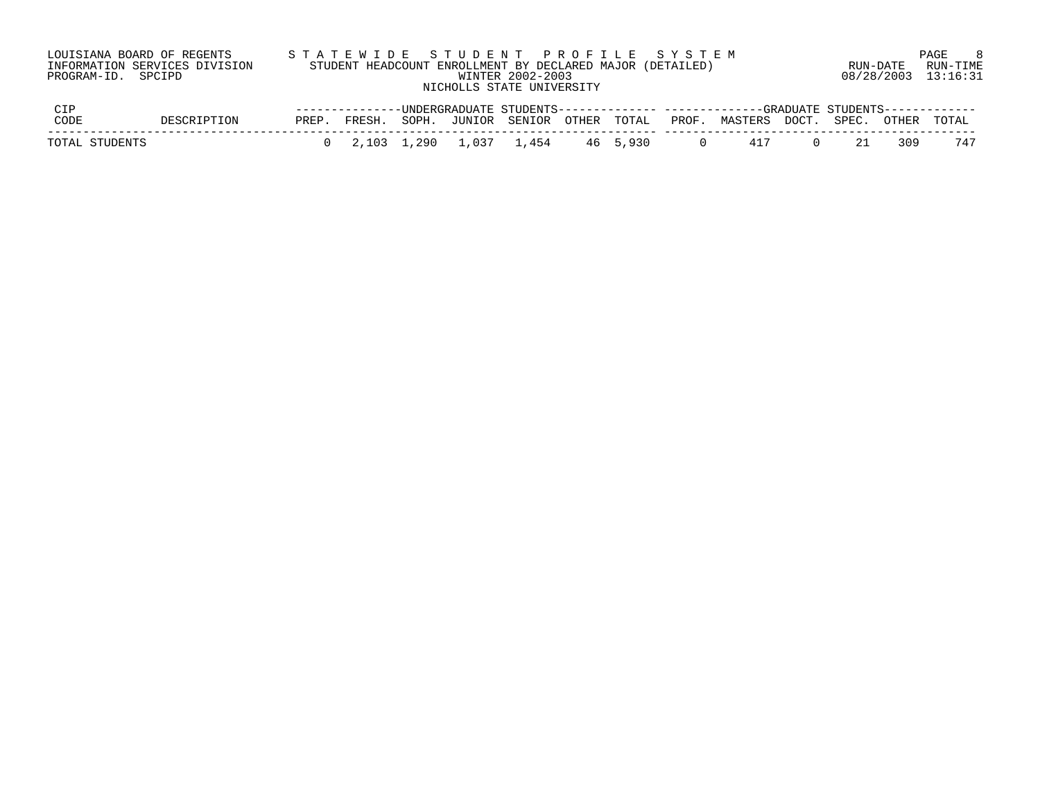| LOUISIANA BOARD OF REGENTS<br>INFORMATION SERVICES DIVISION<br>PROGRAM-ID. SPCIPD |             |       | STATEWIDE STUDENT PROFILE SYSTEM<br>STUDENT HEADCOUNT ENROLLMENT BY DECLARED MAJOR (DETAILED) |  | WINTER 2002-2003<br>NICHOLLS STATE UNIVERSITY |  |       |                                                                                                        | RUN-DATE    |       | PAGE<br>RUN-TIME<br>08/28/2003 13:16:31 | - 8 |
|-----------------------------------------------------------------------------------|-------------|-------|-----------------------------------------------------------------------------------------------|--|-----------------------------------------------|--|-------|--------------------------------------------------------------------------------------------------------|-------------|-------|-----------------------------------------|-----|
| CIP<br>CODE                                                                       | DESCRIPTION | PREP. | FRESH.                                                                                        |  | SOPH. JUNIOR SENIOR OTHER TOTAL               |  | PROF. | --------------UNDERGRADUATE STUDENTS------------- ------------GRADUATE STUDENTS------------<br>MASTERS | DOCT. SPEC. | OTHER | TOTAL                                   |     |

| TOTAL | STUDENTS |
|-------|----------|

TOTAL STUDENTS 0 2,103 1,290 1,037 1,454 46 5,930 0 417 0 21 309 747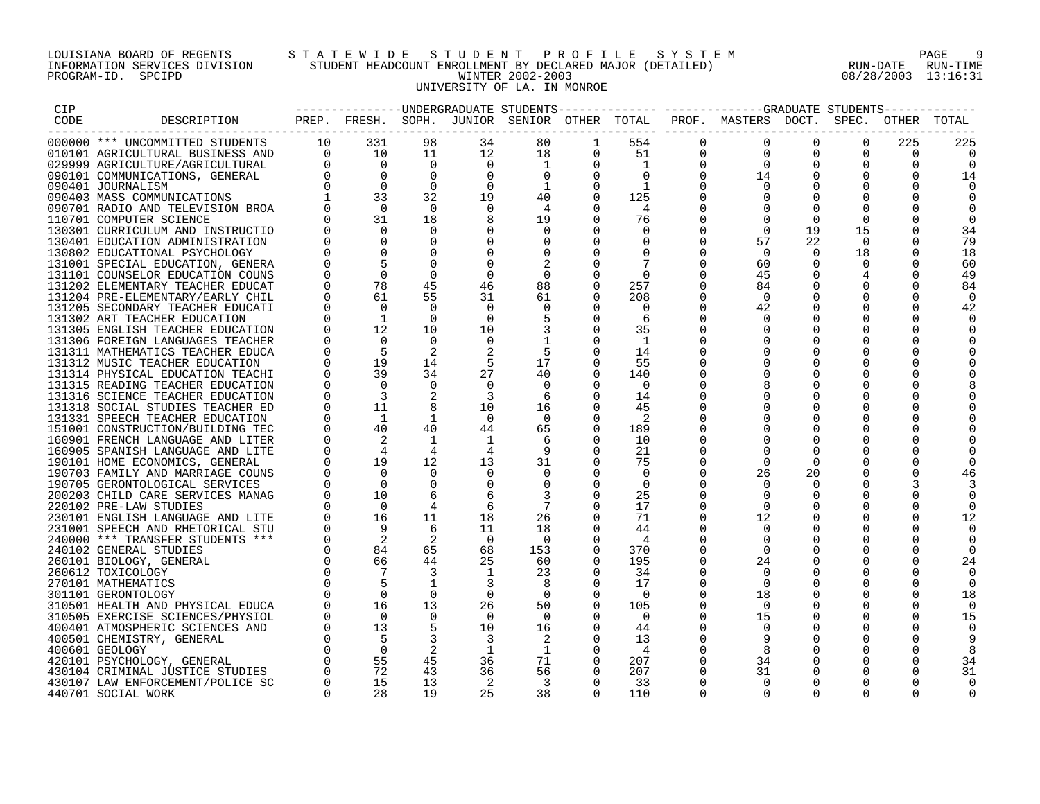#### LOUISIANA BOARD OF REGENTS S T A T E W I D E S T U D E N T P R O F I L E S Y S T E M PAGE 9 INFORMATION SERVICES DIVISION STUDENT HEADCOUNT ENROLLMENT BY DECLARED MAJOR (DETAILED) RUN-DATE RUN-TIME PROGRAM-ID. SPCIPD WINTER 2002-2003 08/28/2003 13:16:31 UNIVERSITY OF LA. IN MONROE

| CIP  |                                                                      |                                                                |                                        |                   |                         | --------------UNDERGRADUATE STUDENTS------------- |                      |                  |                      | -------------GRADUATE STUDENTS- |                         |                      |                      |             |
|------|----------------------------------------------------------------------|----------------------------------------------------------------|----------------------------------------|-------------------|-------------------------|---------------------------------------------------|----------------------|------------------|----------------------|---------------------------------|-------------------------|----------------------|----------------------|-------------|
| CODE | DESCRIPTION                                                          |                                                                |                                        |                   |                         | PREP. FRESH. SOPH. JUNIOR SENIOR OTHER TOTAL      |                      |                  |                      | PROF. MASTERS DOCT.             |                         | SPEC.                |                      | OTHER TOTAL |
|      | 000000 *** UNCOMMITTED STUDENTS                                      | 10                                                             | 331                                    | 98                | 34                      | 80                                                | 1                    | 554              | $\Omega$             | $\mathbf 0$                     | $\Omega$                | $\Omega$             | 225                  | 225         |
|      | 010101 AGRICULTURAL BUSINESS AND                                     |                                                                | $\begin{array}{c} 10 \\ 0 \end{array}$ | 11                | 12                      | 18                                                | 0                    | 51               | $\Omega$             | $\Omega$                        | $\Omega$                | $\Omega$             | 0                    |             |
|      | 029999 AGRICULTURE/AGRICULTURAL                                      |                                                                | $\overline{0}$                         | $\overline{0}$    | $\overline{0}$          | 1                                                 | $\Omega$             | $\overline{1}$   | $\mathbf 0$          | $\overline{0}$                  | $\mathbf 0$             | $\mathbf 0$          | $\Omega$             |             |
|      | 090101 COMMUNICATIONS, GENERAL                                       |                                                                | $\Omega$                               | $\Omega$          | $\Omega$                | $\overline{0}$                                    | $\Omega$             | $\Omega$         | $\Omega$             | 14                              | $\Omega$                | $\Omega$             | $\Omega$             | 14          |
|      | 090401 JOURNALISM                                                    |                                                                | $\Omega$                               | $\Omega$          | $\Omega$                | 1                                                 | $\Omega$             | $\overline{1}$   |                      | $\Omega$                        | $\Omega$                | $\Omega$             | $\Omega$             |             |
|      | 090403 MASS COMMUNICATIONS                                           |                                                                | 33                                     | 32                | 19                      | 40                                                | $\Omega$             | 125              |                      | $\Omega$                        | $\Omega$                | $\Omega$             | $\Omega$             |             |
|      | 090701 RADIO AND TELEVISION BROA                                     | $\begin{array}{c}\n 0 \\  0 \\  0 \\  0 \\  1\nu\n\end{array}$ | $\Omega$                               | $\Omega$          | $\Omega$                | 4                                                 |                      | 4                |                      | $\Omega$                        | $\Omega$                | $\Omega$             |                      |             |
|      | 110701 COMPUTER SCIENCE                                              |                                                                | 31                                     | 18                |                         | 19                                                | $\Omega$             | 76               |                      | $\Omega$                        | $\Omega$                | $\Omega$             |                      |             |
|      | 130301 CURRICULUM AND INSTRUCTIO                                     |                                                                | $\Omega$                               | $\Omega$          | $\Omega$                | $\Omega$                                          |                      | $\Omega$         | $\Omega$             | $\Omega$                        | 19                      | 15                   |                      | 34          |
|      | 130401 EDUCATION ADMINISTRATION                                      |                                                                |                                        | $\Omega$          | 0                       |                                                   |                      | $\Omega$         | $\Omega$             | 57                              | 22                      | - 0                  | O                    | 79          |
|      | 130802 EDUCATIONAL PSYCHOLOGY                                        |                                                                |                                        |                   |                         |                                                   |                      |                  | $\Omega$             | $\Omega$                        | $\Omega$                | 18                   |                      | 18          |
|      | 131001 SPECIAL EDUCATION, GENERA                                     |                                                                |                                        |                   | $\Omega$                |                                                   |                      |                  |                      | 60                              | $\Omega$                | $\Omega$             | $\Omega$             | 60          |
|      | 131101 COUNSELOR EDUCATION COUNS                                     |                                                                | $\Omega$                               | $\Omega$          | $\Omega$                | $\Omega$                                          |                      | $\Omega$         | $\Omega$             | 45                              | $\Omega$                | 4                    |                      | 49          |
|      | 131202 ELEMENTARY TEACHER EDUCAT                                     | $\Omega$                                                       | 78                                     | 45                | 46                      | 88                                                | $\Omega$             | 257              | $\Omega$             | 84                              | $\Omega$                | $\Omega$             | $\Omega$             | 84          |
|      | 131204 PRE-ELEMENTARY/EARLY CHIL                                     |                                                                | 61                                     | 55                | 31                      | 61                                                | $\Omega$             | 208              |                      | $\Omega$                        | 0                       | 0                    | 0                    |             |
|      | 131205 SECONDARY TEACHER EDUCATI                                     | $\Omega$                                                       | $\bigcirc$                             | $\Omega$          | $\Omega$                |                                                   |                      | $\Omega$         | $\Omega$             | 42                              | $\Omega$                | $\Omega$             | $\Omega$             | 42          |
|      | 131302 ART TEACHER EDUCATION                                         |                                                                | <sup>1</sup><br>12                     | $\Omega$<br>10    | $\Omega$<br>10          |                                                   | $\Omega$<br>$\Omega$ | 6<br>35          |                      | $\Omega$<br>$\Omega$            | $\Omega$<br>$\Omega$    | $\Omega$<br>$\Omega$ | $\Omega$<br>$\Omega$ |             |
|      | 131305 ENGLISH TEACHER EDUCATION                                     |                                                                | $\Omega$                               | $\Omega$          | $\mathbf 0$             |                                                   |                      |                  |                      | $\Omega$                        | $\mathbf 0$             | $\mathbf 0$          |                      |             |
|      | 131306 FOREIGN LANGUAGES TEACHER<br>131311 MATHEMATICS TEACHER EDUCA |                                                                | .5                                     | 2                 |                         | .5                                                |                      | - 1<br>14        |                      |                                 |                         | $\Omega$             | 0                    |             |
|      | 131312 MUSIC TEACHER EDUCATION                                       |                                                                | 19                                     | 14                | 5                       | 17                                                |                      | 55               |                      | $\Omega$                        | $\Omega$                | $\Omega$             | U                    |             |
|      | 131314 PHYSICAL EDUCATION TEACHI                                     | $\Omega$                                                       | 39                                     | 34                | 27                      | 40                                                | $\Omega$             | 140              | $\Omega$             | $\Omega$                        | $\Omega$                | $\Omega$             |                      |             |
|      | 131315 READING TEACHER EDUCATION                                     |                                                                | $\Omega$                               | $\Omega$          | $\Omega$                | $\Omega$                                          |                      | $\Omega$         |                      |                                 | $\Omega$                | $\Omega$             | O                    |             |
|      | 131316 SCIENCE TEACHER EDUCATION                                     |                                                                | 3                                      | 2                 |                         | 6                                                 |                      | 14               |                      | $\Omega$                        | $\Omega$                | $\Omega$             | O                    |             |
|      | 131318 SOCIAL STUDIES TEACHER ED                                     | 0                                                              | 11                                     | 8                 | 10                      | 16                                                | $\Omega$             | 45               |                      |                                 |                         | $\Omega$             |                      |             |
|      | 131331 SPEECH TEACHER EDUCATION                                      |                                                                | $\mathbf{1}$                           | 1                 | $\overline{0}$          | $\Omega$                                          |                      | 2                |                      | $\Omega$                        | $\Omega$                | $\Omega$             |                      |             |
|      | 151001 CONSTRUCTION/BUILDING TEC                                     | $\Omega$                                                       | 40                                     | 40                | 44                      | 65                                                | $\Omega$             | 189              | $\Omega$             | $\Omega$                        | $\Omega$                | $\Omega$             | O                    |             |
|      | 160901 FRENCH LANGUAGE AND LITER                                     |                                                                |                                        | 1                 |                         |                                                   | $\Omega$             | 10               |                      | $\Omega$                        | $\Omega$                | $\Omega$             | O                    |             |
|      | 160905 SPANISH LANGUAGE AND LITE                                     | $\Omega$                                                       | $\overline{4}$                         | $\overline{4}$    |                         |                                                   |                      | 21               |                      | $\Omega$                        | $\Omega$                | $\Omega$             |                      |             |
|      | 190101 HOME ECONOMICS, GENERAL                                       |                                                                | 19                                     | 12                | 13                      | 31                                                |                      | 75               |                      | $\Omega$                        | $\Omega$                | $\Omega$             |                      |             |
|      | 190703 FAMILY AND MARRIAGE COUNS                                     |                                                                | $\Omega$                               | $\Omega$          | 0                       | 0                                                 | $\Omega$             | $\Omega$         |                      | 26                              | 20                      | $\Omega$             |                      |             |
|      | 190705 GERONTOLOGICAL SERVICES                                       |                                                                | $\Omega$                               | $\Omega$          | 0                       |                                                   | $\Omega$             | $\Omega$         | $\Omega$             | $\Omega$                        | $\Omega$                | $\Omega$             |                      |             |
|      | 200203 CHILD CARE SERVICES MANAG                                     |                                                                | 10                                     |                   |                         |                                                   |                      | 25               |                      | $\Omega$                        |                         | $\Omega$             |                      |             |
|      | 220102 PRE-LAW STUDIES                                               |                                                                | $\bigcirc$                             |                   | 6                       |                                                   |                      | 17               | $\Omega$             | $\Omega$                        | $\Omega$                | $\Omega$             | $\cap$               |             |
|      | 230101 ENGLISH LANGUAGE AND LITE                                     |                                                                | 16                                     | 11                | 18                      | 26                                                |                      | 71               | $\Omega$             | 12                              |                         | 0                    | $\Omega$             |             |
|      | 231001 SPEECH AND RHETORICAL STU                                     |                                                                | 9                                      | -6                | 11                      | 18                                                | $\Omega$             | 44               | $\Omega$             | $\Omega$                        |                         | $\Omega$             |                      |             |
|      | 240000 *** TRANSFER STUDENTS ***                                     |                                                                | $\overline{\phantom{0}}^2$             | 2                 | $\overline{0}$          | - 0                                               | $\Omega$             | 4                | $\Omega$             | $\Omega$                        | 0                       | 0                    | $\Omega$             |             |
|      | 240102 GENERAL STUDIES                                               |                                                                | 84                                     | 65                | 68                      | 153                                               | $\Omega$             | 370              |                      | $\Omega$                        |                         | $\Omega$             |                      |             |
|      | 260101 BIOLOGY, GENERAL                                              | $\Omega$                                                       | 66                                     | 44                | 25                      | 60                                                |                      | 195              | $\Omega$             | 24                              | $\Omega$                | $\Omega$             | U                    |             |
|      | 260612 TOXICOLOGY                                                    |                                                                |                                        | 3<br>$\mathbf{1}$ | 1                       | 23                                                | $\Omega$             | 34               | $\Omega$             | $\Omega$                        | $\Omega$                | $\Omega$             | ∩                    |             |
|      | 270101 MATHEMATICS                                                   |                                                                | $\Omega$                               | $\Omega$          | 3<br>$\overline{0}$     | -8<br>$\overline{0}$                              | $\Omega$             | 17<br>$\bigcirc$ | $\Omega$<br>$\Omega$ | $\Omega$<br>18                  | $\Omega$<br>$\mathbf 0$ | $\Omega$<br>0        | $\Omega$             |             |
|      | 301101 GERONTOLOGY<br>310501 HEALTH AND PHYSICAL EDUCA               |                                                                | 16                                     | 13                | 26                      | 50                                                | $\Omega$             | 105              | $\Omega$             | $\Omega$                        | $\Omega$                | $\Omega$             | 0<br>$\Omega$        | 18          |
|      | 310505 EXERCISE SCIENCES/PHYSIOL                                     |                                                                | $\bigcap$                              | $\Omega$          | $\overline{0}$          | $\Omega$                                          |                      | $\Omega$         |                      | 15                              | $\Omega$                | $\Omega$             | $\Omega$             | 15          |
|      | 400401 ATMOSPHERIC SCIENCES AND                                      |                                                                | 13                                     |                   | 10                      | 16                                                | $\Omega$             | 44               | $\Omega$             | $\Omega$                        | $\Omega$                | $\Omega$             |                      |             |
|      | 400501 CHEMISTRY, GENERAL                                            |                                                                |                                        | 3                 | $\overline{\mathbf{3}}$ | 2                                                 | $\Omega$             | 13               | 0                    |                                 | $\mathbf 0$             | 0                    |                      |             |
|      | 400601 GEOLOGY                                                       |                                                                | $\Omega$                               | 2                 | 1                       | -1                                                |                      | 4                |                      | 8                               | 0                       | $\Omega$             |                      |             |
|      | 420101 PSYCHOLOGY, GENERAL                                           |                                                                | 55                                     | 45                | 36                      | 71                                                | 0                    | 207              |                      | 34                              | 0                       | $\Omega$             | $\Omega$             | 34          |
|      | 430104 CRIMINAL JUSTICE STUDIES                                      |                                                                | 72                                     | 43                | 36                      | 56                                                | $\Omega$             | 207              | $\Omega$             | 31                              |                         | $\Omega$             |                      | 31          |
|      | 430107 LAW ENFORCEMENT/POLICE SC                                     | $\Omega$                                                       | 15                                     | 13                | 2                       | -3                                                | $\Omega$             | 33               | $\Omega$             | $\Omega$                        | $\Omega$                | $\Omega$             | $\Omega$             |             |
|      | 440701 SOCIAL WORK                                                   | $\Omega$                                                       | 28                                     | 19                | 25                      | 38                                                | $\cap$               | 110              | $\cap$               | $\cap$                          | $\cap$                  | $\cap$               |                      | 0           |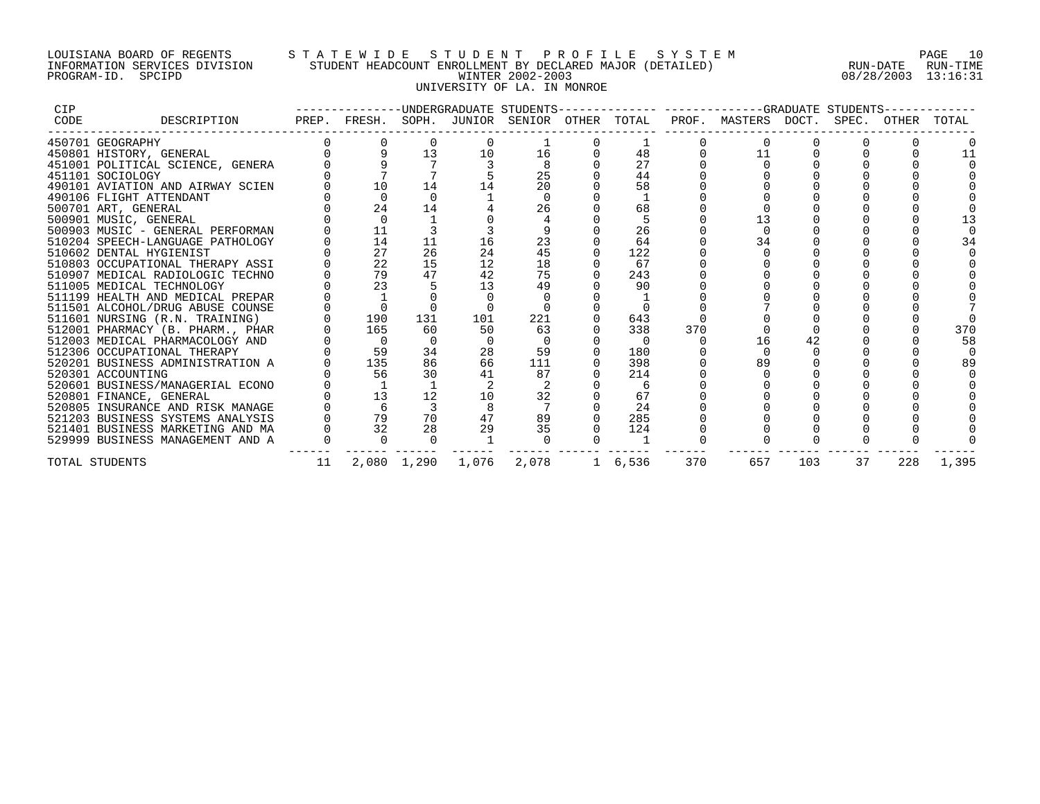## LOUISIANA BOARD OF REGENTS S T A T E W I D E S T U D E N T P R O F I L E S Y S T E M PAGE 10 INFORMATION SERVICES DIVISION STUDENT HEADCOUNT ENROLLMENT BY DECLARED MAJOR (DETAILED) RUN-DATE RUN-TIME PROGRAM-ID. SPCIPD WINTER 2002-2003 08/28/2003 13:16:31 UNIVERSITY OF LA. IN MONROE

| <b>CIP</b> |                                  |    | -------------UNDERGRADUATE STUDENTS-         |             |       |       |          |     |                     |     | -GRADUATE STUDENTS |       |       |
|------------|----------------------------------|----|----------------------------------------------|-------------|-------|-------|----------|-----|---------------------|-----|--------------------|-------|-------|
| CODE       | DESCRIPTION                      |    | PREP. FRESH. SOPH. JUNIOR SENIOR OTHER TOTAL |             |       |       |          |     | PROF. MASTERS DOCT. |     | SPEC.              | OTHER | TOTAL |
|            | 450701 GEOGRAPHY                 |    |                                              |             |       |       |          |     |                     |     |                    |       |       |
|            | 450801 HISTORY, GENERAL          |    |                                              | 13          | 10    | 16    | 48       |     | 11                  |     |                    |       |       |
|            | 451001 POLITICAL SCIENCE, GENERA |    |                                              |             |       |       | 27       |     |                     |     |                    |       |       |
|            | 451101 SOCIOLOGY                 |    |                                              |             |       | 25    | 44       |     |                     |     |                    |       |       |
|            | 490101 AVIATION AND AIRWAY SCIEN |    | 10                                           | 14          |       | 20    | 58       |     |                     |     |                    |       |       |
|            | 490106 FLIGHT ATTENDANT          |    |                                              |             |       |       |          |     |                     |     |                    |       |       |
|            | 500701 ART, GENERAL              |    | 24                                           | 14          |       | 26    | 68       |     |                     |     |                    |       |       |
|            | 500901 MUSIC, GENERAL            |    | $\Omega$                                     |             |       |       |          |     |                     |     |                    |       |       |
|            | 500903 MUSIC - GENERAL PERFORMAN |    | 11                                           |             |       |       | 26       |     |                     |     |                    |       |       |
|            | 510204 SPEECH-LANGUAGE PATHOLOGY |    | 14                                           | 11          | 16    | 23    | 64       |     |                     |     |                    |       |       |
|            | 510602 DENTAL HYGIENIST          |    | 27                                           | 26          | 24    | 45    | 122      |     |                     |     |                    |       |       |
|            | 510803 OCCUPATIONAL THERAPY ASSI |    | 22                                           | 15          | 12    | 18    | 67       |     |                     |     |                    |       |       |
|            | 510907 MEDICAL RADIOLOGIC TECHNO |    | 79                                           | 47          | 42    | 75    | 243      |     |                     |     |                    |       |       |
|            | 511005 MEDICAL TECHNOLOGY        |    | 23                                           |             | 13    | 49    | 90       |     |                     |     |                    |       |       |
|            | 511199 HEALTH AND MEDICAL PREPAR |    |                                              |             |       |       |          |     |                     |     |                    |       |       |
|            | 511501 ALCOHOL/DRUG ABUSE COUNSE |    |                                              |             |       |       |          |     |                     |     |                    |       |       |
|            | 511601 NURSING (R.N. TRAINING)   |    | 190                                          | 131         | 101   | 221   | 643      |     |                     |     |                    |       |       |
|            | 512001 PHARMACY (B. PHARM., PHAR |    | 165                                          | 60          | 50    | 63    | 338      | 370 |                     |     |                    |       | 370   |
|            | 512003 MEDICAL PHARMACOLOGY AND  |    | $\overline{0}$                               | $\Omega$    |       |       | $\Omega$ |     | 16                  | 42  |                    |       | 58    |
|            | 512306 OCCUPATIONAL THERAPY      |    | 59                                           | 34          | 28    | 59    | 180      |     |                     |     |                    |       |       |
|            | 520201 BUSINESS ADMINISTRATION A |    | 135                                          | 86          | 66    | 111   | 398      |     | 89                  |     |                    |       | 89    |
|            | 520301 ACCOUNTING                |    | 56                                           | 30          |       | 87    | 214      |     |                     |     |                    |       |       |
|            | 520601 BUSINESS/MANAGERIAL ECONO |    |                                              |             |       |       | - 6      |     |                     |     |                    |       |       |
|            | 520801 FINANCE, GENERAL          |    | 13                                           | 12          | 10    | 32    | 67       |     |                     |     |                    |       |       |
|            | 520805 INSURANCE AND RISK MANAGE |    |                                              |             |       |       | 24       |     |                     |     |                    |       |       |
|            | 521203 BUSINESS SYSTEMS ANALYSIS |    | 79                                           | 70          | 47    | 89    | 285      |     |                     |     |                    |       |       |
|            | 521401 BUSINESS MARKETING AND MA |    | 32                                           | 28          | 29    | 35    | 124      |     |                     |     |                    |       |       |
|            | 529999 BUSINESS MANAGEMENT AND A |    |                                              |             |       |       |          |     |                     |     |                    |       |       |
|            | TOTAL STUDENTS                   | 11 |                                              | 2,080 1,290 | 1,076 | 2,078 | 1 6,536  | 370 | 657                 | 103 | 37                 | 228   | 1,395 |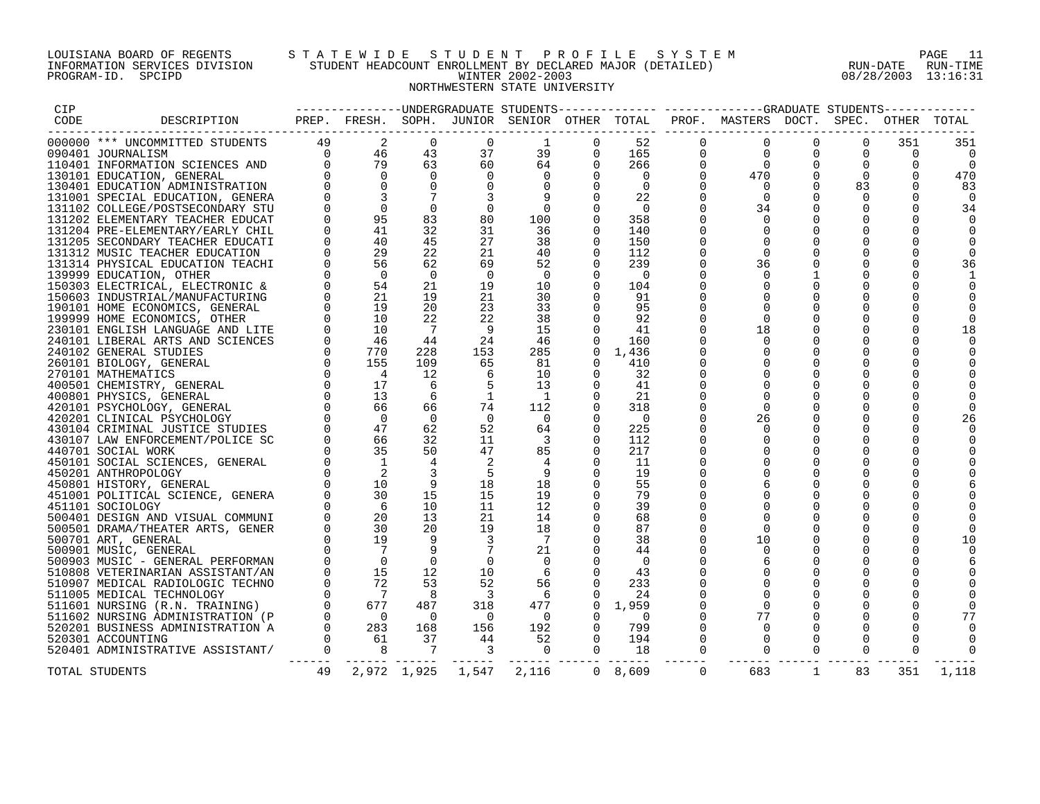## LOUISIANA BOARD OF REGENTS S T A T E W I D E S T U D E N T P R O F I L E S Y S T E M PAGE 11 INFORMATION SERVICES DIVISION STUDENT HEADCOUNT ENROLLMENT BY DECLARED MAJOR (DETAILED) RUN-DATE RUN-TIME PROGRAM-ID. SPCIPD WINTER 2002-2003 08/28/2003 13:16:31 NORTHWESTERN STATE UNIVERSITY

| CIP  |                                                                                                                                                                                                                              |    |  |                         |         |                      |                                     |                      |                |                |                |
|------|------------------------------------------------------------------------------------------------------------------------------------------------------------------------------------------------------------------------------|----|--|-------------------------|---------|----------------------|-------------------------------------|----------------------|----------------|----------------|----------------|
| CODE |                                                                                                                                                                                                                              |    |  |                         |         |                      |                                     |                      |                |                |                |
|      |                                                                                                                                                                                                                              |    |  |                         |         | $\Omega$             | $\Omega$                            | $\Omega$             | $\Omega$       | 351            | 351            |
|      |                                                                                                                                                                                                                              |    |  |                         |         | $\mathbf{0}$         |                                     | $\Omega$             | $\Omega$       | $\Omega$       |                |
|      |                                                                                                                                                                                                                              |    |  |                         |         | $\mathsf{O}$         | $\begin{matrix}0\\0\end{matrix}$    | $\mathbf 0$          | $\overline{0}$ | $\overline{0}$ | $\overline{0}$ |
|      |                                                                                                                                                                                                                              |    |  |                         |         | $\mathbf{0}$         | $\begin{array}{c}0\\470\end{array}$ | $\overline{0}$       | $\overline{0}$ | $\mathbf 0$    | 470            |
|      |                                                                                                                                                                                                                              |    |  |                         |         | $\Omega$             | $\overline{0}$                      | $\Omega$             | 83             | $\Omega$       | 83             |
|      |                                                                                                                                                                                                                              |    |  |                         |         | $\Omega$             | $\overline{0}$                      | $\Omega$             | $\Omega$       | $\mathbf 0$    |                |
|      |                                                                                                                                                                                                                              |    |  |                         |         | $\Omega$             | 34                                  | $\Omega$             | $\Omega$       | $\Omega$       | 34             |
|      |                                                                                                                                                                                                                              |    |  |                         |         | $\Omega$             | $\Omega$                            | $\Omega$             | $\Omega$       | $\mathbf 0$    |                |
|      |                                                                                                                                                                                                                              |    |  |                         |         | $\Omega$             | $\Omega$                            | $\Omega$             | $\Omega$       | $\Omega$       |                |
|      |                                                                                                                                                                                                                              |    |  |                         |         | $\Omega$             | $\overline{0}$                      | $\Omega$             | $\Omega$       | $\Omega$       |                |
|      |                                                                                                                                                                                                                              |    |  |                         |         |                      | $\overline{0}$                      | $\mathbf 0$          | $\mathbf 0$    | 0              |                |
|      |                                                                                                                                                                                                                              |    |  |                         |         | $\Omega$             | 36                                  | $\mathbf 0$          | $\overline{0}$ | 0              | 36             |
|      |                                                                                                                                                                                                                              |    |  |                         |         | $\Omega$             | $\Omega$                            | 1                    | $\Omega$       | 0              |                |
|      |                                                                                                                                                                                                                              |    |  |                         |         | $\Omega$             |                                     | $\mathbf 0$          | $\mathbf 0$    | 0              |                |
|      |                                                                                                                                                                                                                              |    |  |                         |         | $\Omega$             | $\Omega$                            | $\mathbf 0$          | $\mathbf 0$    | 0              |                |
|      |                                                                                                                                                                                                                              |    |  |                         |         |                      | $\Omega$                            | $\Omega$             | $\Omega$       | $\Omega$       |                |
|      |                                                                                                                                                                                                                              |    |  |                         |         | $\Omega$             | $\Omega$                            | $\Omega$             | $\Omega$       | $\mathbf 0$    |                |
|      |                                                                                                                                                                                                                              |    |  |                         |         | $\Omega$             | 18                                  | $\Omega$             | $\Omega$       | $\mathbf 0$    | 18             |
|      |                                                                                                                                                                                                                              |    |  |                         |         | $\Omega$             | $\Omega$                            | $\Omega$             | $\Omega$       | $\Omega$       |                |
|      |                                                                                                                                                                                                                              |    |  |                         |         | $\mathbf 0$          | $\mathbf 0$                         | $\mathbf 0$          | $\overline{0}$ | 0              |                |
|      |                                                                                                                                                                                                                              |    |  |                         |         | $\Omega$             | $\Omega$                            | $\mathbf 0$          | $\overline{0}$ | $\mathbf 0$    |                |
|      |                                                                                                                                                                                                                              |    |  |                         |         | $\Omega$             | $\Omega$                            | $\Omega$             | $\Omega$       | 0              |                |
|      |                                                                                                                                                                                                                              |    |  |                         |         |                      | $\Omega$                            | $\mathbf 0$          | $\mathbf 0$    | 0              |                |
|      |                                                                                                                                                                                                                              |    |  |                         |         |                      | $\Omega$                            | $\Omega$             | $\Omega$       | 0              |                |
|      |                                                                                                                                                                                                                              |    |  |                         |         |                      | $\Omega$                            | $\Omega$             | $\Omega$       | $\Omega$       |                |
|      |                                                                                                                                                                                                                              |    |  |                         |         | $\Omega$             |                                     | $\Omega$             | $\Omega$       |                |                |
|      |                                                                                                                                                                                                                              |    |  |                         |         |                      | 26                                  |                      |                | $\mathbf 0$    | 26             |
|      |                                                                                                                                                                                                                              |    |  |                         |         | $\Omega$<br>$\Omega$ | $\Omega$                            | $\Omega$<br>$\Omega$ | $\Omega$       | 0              |                |
|      |                                                                                                                                                                                                                              |    |  |                         |         |                      | $\Omega$                            |                      | $\Omega$       | 0              |                |
|      |                                                                                                                                                                                                                              |    |  |                         |         |                      |                                     | $\mathbf 0$          | $\mathbf 0$    | 0              |                |
|      |                                                                                                                                                                                                                              |    |  |                         |         | $\Omega$             |                                     | $\Omega$             | $\Omega$       | 0              |                |
|      |                                                                                                                                                                                                                              |    |  |                         |         | $\Omega$             |                                     | $\Omega$             | $\Omega$       | 0              |                |
|      |                                                                                                                                                                                                                              |    |  |                         |         | $\Omega$             |                                     | $\mathbf 0$          | $\Omega$       | 0              |                |
|      |                                                                                                                                                                                                                              |    |  |                         |         | $\Omega$             | $\Omega$                            | $\Omega$             | $\Omega$       | 0              |                |
|      |                                                                                                                                                                                                                              |    |  |                         |         |                      | $\Omega$                            | $\Omega$             | $\Omega$       | 0              |                |
|      |                                                                                                                                                                                                                              |    |  |                         |         | $\Omega$             | $\Omega$                            | $\Omega$             | $\Omega$       | 0              |                |
|      |                                                                                                                                                                                                                              |    |  |                         |         |                      | $\Omega$                            | $\Omega$             | $\Omega$       | $\Omega$       |                |
|      |                                                                                                                                                                                                                              |    |  |                         |         | $\Omega$             | 10                                  | $\mathbf 0$          | $\mathbf 0$    | 0              | 10             |
|      |                                                                                                                                                                                                                              |    |  |                         |         |                      | $\Omega$                            |                      | $\Omega$       | 0              |                |
|      |                                                                                                                                                                                                                              |    |  |                         |         |                      |                                     | $\Omega$             | $\Omega$       | $\Omega$       |                |
|      |                                                                                                                                                                                                                              |    |  |                         |         |                      |                                     | $\mathbf 0$          | $\mathbf 0$    | 0              |                |
|      |                                                                                                                                                                                                                              |    |  |                         |         |                      | $\Omega$                            | $\Omega$             | $\Omega$       | 0              |                |
|      |                                                                                                                                                                                                                              |    |  |                         |         |                      | $\Omega$                            | $\Omega$             | $\Omega$       | $\Omega$       |                |
|      |                                                                                                                                                                                                                              |    |  |                         |         | 0                    | $\Omega$                            | $\mathbf 0$          | $\Omega$       | 0              |                |
|      |                                                                                                                                                                                                                              |    |  |                         |         | $\Omega$             | $7\overline{7}$                     | $\overline{0}$       | $\Omega$       | $\Omega$       | 77             |
|      |                                                                                                                                                                                                                              |    |  |                         |         | $\Omega$             | $\Omega$                            | $\Omega$             | $\Omega$       |                |                |
|      |                                                                                                                                                                                                                              |    |  |                         |         | $\overline{0}$       | $\overline{0}$                      | $\mathbf 0$          | $\overline{0}$ | $\Omega$       |                |
|      | CHE (1990) (1990) (1990) (1990) (1990) (1990) (1990) (1990) (1990) (1990) (1990) (1990) (1990) (1990) (1990) (1990) (1990) (1990) (1990) (1990) (1990) (1990) (1990) (1990) (1990) (1990) (1990) (1990) (1990) (1990) (1990) |    |  |                         |         | $\overline{0}$       | $\overline{0}$                      | $\Omega$             | $\overline{0}$ |                |                |
|      | TOTAL STUDENTS                                                                                                                                                                                                               | 49 |  | 2,972 1,925 1,547 2,116 | 0 8,609 | $\overline{0}$       | 683                                 | $\overline{1}$       | 83             | 351            | 1,118          |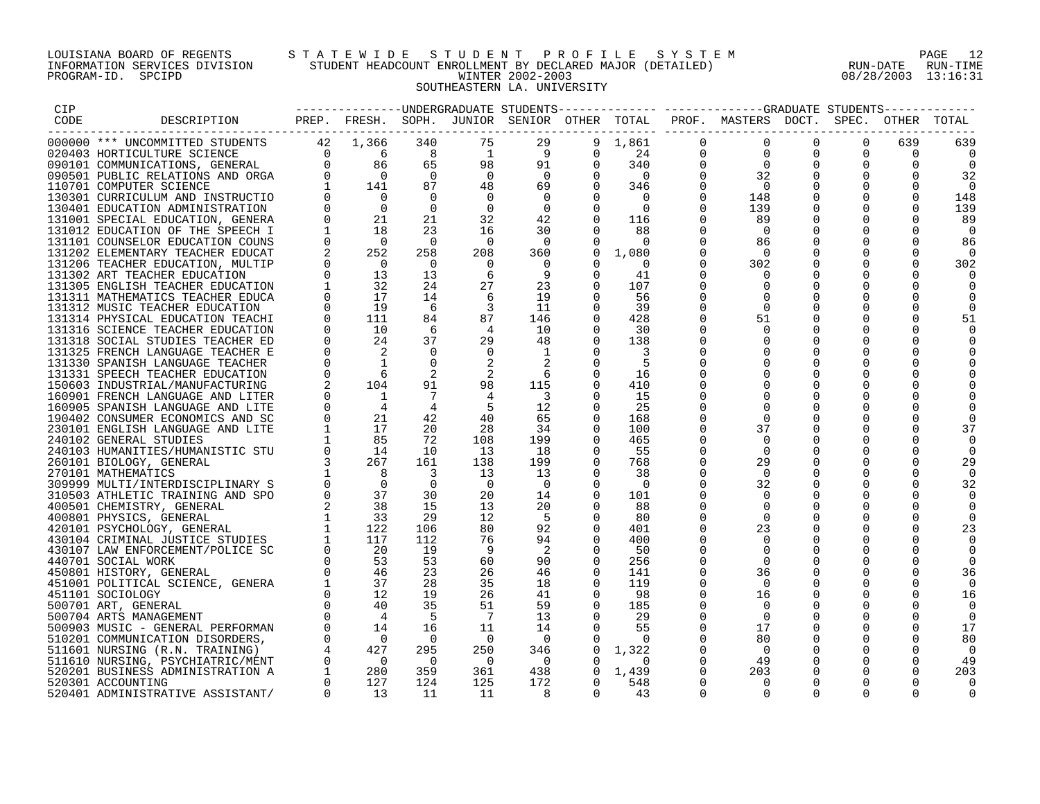## LOUISIANA BOARD OF REGENTS S T A T E W I D E S T U D E N T P R O F I L E S Y S T E M PAGE 12 INFORMATION SERVICES DIVISION STUDENT HEADCOUNT ENROLLMENT BY DECLARED MAJOR (DETAILED) RUN-DATE RUN-TIME PROGRAM-ID. SPCIPD WINTER 2002-2003 08/28/2003 13:16:31 SOUTHEASTERN LA. UNIVERSITY

| CIP  |                                                                  |                   |                                        |                                            |                          |                                           |                      |                          |                      | ----------------UNDERGRADUATE STUDENTS------------- -----------GRADUATE STUDENTS------------ |          |                      |          |                          |
|------|------------------------------------------------------------------|-------------------|----------------------------------------|--------------------------------------------|--------------------------|-------------------------------------------|----------------------|--------------------------|----------------------|----------------------------------------------------------------------------------------------|----------|----------------------|----------|--------------------------|
| CODE | DESCRIPTION                                                      |                   |                                        |                                            |                          |                                           |                      |                          |                      | PREP. FRESH. SOPH. JUNIOR SENIOR OTHER TOTAL PROF. MASTERS DOCT. SPEC. OTHER TOTAL           |          |                      |          |                          |
|      |                                                                  |                   |                                        | 340                                        | 75                       | 29                                        |                      | 9 1,861                  | $\mathbf 0$          | $\overline{0}$                                                                               | $\Omega$ | $\Omega$             | 639      | 639                      |
|      |                                                                  |                   |                                        | 8                                          | $\overline{1}$           | - 9                                       | $\Omega$             | 24                       | $\overline{0}$       | $\Omega$                                                                                     |          | $\Omega$             | $\Omega$ |                          |
|      |                                                                  |                   |                                        | 65                                         | 98                       | 91                                        | $\Omega$             | 340                      | $\overline{0}$       | $\overline{0}$                                                                               | $\Omega$ | $\Omega$             | $\Omega$ | $\Omega$                 |
|      |                                                                  |                   |                                        | $\overline{0}$                             | $\overline{0}$           | $\overline{0}$                            | $\Omega$             | $\overline{0}$           | $\Omega$             | 32                                                                                           | $\Omega$ | $\Omega$             | $\Omega$ | 32                       |
|      |                                                                  |                   |                                        | 87                                         | 48                       | 69                                        |                      | $0 \t346$                | 0                    | $\overline{0}$                                                                               |          | 0                    | $\Omega$ | $\overline{\phantom{0}}$ |
|      |                                                                  |                   |                                        | $\Omega$                                   | $\overline{\phantom{0}}$ | $\overline{\phantom{0}}$                  |                      | $\overline{0}$           | $\Omega$             | 148                                                                                          |          | $\mathbf 0$          |          | 148                      |
|      | 130401 EDUCATION ADMINISTRATION                                  | $0 \qquad \qquad$ | $\overline{0}$                         | $\Omega$                                   | $\overline{0}$           | $\Omega$                                  | $\Omega$             | $\overline{0}$           | $\Omega$             | 139                                                                                          |          | $\mathbf 0$          | $\Omega$ | 139                      |
|      | 131001 SPECIAL EDUCATION, GENERA                                 |                   | 21                                     | 21                                         | 32                       | 42                                        |                      | $0 \t 116$               | $\Omega$             | 89                                                                                           |          | $\Omega$             | $\Omega$ | 89                       |
|      | 131012 EDUCATION OF THE SPEECH I                                 |                   | 18                                     | 23                                         | 16                       | 30                                        | $\Omega$             | 88                       | $\Omega$             | $\Omega$                                                                                     |          | $\Omega$             | $\Omega$ | $\Omega$                 |
|      | 131101 COUNSELOR EDUCATION COUNS                                 | 0                 | $\overline{\phantom{0}}$               | $\bigcirc$                                 | $\overline{0}$           | $\overline{0}$                            | 0                    | $\overline{\phantom{0}}$ | 0                    | 86                                                                                           | 0        | 0                    | $\Omega$ | 86                       |
|      | 131202 ELEMENTARY TEACHER EDUCAT                                 |                   | 252                                    | 258                                        | 208                      | 360                                       | $\overline{0}$       | 1,080                    | $\Omega$             | $\bigcirc$                                                                                   |          | $\mathbf 0$          | $\Omega$ | $\Omega$                 |
|      | 131206 TEACHER EDUCATION, MULTIP                                 |                   | $\begin{array}{c} 0 \\ 13 \end{array}$ | $\bigcirc$<br>13                           | $\Omega$<br>6            | $\overline{\mathbf{0}}$<br>$\overline{9}$ | $\Omega$<br>$\Omega$ | $\Omega$<br>41           | $\Omega$<br>$\Omega$ | 302                                                                                          |          | $\Omega$<br>$\Omega$ |          | 302                      |
|      | 131302 ART TEACHER EDUCATION<br>131305 ENGLISH TEACHER EDUCATION |                   | 32                                     | 24                                         | 27                       | 23                                        | $\Omega$             | 107                      | $\Omega$             | $\Omega$                                                                                     | $\Omega$ | $\Omega$             |          |                          |
|      | 131311 MATHEMATICS TEACHER EDUCA                                 |                   | 17                                     | 14                                         | 6                        | 19                                        | $\Omega$             | 56                       |                      |                                                                                              |          |                      |          |                          |
|      | 131312 MUSIC TEACHER EDUCATION                                   |                   | 19                                     | 6                                          |                          | -11                                       | $\Omega$             | 39                       | $\Omega$             | $\Omega$                                                                                     | $\Omega$ | 0                    |          |                          |
|      | 131314 PHYSICAL EDUCATION TEACHI                                 |                   | 111                                    | 84                                         | 87                       | 146                                       | $\Omega$             | 428                      | $\Omega$             | 51                                                                                           | $\Omega$ | $\Omega$             |          | 51                       |
|      | 131316 SCIENCE TEACHER EDUCATION                                 |                   | 10                                     | 6                                          | $\overline{4}$           | 10                                        | $\Omega$             | 30                       | $\Omega$             | $\Omega$                                                                                     | 0        | $\Omega$             |          |                          |
|      | 131318 SOCIAL STUDIES TEACHER ED                                 | $\Omega$          | 24                                     | 37                                         | 29                       | 48                                        | $\Omega$             | 138                      | $\Omega$             |                                                                                              | $\Omega$ | $\Omega$             |          |                          |
|      | 131325 FRENCH LANGUAGE TEACHER E                                 |                   | 2                                      | $\Omega$                                   | $\Omega$                 |                                           |                      |                          |                      |                                                                                              |          | $\Omega$             |          |                          |
|      |                                                                  |                   |                                        | $\Omega$                                   |                          |                                           | $\Omega$             |                          |                      |                                                                                              | $\Omega$ | $\Omega$             |          |                          |
|      |                                                                  |                   |                                        | 2                                          | 2                        | 6                                         |                      | 16                       |                      |                                                                                              |          | $\Omega$             |          |                          |
|      |                                                                  |                   |                                        | 91                                         | 98                       | 115                                       | 0                    | 410                      |                      |                                                                                              | 0        | 0                    |          |                          |
|      |                                                                  |                   |                                        | $\overline{7}$                             |                          | $\overline{\phantom{a}}$                  |                      | 15                       |                      |                                                                                              |          | $\Omega$             |          |                          |
|      |                                                                  |                   |                                        | $\overline{4}$                             | - 5                      | 12                                        | $\Omega$             | 25                       |                      |                                                                                              |          | $\Omega$             |          |                          |
|      |                                                                  |                   |                                        | 42                                         | 40                       | 65                                        | $\Omega$             | 168                      |                      | $\Omega$                                                                                     |          | $\Omega$             |          |                          |
|      |                                                                  |                   |                                        | 20                                         | 28                       | 34                                        | $\Omega$             | 100                      | $\Omega$             | 37                                                                                           | $\Omega$ | $\Omega$             |          | 37                       |
|      |                                                                  |                   |                                        | 72                                         | 108                      | 199                                       | $\overline{0}$       | 465                      | 0                    |                                                                                              |          | 0                    |          |                          |
|      |                                                                  |                   |                                        | 10                                         | 13                       | 18                                        | $\Omega$             | 55                       | $\Omega$             | $\Omega$                                                                                     |          | $\Omega$             |          |                          |
|      |                                                                  |                   |                                        | 161                                        | 138                      | 199                                       | $\overline{0}$       | 768                      | $\Omega$             | 29                                                                                           |          | $\Omega$             | O        | 29                       |
|      |                                                                  |                   |                                        | $\overline{\phantom{a}}$<br>$\overline{0}$ | 13<br>$\overline{0}$     | 13                                        | $\Omega$             | 38                       | 0                    | $\Omega$                                                                                     |          | $\Omega$<br>$\Omega$ | ∩        |                          |
|      |                                                                  |                   |                                        | 30                                         | 20                       | $\overline{\phantom{0}}$<br>14            | $\Omega$<br>$\Omega$ | $\Omega$<br>101          | $\Omega$             | 32                                                                                           | $\Omega$ |                      |          | 32                       |
|      |                                                                  |                   |                                        | 15                                         | 13                       | 20                                        | 0                    | 88                       |                      |                                                                                              | $\Omega$ | 0                    |          |                          |
|      |                                                                  |                   |                                        | 29                                         | 12                       | $-5$                                      | $\Omega$             | 80                       |                      | $\Omega$                                                                                     |          | $\Omega$             |          |                          |
|      |                                                                  |                   |                                        | 106                                        | 80                       | 92                                        |                      | 401                      |                      | 23                                                                                           | $\Omega$ | $\Omega$             |          | 23                       |
|      |                                                                  |                   |                                        | 112                                        | 76                       | 94                                        | $\Omega$             | 400                      |                      |                                                                                              | $\Omega$ | $\Omega$             |          |                          |
|      |                                                                  |                   |                                        | 19                                         | - 9                      | $\overline{\phantom{0}}^2$                |                      | 50                       |                      |                                                                                              |          |                      |          |                          |
|      |                                                                  |                   |                                        | 53                                         | 60                       | 90                                        | $\Omega$             | 256                      | 0                    | $\Omega$                                                                                     |          | $\Omega$             |          |                          |
|      |                                                                  |                   |                                        | 23                                         | 26                       | 46                                        |                      | 141                      | $\Omega$             | 36                                                                                           | $\Omega$ | $\Omega$             | O        | 36                       |
|      |                                                                  |                   |                                        | 28                                         | 35                       | 18                                        | $\Omega$             | 119                      | $\Omega$             | - 0                                                                                          | $\Omega$ | $\Omega$             |          |                          |
|      |                                                                  |                   |                                        | 19                                         | 26                       | 41                                        | 0                    | 98                       | $\Omega$             | 16                                                                                           | $\Omega$ | $\mathbf 0$          |          | 16                       |
|      |                                                                  |                   |                                        | 35                                         | 51                       | 59                                        | $\overline{0}$       | 185                      | $\Omega$             |                                                                                              |          | $\Omega$             |          |                          |
|      |                                                                  |                   |                                        | $5^{\circ}$                                | $\overline{7}$           | 13                                        | $\Omega$             | 29                       |                      | $\cap$                                                                                       |          | $\Omega$             |          | $\Omega$                 |
|      |                                                                  |                   |                                        | 16                                         | 11                       | 14                                        | $\Omega$             | 55                       | $\Omega$             | 17                                                                                           |          | $\Omega$             | $\Omega$ | 17                       |
|      |                                                                  |                   |                                        | $\overline{0}$                             | $\overline{0}$           | $\overline{\phantom{0}}$                  |                      | $\Omega$                 | 0                    | 80                                                                                           | 0        | 0                    | $\Omega$ | 80                       |
|      |                                                                  |                   |                                        | 295                                        | 250                      | 346                                       | $\circ$              | 1,322                    | $\Omega$             | $\overline{0}$                                                                               | $\Omega$ | 0                    | $\Omega$ | $\Omega$                 |
|      |                                                                  |                   |                                        | $\overline{0}$                             | $\overline{0}$           | $\overline{\phantom{0}}$                  | $\mathbf{0}$         | 0                        | 0                    | 49                                                                                           |          | $\Omega$             | 0        | 49                       |
|      |                                                                  |                   |                                        | 359                                        | 361                      | 438                                       |                      | $0 \quad 1,439$          | $\Omega$             | 203                                                                                          | $\Omega$ | $\Omega$             |          | 203                      |
|      |                                                                  | $\overline{0}$    |                                        | 124                                        | 125                      | 172                                       | $\Omega$<br>$\cap$   | 548                      | $\Omega$<br>$\cap$   | $\Omega$                                                                                     | $\Omega$ | $\Omega$             |          | $\Omega$                 |
|      | 520401 ADMINISTRATIVE ASSISTANT/                                 |                   | 13                                     | 11                                         | 11                       | -8                                        |                      | 43                       |                      |                                                                                              |          |                      |          | $\Omega$                 |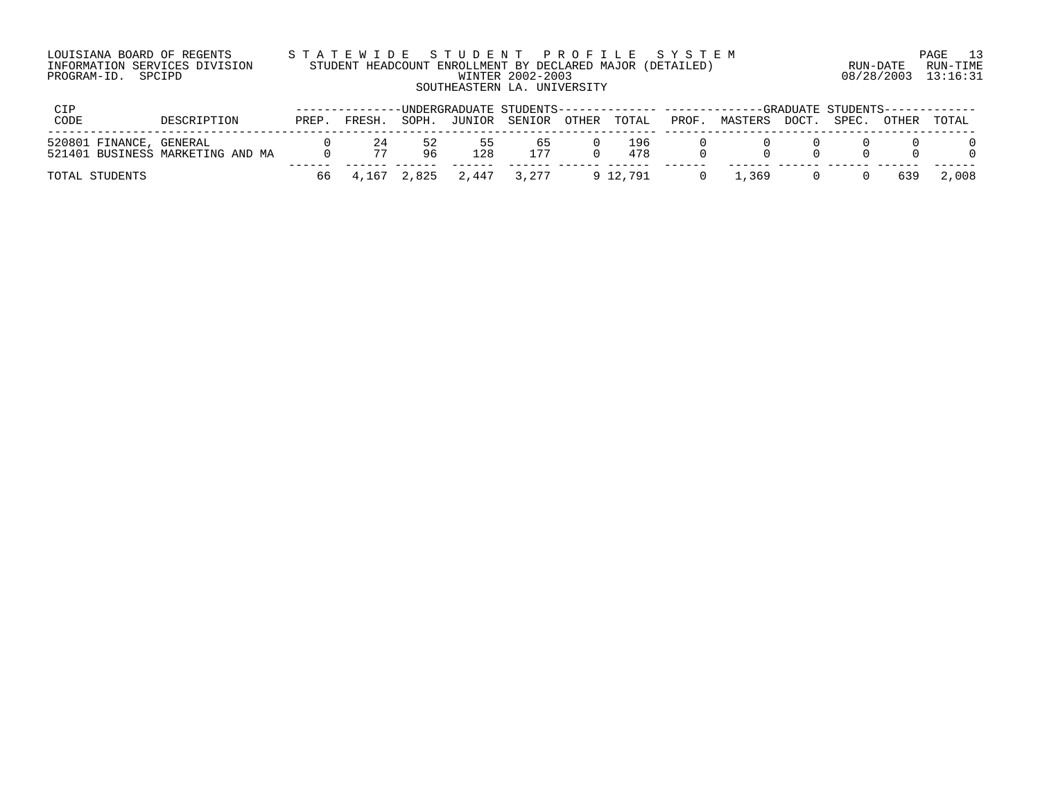| LOUISIANA BOARD OF REGENTS    | STATEWIDE STUDENT PROFILE SYSTEM                          |                     | PAGE 13  |
|-------------------------------|-----------------------------------------------------------|---------------------|----------|
| INFORMATION SERVICES DIVISION | STUDENT HEADCOUNT ENROLLMENT BY DECLARED MAJOR (DETAILED) | RUN-DATE            | RUN-TIME |
| PROGRAM-ID. SPCIPD            | WINTER 2002-2003                                          | 08/28/2003 13:16:31 |          |
|                               | SOUTHEASTERN LA. UNIVERSITY                               |                     |          |
|                               |                                                           |                     |          |

| CTP                     |                                  |      |          |          |                         |              |            |       | -------------UNDERGRADUATE STUDENTS------------- ------------GRADUATE STUDENTS------------ |       |       |       |       |  |
|-------------------------|----------------------------------|------|----------|----------|-------------------------|--------------|------------|-------|--------------------------------------------------------------------------------------------|-------|-------|-------|-------|--|
| CODE                    | DESCRIPTION                      | PREP | FRESH.   | SOPH.    | JUNIOR                  | SENIOR OTHER | TOTAL      | PROF. | MASTERS                                                                                    | DOCT. | SPEC. | OTHER | TOTAL |  |
| 520801 FINANCE, GENERAL | 521401 BUSINESS MARKETING AND MA |      | 24<br>77 | 52<br>96 | כ כ<br>128              | 65<br>177    | 196<br>478 |       |                                                                                            |       |       |       |       |  |
| TOTAL STUDENTS          |                                  | 66   |          |          | 4,167 2,825 2,447 3,277 |              | 9 12.791   |       | .369                                                                                       |       |       | 639   | 2,008 |  |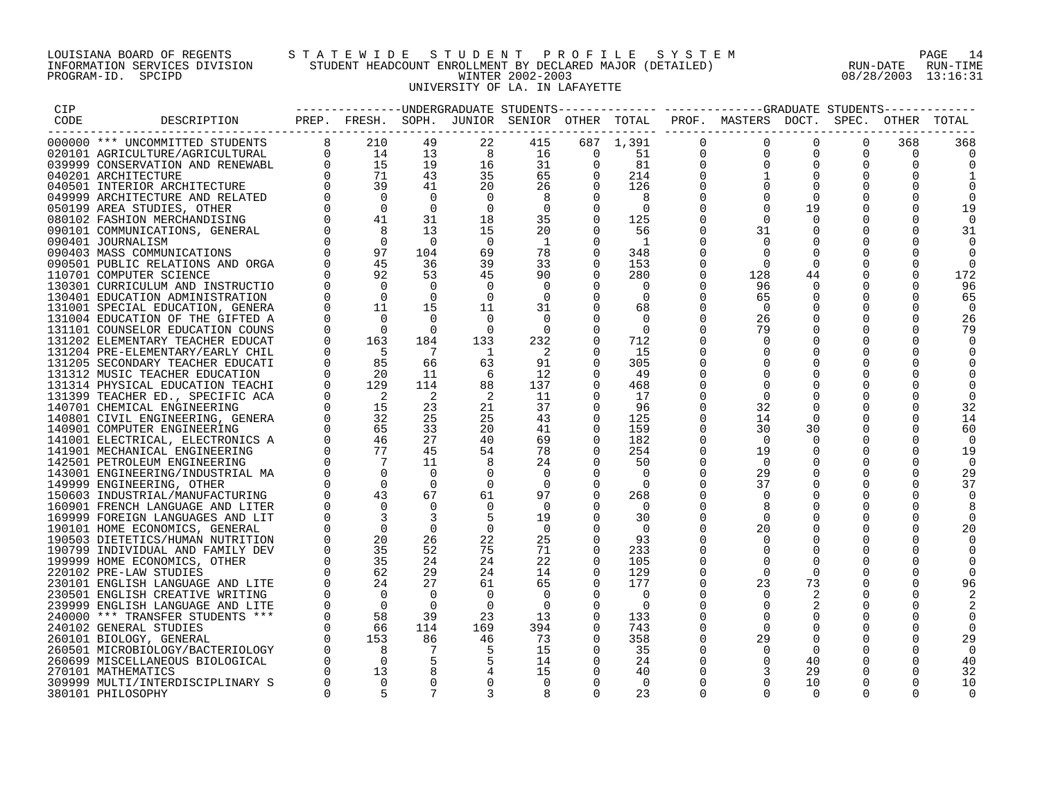## LOUISIANA BOARD OF REGENTS S T A T E W I D E S T U D E N T P R O F I L E S Y S T E M PAGE 14 INFORMATION SERVICES DIVISION STUDENT HEADCOUNT ENROLLMENT BY DECLARED MAJOR (DETAILED) RUN-DATE RUN-TIME PROGRAM-ID. SPCIPD WINTER 2002-2003 08/28/2003 13:16:31 UNIVERSITY OF LA. IN LAFAYETTE

| CIP  |                                                               |                                                                                                                                                                                                                                                                                                                                     |                            |                |                |                |          |              |               | --------------DNDERGRADUATE STUDENTS------------- -----------GRADUATE STUDENTS----------- |             |                      |          |          |
|------|---------------------------------------------------------------|-------------------------------------------------------------------------------------------------------------------------------------------------------------------------------------------------------------------------------------------------------------------------------------------------------------------------------------|----------------------------|----------------|----------------|----------------|----------|--------------|---------------|-------------------------------------------------------------------------------------------|-------------|----------------------|----------|----------|
| CODE | DESCRIPTION                                                   |                                                                                                                                                                                                                                                                                                                                     |                            |                |                |                |          |              |               | PREP. FRESH. SOPH. JUNIOR SENIOR OTHER TOTAL PROF. MASTERS DOCT. SPEC. OTHER TOTAL        |             |                      |          |          |
|      |                                                               |                                                                                                                                                                                                                                                                                                                                     |                            |                |                |                |          |              |               |                                                                                           |             |                      |          |          |
|      | 000000 *** UNCOMMITTED STUDENTS                               | 8 <sup>8</sup>                                                                                                                                                                                                                                                                                                                      | 210                        | 49             | 22             | 415            |          | 687 1,391    | 0             | $\mathbf 0$                                                                               | $\mathbf 0$ | $\Omega$             | 368      | 368      |
|      | 020101 AGRICULTURE/AGRICULTURAL                               | $\Omega$                                                                                                                                                                                                                                                                                                                            | 14                         | 13<br>19       | 8              | 16             | $\Omega$ | 51           | 0             | $\Omega$<br>$\Omega$                                                                      | $\Omega$    | $\Omega$<br>$\Omega$ | $\Omega$ |          |
|      | 039999 CONSERVATION AND RENEWABL                              |                                                                                                                                                                                                                                                                                                                                     | 15                         |                | 16             | 31             | 0        | 81           | 0<br>$\Omega$ |                                                                                           | $\mathbf 0$ |                      | $\Omega$ |          |
|      | 040201 ARCHITECTURE                                           |                                                                                                                                                                                                                                                                                                                                     | $\frac{71}{39}$            | 43<br>41       | 35<br>20       | 65             | $\Omega$ | 214<br>126   |               |                                                                                           | $\mathbf 0$ | $\mathbf 0$          |          |          |
|      | 040501 INTERIOR ARCHITECTURE                                  |                                                                                                                                                                                                                                                                                                                                     | $\overline{0}$             | $\bigcirc$     | $\Omega$       | 26<br>8        |          | 8            | $\Omega$      | $\Omega$                                                                                  | $\Omega$    | $\Omega$             |          |          |
|      | 049999 ARCHITECTURE AND RELATED<br>050199 AREA STUDIES, OTHER |                                                                                                                                                                                                                                                                                                                                     | $\overline{0}$             | $\Omega$       | $\Omega$       | $\mathbf 0$    | $\Omega$ | $\Omega$     | $\Omega$      |                                                                                           | 19          | $\Omega$             | $\Omega$ | 19       |
|      | 080102 FASHION MERCHANDISING                                  |                                                                                                                                                                                                                                                                                                                                     | 41                         | 31             | 18             | 35             | $\Omega$ | 125          | $\Omega$      | $\Omega$                                                                                  | $\Omega$    | $\Omega$             | $\Omega$ |          |
|      |                                                               |                                                                                                                                                                                                                                                                                                                                     | 8                          | 13             | 15             | 20             | $\Omega$ | 56           | $\Omega$      | 31                                                                                        | 0           | 0                    | 0        |          |
|      | 090101 COMMUNICATIONS, GENERAL<br>090401 JOURNALISM           |                                                                                                                                                                                                                                                                                                                                     |                            | $\bigcirc$     | $\overline{0}$ | $\mathbf{1}$   | $\Omega$ | $\mathbf{1}$ |               | $\Omega$                                                                                  |             | $\Omega$             |          | 31       |
|      | 090403 MASS COMMUNICATIONS                                    | $\begin{bmatrix} 0 & 0 & 0 \\ 0 & 0 & 0 \\ 0 & 0 & 0 \\ 0 & 0 & 0 \\ 0 & 0 & 0 \\ 0 & 0 & 0 \\ 0 & 0 & 0 \\ 0 & 0 & 0 \\ 0 & 0 & 0 \\ 0 & 0 & 0 \\ 0 & 0 & 0 \\ 0 & 0 & 0 \\ 0 & 0 & 0 \\ 0 & 0 & 0 \\ 0 & 0 & 0 \\ 0 & 0 & 0 \\ 0 & 0 & 0 & 0 \\ 0 & 0 & 0 & 0 \\ 0 & 0 & 0 & 0 \\ 0 & 0 & 0 & 0 \\ 0 & 0 & 0 & 0 \\ 0 & 0 & 0 & $ | $\frac{0}{97}$<br>45<br>92 | 104            | 69             | 78             | $\Omega$ | 348          | $\Omega$      | $\Omega$                                                                                  | $\Omega$    | $\Omega$             | ∩        | $\Omega$ |
|      | 090501 PUBLIC RELATIONS AND ORGA                              |                                                                                                                                                                                                                                                                                                                                     |                            | 36             | 39             | 33             | $\Omega$ | 153          | $\Omega$      | $\Omega$                                                                                  | $\Omega$    | $\Omega$             | $\Omega$ | $\Omega$ |
|      | 110701 COMPUTER SCIENCE                                       |                                                                                                                                                                                                                                                                                                                                     |                            | 53             | 45             | 90             | $\Omega$ | 280          | $\Omega$      | 128                                                                                       | 44          | $\Omega$             | $\Omega$ | 172      |
|      | 130301 CURRICULUM AND INSTRUCTIO                              |                                                                                                                                                                                                                                                                                                                                     | $\overline{0}$             | $\Omega$       | $\overline{0}$ | $\mathbf 0$    | $\Omega$ | 0            | $\Omega$      | 96                                                                                        | $\mathbf 0$ | $\mathbf 0$          | 0        | 96       |
|      | 130401 EDUCATION ADMINISTRATION                               |                                                                                                                                                                                                                                                                                                                                     | $\overline{0}$             | $\Omega$       | $\overline{0}$ | 0              | $\Omega$ | $\Omega$     | $\Omega$      | 65                                                                                        | $\Omega$    | 0                    | $\Omega$ | 65       |
|      | 131001 SPECIAL EDUCATION, GENERA                              |                                                                                                                                                                                                                                                                                                                                     | 11                         | 15             | 11             | 31             | $\Omega$ | 68           | $\Omega$      | - 0                                                                                       | $\Omega$    | $\Omega$             | $\Omega$ | $\Omega$ |
|      | 131004 EDUCATION OF THE GIFTED A                              |                                                                                                                                                                                                                                                                                                                                     | $\bigcap$                  | $\Omega$       | $\Omega$       | $\Omega$       | $\Omega$ | $\Omega$     | $\Omega$      | 26                                                                                        | $\Omega$    | $\Omega$             | $\Omega$ | 26       |
|      | 131101 COUNSELOR EDUCATION COUNS                              | $\mathbf 0$                                                                                                                                                                                                                                                                                                                         | $\overline{0}$             | $\Omega$       | - 0            | $\Omega$       | $\Omega$ | $\Omega$     |               | 79                                                                                        | $\Omega$    | $\Omega$             | $\Omega$ | 79       |
|      | 131202 ELEMENTARY TEACHER EDUCAT                              | $\mathbf 0$                                                                                                                                                                                                                                                                                                                         | 163                        | 184            | 133            | 232            | $\Omega$ | 712          | $\Omega$      | $\Omega$                                                                                  | $\Omega$    | $\mathbf 0$          | $\Omega$ |          |
|      | 131204 PRE-ELEMENTARY/EARLY CHIL                              | 0                                                                                                                                                                                                                                                                                                                                   | $-5$                       | $\overline{7}$ | - 1            | -2             |          | 15           |               | $\Omega$                                                                                  | $\Omega$    | 0                    | 0        |          |
|      | 131205 SECONDARY TEACHER EDUCATI                              | $\Omega$                                                                                                                                                                                                                                                                                                                            | 85                         | 66             | 63             | 91             | $\Omega$ | 305          |               |                                                                                           | $\Omega$    | $\Omega$             |          |          |
|      | 131312 MUSIC TEACHER EDUCATION                                | $\Omega$                                                                                                                                                                                                                                                                                                                            | - 20                       | 11             | 6              | 12             | $\Omega$ | 49           | $\Omega$      | $\Omega$                                                                                  | $\Omega$    | $\Omega$             |          |          |
|      | 131314 PHYSICAL EDUCATION TEACHI                              | $\overline{0}$                                                                                                                                                                                                                                                                                                                      | 129                        | 114            | 88             | 137            | $\Omega$ | 468          |               |                                                                                           |             | $\Omega$             |          |          |
|      | 131399 TEACHER ED., SPECIFIC ACA                              | $\Omega$                                                                                                                                                                                                                                                                                                                            | $\overline{2}$             | $\overline{2}$ | -2             | 11             |          | 17           | $\Omega$      | $\Omega$                                                                                  | $\Omega$    | $\Omega$             |          | $\Omega$ |
|      | 140701 CHEMICAL ENGINEERING                                   |                                                                                                                                                                                                                                                                                                                                     | 15                         | 23             | 21             | 37             | 0        | 96           | $\Omega$      | 32                                                                                        | $\Omega$    | 0                    |          | 32       |
|      | 140801 CIVIL ENGINEERING, GENERA                              |                                                                                                                                                                                                                                                                                                                                     | 32                         | 25             | 25             | 43             | $\Omega$ | 125          | $\Omega$      | 14                                                                                        | $\Omega$    | $\Omega$             | $\Omega$ | 14       |
|      | 140901 COMPUTER ENGINEERING                                   | $\Omega$                                                                                                                                                                                                                                                                                                                            | 65                         | 33             | 20             | 41             | $\Omega$ | 159          | $\Omega$      | 30                                                                                        | 30          | 0                    | $\Omega$ | 60       |
|      | 141001 ELECTRICAL, ELECTRONICS A                              |                                                                                                                                                                                                                                                                                                                                     | 46                         | 27             | 40             | 69             | $\Omega$ | 182          | $\Omega$      | $\Omega$                                                                                  | $\Omega$    | $\Omega$             | $\Omega$ |          |
|      | 141901 MECHANICAL ENGINEERING                                 | $\Omega$                                                                                                                                                                                                                                                                                                                            | 77                         | 45             | 54             | 78             |          | 254          | $\Omega$      | 19                                                                                        | $\Omega$    | $\Omega$             | $\Omega$ | 19       |
|      | 142501 PETROLEUM ENGINEERING                                  |                                                                                                                                                                                                                                                                                                                                     | $\overline{7}$             | 11             | 8              | 24             | $\Omega$ | 50           | $\Omega$      | $\Omega$                                                                                  | $\Omega$    | $\Omega$             | $\Omega$ | 0        |
|      | 143001 ENGINEERING/INDUSTRIAL MA                              |                                                                                                                                                                                                                                                                                                                                     | $\Omega$                   | $\Omega$       | $\Omega$       | $\Omega$       | $\Omega$ | $\Omega$     | $\Omega$      | 29                                                                                        | $\Omega$    | $\Omega$             | $\Omega$ | 29       |
|      | 149999 ENGINEERING, OTHER                                     |                                                                                                                                                                                                                                                                                                                                     | $\overline{0}$             | $\Omega$       | 0              | 0              |          | $\Omega$     | $\Omega$      | 37                                                                                        | 0           | 0                    | $\Omega$ | 37       |
|      | 150603 INDUSTRIAL/MANUFACTURING                               |                                                                                                                                                                                                                                                                                                                                     | 43                         | 67             | 61             | 97             | $\Omega$ | 268          |               | $\Omega$                                                                                  | $\Omega$    | $\Omega$             | $\Omega$ |          |
|      | 160901 FRENCH LANGUAGE AND LITER                              |                                                                                                                                                                                                                                                                                                                                     |                            | $\Omega$       | $\Omega$       | $\Omega$       | 0        | $\Omega$     |               |                                                                                           |             | $\Omega$             |          |          |
|      | 169999 FOREIGN LANGUAGES AND LIT                              | $\Omega$                                                                                                                                                                                                                                                                                                                            |                            | 3              | 5              | 19             | $\Omega$ | 30           | $\Omega$      | $\Omega$                                                                                  | $\Omega$    | $\Omega$             | $\Omega$ |          |
|      | 190101 HOME ECONOMICS, GENERAL                                |                                                                                                                                                                                                                                                                                                                                     | $\Omega$                   | $\overline{0}$ | $\overline{0}$ | $\overline{0}$ |          | $\Omega$     | $\Omega$      | 20                                                                                        | 0           | 0                    | 0        | 20       |
|      | 190503 DIETETICS/HUMAN NUTRITION                              |                                                                                                                                                                                                                                                                                                                                     | 20                         | 26             | 22             | 25             |          | 93           | $\Omega$      | $\Omega$                                                                                  | $\Omega$    | $\Omega$             | $\Omega$ |          |
|      | 190799 INDIVIDUAL AND FAMILY DEV                              |                                                                                                                                                                                                                                                                                                                                     | 35                         | 52             | 75             | 71             |          | 233          |               | $\Omega$                                                                                  | $\Omega$    | $\Omega$             |          |          |
|      | 199999 HOME ECONOMICS, OTHER                                  |                                                                                                                                                                                                                                                                                                                                     | 35                         | 24             | 24             | 22             | 0        | 105          | $\Omega$      | $\Omega$                                                                                  | $\Omega$    | $\Omega$             |          |          |
|      | 220102 PRE-LAW STUDIES                                        | $\Omega$                                                                                                                                                                                                                                                                                                                            | 62                         | 29             | 24             | 14             | $\Omega$ | 129          | $\Omega$      | $\Omega$                                                                                  | $\Omega$    | $\Omega$             | $\Omega$ |          |
|      | 230101 ENGLISH LANGUAGE AND LITE                              | $\mathbf 0$                                                                                                                                                                                                                                                                                                                         | 24                         | 27             | 61             | 65             | $\Omega$ | 177          | 0             | 23                                                                                        | 73          | $\mathbf 0$          | 0        | 96       |
|      | 230501 ENGLISH CREATIVE WRITING                               | $\overline{0}$                                                                                                                                                                                                                                                                                                                      | $\overline{0}$             | $\Omega$       | $\overline{0}$ | 0              |          | $\Omega$     | $\Omega$      | $\Omega$                                                                                  |             | $\Omega$             | O        |          |
|      | 239999 ENGLISH LANGUAGE AND LITE                              | $\mathbf 0$                                                                                                                                                                                                                                                                                                                         | $\overline{0}$             | $\Omega$       | $\overline{0}$ | $\overline{0}$ | $\Omega$ | $\Omega$     | $\Omega$      | $\Omega$                                                                                  |             | $\Omega$             | $\Omega$ |          |
|      | 240000 *** TRANSFER STUDENTS ***                              | $\Omega$                                                                                                                                                                                                                                                                                                                            | 58                         | 39             | 23             | 13             | $\Omega$ | 133          | $\Omega$      | $\Omega$                                                                                  |             | $\Omega$             |          |          |
|      | 240102 GENERAL STUDIES                                        | $\mathbf 0$                                                                                                                                                                                                                                                                                                                         | 66                         | 114            | 169            | 394            | $\Omega$ | 743          | $\Omega$      | $\Omega$                                                                                  | $\mathbf 0$ | $\mathbf 0$          |          | $\Omega$ |
|      | 260101 BIOLOGY, GENERAL                                       |                                                                                                                                                                                                                                                                                                                                     | 153                        | 86             | 46             | 73             | $\Omega$ | 358          | $\Omega$      | 29                                                                                        | 0           | $\mathbf 0$          |          | 29       |
|      | 260501 MICROBIOLOGY/BACTERIOLOGY                              |                                                                                                                                                                                                                                                                                                                                     | 8                          | 7              | -5             | 15             |          | 35           |               | $\Omega$                                                                                  | $\Omega$    | 0                    | $\Omega$ | 0        |
|      | 260699 MISCELLANEOUS BIOLOGICAL                               | $\Omega$                                                                                                                                                                                                                                                                                                                            | $\overline{0}$             |                | -5             | 14             | $\Omega$ | 24           | $\Omega$      | $\Omega$                                                                                  | 40          | $\Omega$             |          | 40       |
|      | 270101 MATHEMATICS                                            |                                                                                                                                                                                                                                                                                                                                     | 13                         |                | 4              | 15             | $\Omega$ | 40           | $\Omega$      |                                                                                           | 29          | $\Omega$             | $\Omega$ | 32       |
|      | 309999 MULTI/INTERDISCIPLINARY S                              | $\Omega$                                                                                                                                                                                                                                                                                                                            | $\Omega$                   |                | $\Omega$       | $\Omega$       |          | $\Omega$     | $\Omega$      | $\Omega$                                                                                  | 10          | $\Omega$             |          | 10       |
|      | 380101 PHILOSOPHY                                             | $\Omega$                                                                                                                                                                                                                                                                                                                            | 5                          | 7              |                | 8              | $\Omega$ | 23           | $\Omega$      | $\Omega$                                                                                  | $\Omega$    | $\cap$               |          | $\Omega$ |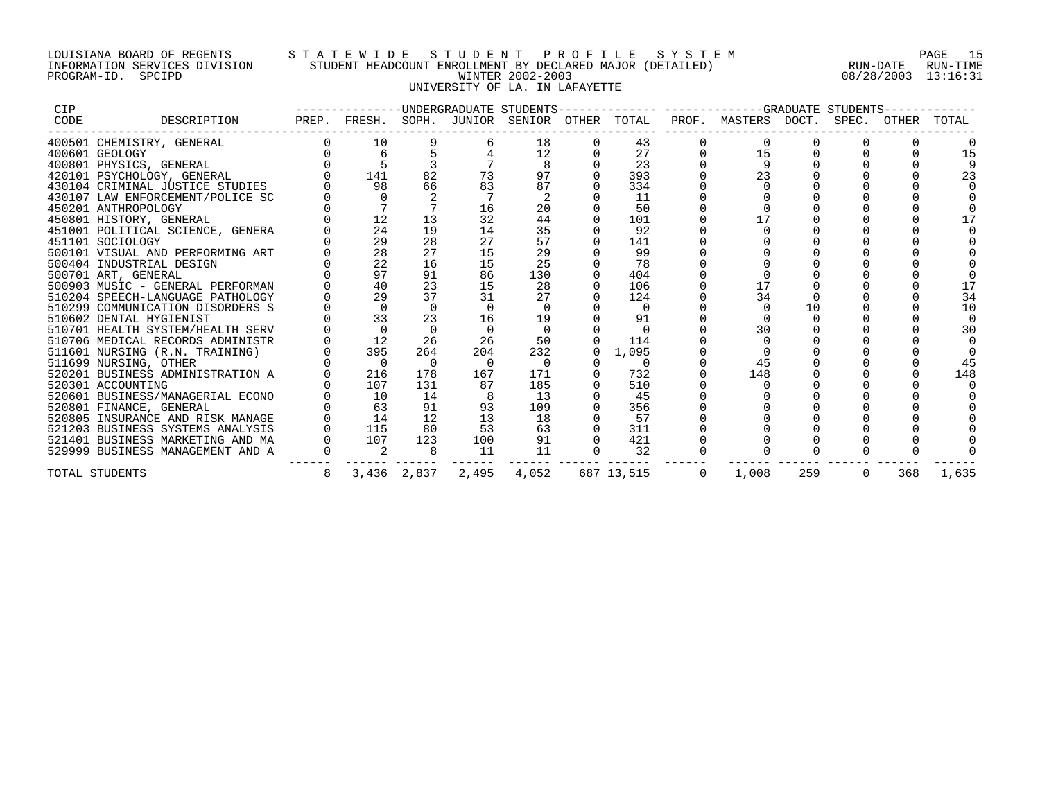## LOUISIANA BOARD OF REGENTS S T A T E W I D E S T U D E N T P R O F I L E S Y S T E M PAGE 15 INFORMATION SERVICES DIVISION STUDENT HEADCOUNT ENROLLMENT BY DECLARED MAJOR (DETAILED) RUN-DATE RUN-TIME PROGRAM-ID. SPCIPD WINTER 2002-2003 08/28/2003 13:16:31 UNIVERSITY OF LA. IN LAFAYETTE

| CIP  |                                  |   |                |             |          |       |          |            |          | --------------UNDERGRADUATE STUDENTS-------------- ------------GRADUATE STUDENTS- |     |          |     |       |
|------|----------------------------------|---|----------------|-------------|----------|-------|----------|------------|----------|-----------------------------------------------------------------------------------|-----|----------|-----|-------|
| CODE | DESCRIPTION                      |   |                |             |          |       |          |            |          | PREP. FRESH. SOPH. JUNIOR SENIOR OTHER TOTAL PROF. MASTERS DOCT. SPEC. OTHER      |     |          |     | TOTAL |
|      | 400501 CHEMISTRY, GENERAL        |   | 10             |             |          | 18    |          | 43         |          |                                                                                   |     |          |     |       |
|      | 400601 GEOLOGY                   |   | 6              |             |          | 12    |          | 27         |          | 15                                                                                |     |          |     |       |
|      | 400801 PHYSICS, GENERAL          |   |                |             |          |       |          | 23         |          | q                                                                                 |     |          |     |       |
|      | 420101 PSYCHOLOGY, GENERAL       |   | 141            | 82          | 73       | 97    |          | 393        |          | 23                                                                                |     |          |     | 23    |
|      | 430104 CRIMINAL JUSTICE STUDIES  |   | 98             | 66          | 83       | 87    |          | 334        |          |                                                                                   |     |          |     |       |
|      | 430107 LAW ENFORCEMENT/POLICE SC |   | $\overline{0}$ |             |          |       |          | 11         |          |                                                                                   |     |          |     |       |
|      | 450201 ANTHROPOLOGY              |   |                |             | 16       | 20    |          | 50         |          |                                                                                   |     |          |     |       |
|      | 450801 HISTORY, GENERAL          |   | 12             | 13          | 32       | 44    |          | 101        |          | 17                                                                                |     |          |     |       |
|      | 451001 POLITICAL SCIENCE, GENERA |   | 24             | 19          | 14       | 35    |          | 92         |          |                                                                                   |     |          |     |       |
|      | 451101 SOCIOLOGY                 |   | 29             | 28          | 27       | 57    |          | 141        |          |                                                                                   |     |          |     |       |
|      | 500101 VISUAL AND PERFORMING ART |   | 28             | 27          | 15       | 29    |          | 99         |          |                                                                                   |     |          |     |       |
|      | 500404 INDUSTRIAL DESIGN         |   | 22             | 16          | 15       | 25    |          | 78         |          |                                                                                   |     |          |     |       |
|      | 500701 ART, GENERAL              |   | 97             | 91          | 86       | 130   |          | 404        |          |                                                                                   |     |          |     |       |
|      | 500903 MUSIC - GENERAL PERFORMAN |   | 40             | 23          | 15       | 28    |          | 106        |          | 17                                                                                |     |          |     |       |
|      | 510204 SPEECH-LANGUAGE PATHOLOGY |   | 29             | 37          | 31       | 27    |          | 124        |          | 34                                                                                |     |          |     | 34    |
|      | 510299 COMMUNICATION DISORDERS S |   | $\overline{0}$ | $\Omega$    |          |       |          | 0          |          |                                                                                   | 10  |          |     | 10    |
|      | 510602 DENTAL HYGIENIST          |   | 33             | 23          | 16       | 19    |          | 91         |          |                                                                                   |     |          |     |       |
|      | 510701 HEALTH SYSTEM/HEALTH SERV |   | $\cap$         | $\Omega$    |          | 0     |          | $\Omega$   |          | 30                                                                                |     |          |     | 3 C   |
|      | 510706 MEDICAL RECORDS ADMINISTR |   | 12             | 26          | 26       | 50    |          | 114        |          |                                                                                   |     |          |     |       |
|      | 511601 NURSING (R.N. TRAINING)   |   | 395            | 264         | 204      | 232   | $\Omega$ | 1,095      |          |                                                                                   |     |          |     |       |
|      | 511699 NURSING, OTHER            |   | $\overline{0}$ | $\Omega$    | $\Omega$ | - 0   |          | 0          |          | 45                                                                                |     |          |     | 45    |
|      | 520201 BUSINESS ADMINISTRATION A |   | 216            | 178         | 167      | 171   |          | 732        |          | 148                                                                               |     |          |     | 148   |
|      | 520301 ACCOUNTING                |   | 107            | 131         | 87       | 185   |          | 510        |          |                                                                                   |     |          |     |       |
|      | 520601 BUSINESS/MANAGERIAL ECONO |   | 10             | 14          |          | 13    |          | 45         |          |                                                                                   |     |          |     |       |
|      | 520801 FINANCE, GENERAL          |   | 63             | 91          | 93       | 109   |          | 356        |          |                                                                                   |     |          |     |       |
|      | 520805 INSURANCE AND RISK MANAGE |   | 14             | 12          | 13       | 18    |          | 57         |          |                                                                                   |     |          |     |       |
|      | 521203 BUSINESS SYSTEMS ANALYSIS |   | 115            | 80          | 53       | 63    |          | 311        |          |                                                                                   |     |          |     |       |
|      | 521401 BUSINESS MARKETING AND MA |   | 107            | 123         | 100      | 91    |          | 421        |          |                                                                                   |     |          |     |       |
|      | 529999 BUSINESS MANAGEMENT AND A |   | 2              | 8           | 11       | 11    |          | 32         |          |                                                                                   |     |          |     |       |
|      | TOTAL STUDENTS                   | 8 |                | 3,436 2,837 | 2,495    | 4,052 |          | 687 13,515 | $\Omega$ | 1,008                                                                             | 259 | $\Omega$ | 368 | 1,635 |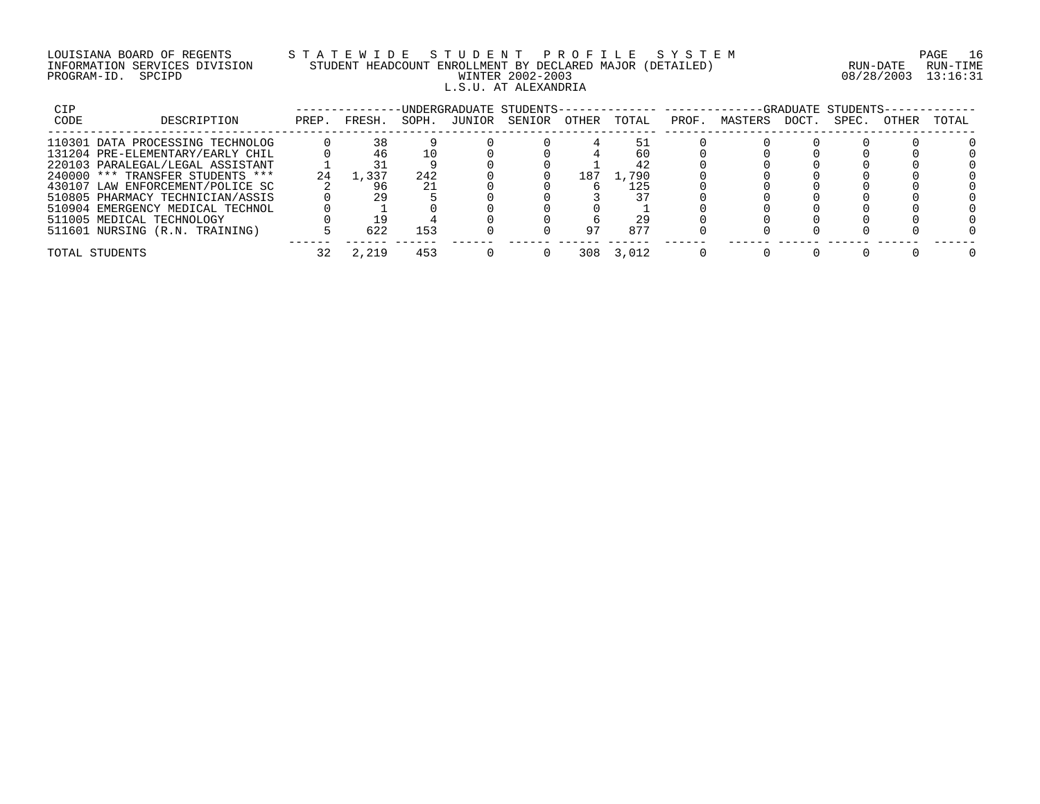## LOUISIANA BOARD OF REGENTS S T A T E W I D E S T U D E N T P R O F I L E S Y S T E M PAGE 16 INFORMATION SERVICES DIVISION STUDENT HEADCOUNT ENROLLMENT BY DECLARED MAJOR (DETAILED) RUN-DATE RUN-TIME PROGRAM-ID. SPCIPD WINTER 2002-2003 08/28/2003 13:16:31 L.S.U. AT ALEXANDRIA

| CIP  |                                  |       |        |       |        | -UNDERGRADUATE STUDENTS- |       |       |       |         |       | -GRADUATE STUDENTS- |       |       |
|------|----------------------------------|-------|--------|-------|--------|--------------------------|-------|-------|-------|---------|-------|---------------------|-------|-------|
| CODE | DESCRIPTION                      | PREP. | FRESH. | SOPH. | JUNIOR | SENIOR                   | OTHER | TOTAL | PROF. | MASTERS | DOCT. | SPEC.               | OTHER | TOTAL |
|      | 110301 DATA PROCESSING TECHNOLOG |       | 38     |       |        |                          |       |       |       |         |       |                     |       |       |
|      | 131204 PRE-ELEMENTARY/EARLY CHIL |       |        |       |        |                          |       | 60    |       |         |       |                     |       |       |
|      | 220103 PARALEGAL/LEGAL ASSISTANT |       |        |       |        |                          |       | 42    |       |         |       |                     |       |       |
|      | 240000 *** TRANSFER STUDENTS *** | 24    | 1,337  | 242   |        |                          | 187   | L.790 |       |         |       |                     |       |       |
|      | 430107 LAW ENFORCEMENT/POLICE SC |       | 96     |       |        |                          |       | 125   |       |         |       |                     |       |       |
|      | 510805 PHARMACY TECHNICIAN/ASSIS |       | 29     |       |        |                          |       |       |       |         |       |                     |       |       |
|      | 510904 EMERGENCY MEDICAL TECHNOL |       |        |       |        |                          |       |       |       |         |       |                     |       |       |
|      | 511005 MEDICAL TECHNOLOGY        |       | 1 G    |       |        |                          |       | 29    |       |         |       |                     |       |       |
|      | 511601 NURSING (R.N. TRAINING)   |       | 622    | 153   |        |                          | 97    | 877   |       |         |       |                     |       |       |
|      | TOTAL STUDENTS                   |       | 2,219  | 453   |        |                          | 308   | 3,012 |       |         |       |                     |       |       |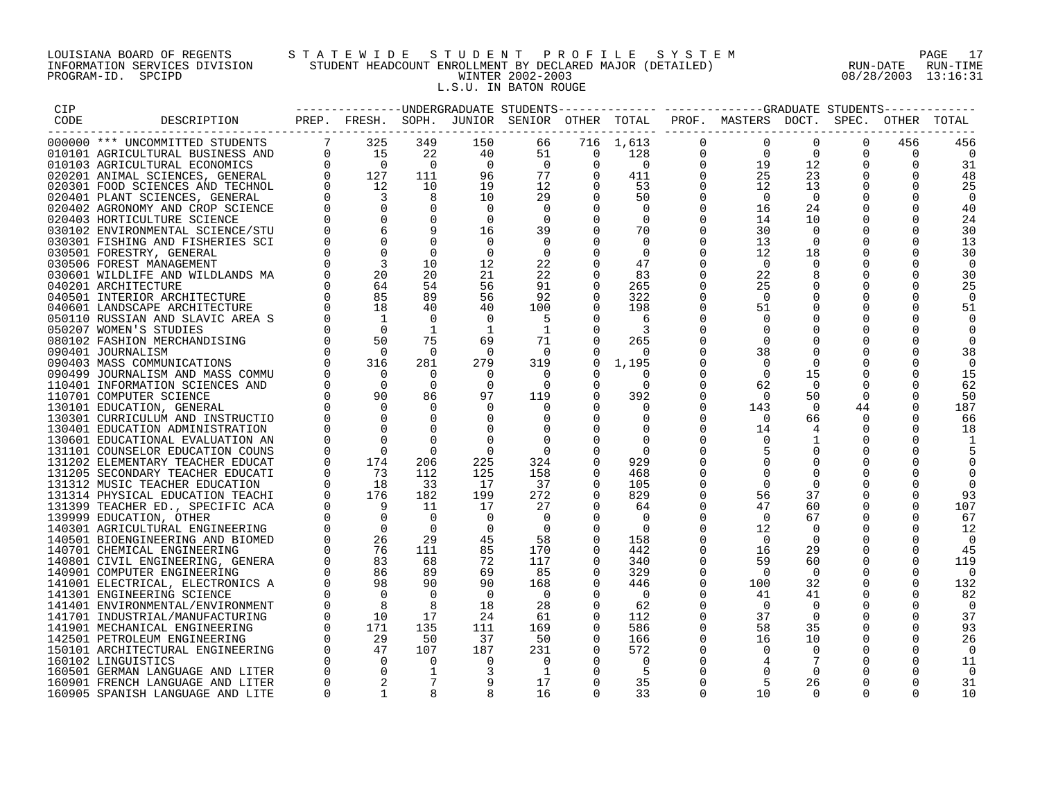## LOUISIANA BOARD OF REGENTS S T A T E W I D E S T U D E N T P R O F I L E S Y S T E M PAGE 17 INFORMATION SERVICES DIVISION STUDENT HEADCOUNT ENROLLMENT BY DECLARED MAJOR (DETAILED) RUN-DATE RUN-TIME PROGRAM-ID. SPCIPD WINTER 2002-2003 08/28/2003 13:16:31 L.S.U. IN BATON ROUGE

| <b>CIP</b> |                                                                                                                                                                                                                                                     |          |                                                                      |                      |                                |                      |                |                                                     |                            | --------------DINDERGRADUATE STUDENTS------------- ------------GRADUATE STUDENTS------------ |                |                         |                      |                |
|------------|-----------------------------------------------------------------------------------------------------------------------------------------------------------------------------------------------------------------------------------------------------|----------|----------------------------------------------------------------------|----------------------|--------------------------------|----------------------|----------------|-----------------------------------------------------|----------------------------|----------------------------------------------------------------------------------------------|----------------|-------------------------|----------------------|----------------|
| CODE       | DESCRIPTION                                                                                                                                                                                                                                         |          |                                                                      |                      |                                |                      |                |                                                     |                            | PREP. FRESH. SOPH. JUNIOR SENIOR OTHER TOTAL PROF. MASTERS DOCT. SPEC. OTHER TOTAL           |                |                         |                      |                |
|            |                                                                                                                                                                                                                                                     |          |                                                                      |                      |                                |                      |                |                                                     |                            |                                                                                              |                |                         |                      |                |
|            |                                                                                                                                                                                                                                                     |          |                                                                      | 349                  | 150                            | 66                   |                | 716 1,613                                           | $\mathbf 0$                | $\overline{0}$                                                                               | $\Omega$       | $\Omega$                | 456                  | 456            |
|            |                                                                                                                                                                                                                                                     |          |                                                                      | 22<br>$\overline{0}$ | 40                             | 51                   | $\overline{0}$ | 128<br>$\begin{matrix} 0 & 0 \\ 0 & 0 \end{matrix}$ | $\overline{0}$<br>$\Omega$ | $\frac{1}{25}$                                                                               | $\Omega$<br>19 | $\Omega$<br>$\Omega$    | $\Omega$             | $\Omega$       |
|            |                                                                                                                                                                                                                                                     |          |                                                                      |                      | $\overline{0}$                 | $\overline{0}$       |                | $0 \t 411$                                          | $\overline{0}$             |                                                                                              | 12             | $\Omega$                | $\Omega$             | 31             |
|            |                                                                                                                                                                                                                                                     |          |                                                                      | 111<br>10            | 96<br>19                       | 77<br>12             |                | $0$ 53                                              | $\overline{0}$             |                                                                                              | 23<br>13       | 0                       | $\mathbf 0$          | 48             |
|            |                                                                                                                                                                                                                                                     |          |                                                                      | 8                    | 10                             | 29                   | $\Omega$       | 50                                                  | $\Omega$                   | $\overline{0}$                                                                               | $\overline{0}$ | $\Omega$                |                      | 25<br>$\Omega$ |
|            |                                                                                                                                                                                                                                                     |          |                                                                      | $\overline{0}$       | $\overline{0}$                 | $\Omega$             | $\Omega$       | $\overline{0}$                                      | $\Omega$                   | 16                                                                                           | 24             | $\Omega$                | $\Omega$             | 40             |
|            |                                                                                                                                                                                                                                                     |          |                                                                      | $\overline{0}$       | $\overline{0}$                 | $\Omega$             | $\Omega$       | $\overline{0}$                                      | $\Omega$                   | 14                                                                                           | 10             | $\Omega$                | $\Omega$             | 24             |
|            |                                                                                                                                                                                                                                                     |          |                                                                      |                      | 16                             | 39                   | $\Omega$       | 70                                                  | $\Omega$                   | 30                                                                                           | $\Omega$       | $\Omega$                | $\Omega$             | 30             |
|            |                                                                                                                                                                                                                                                     |          |                                                                      |                      | $\Omega$                       | $\Omega$             |                | $\Omega$                                            | $\Omega$                   | 13                                                                                           |                |                         |                      | 13             |
|            |                                                                                                                                                                                                                                                     |          |                                                                      | $\overline{0}$       | $\overline{0}$                 | $\overline{0}$       |                | $\overline{0}$                                      | $\Omega$                   | 12                                                                                           | 18             | $\mathbf 0$             | $\Omega$             | 30             |
|            |                                                                                                                                                                                                                                                     |          |                                                                      | 10                   | 12                             | 22                   |                | 47                                                  | $\Omega$                   | $\Omega$                                                                                     |                |                         | $\Omega$             | $\Omega$       |
|            |                                                                                                                                                                                                                                                     |          | $\begin{matrix}0 & 3 \\ 0 & 20 \\ 64 & 54\end{matrix}$               | 20                   | 21                             | 22                   | $\Omega$       | 83                                                  | $\Omega$                   | 22                                                                                           |                | $\Omega$                | $\Omega$             | 30             |
|            |                                                                                                                                                                                                                                                     |          | 64                                                                   | 54                   | 56                             | 91                   | $\Omega$       | 265                                                 | $\Omega$                   | 25                                                                                           | $\Omega$       | $\Omega$                | $\Omega$             | 25             |
|            |                                                                                                                                                                                                                                                     |          | 85                                                                   | 89                   | 56                             | 92                   | $\Omega$       | 322                                                 | $\Omega$                   | $\overline{0}$                                                                               |                | $\Omega$                | $\Omega$             | $\Omega$       |
|            |                                                                                                                                                                                                                                                     |          | 18                                                                   | 40                   | 40                             | 100                  |                | 198                                                 | $\Omega$                   | 51                                                                                           | $\Omega$       | $\Omega$                | $\Omega$             | 51             |
|            |                                                                                                                                                                                                                                                     |          | $\blacksquare$                                                       | $\Omega$             | $\Omega$                       | -5                   |                | -6                                                  | 0                          | $\Omega$                                                                                     |                | $\Omega$                | $\Omega$             |                |
|            |                                                                                                                                                                                                                                                     |          | $\overline{0}$                                                       | $\mathbf{1}$         | $\overline{\phantom{0}}$       | $\overline{1}$       | $\Omega$       |                                                     |                            |                                                                                              |                | $\mathbf 0$             |                      |                |
|            |                                                                                                                                                                                                                                                     |          | 50                                                                   | 75                   | 69                             | 71                   |                | 265                                                 | $\mathbf 0$                | $\Omega$                                                                                     |                | $\mathbf 0$             |                      |                |
|            |                                                                                                                                                                                                                                                     |          | $\overline{0}$                                                       | $\overline{0}$       | $\overline{0}$                 | $\overline{0}$       |                | $\Omega$                                            |                            | 38                                                                                           |                | $\mathbf 0$             |                      | 38             |
|            |                                                                                                                                                                                                                                                     |          | 316                                                                  | 281                  | 279                            | 319                  | $\Omega$       | 1,195                                               | $\Omega$                   | $\bigcap$                                                                                    |                | $\Omega$                |                      | $\Omega$       |
|            |                                                                                                                                                                                                                                                     |          | $\overline{0}$                                                       | $\Omega$             | $\Omega$                       | $\Omega$             | $\Omega$       |                                                     | $\Omega$                   | $\bigcap$                                                                                    | 15             | $\Omega$                | $\Omega$             | 15             |
|            |                                                                                                                                                                                                                                                     |          | $\overline{0}$                                                       | $\overline{0}$       | $\overline{\phantom{0}}$       | $\Omega$             | $\Omega$       | $\Omega$                                            | $\Omega$                   | 62                                                                                           | $\overline{0}$ | $\Omega$                | 0                    | 62             |
|            |                                                                                                                                                                                                                                                     |          | 90                                                                   | 86                   | 97                             | 119                  |                | 392                                                 | $\Omega$                   | $\bigcap$                                                                                    | 50             | $\Omega$                |                      | 50             |
|            | 030102 ENVIRONMENTAL SCIENCE/STU<br>030102 ENVIRONMENTAL SCIENCE/STU<br>030301 FISHING AND FISHERIES SCI<br>030501 FORESTRY, GENERAL<br>030506 FOREST MANAGEMENT<br>040201 MILDLIFE AND WILDLANDS MA<br>040201 ARCHITECTURE<br>040501 INTERIOR ARCH |          | $\Omega$                                                             | $\mathbf 0$          | $\Omega$                       | 0                    |                | 0                                                   | $\Omega$                   | 143                                                                                          | 0              | 44                      |                      | 187            |
|            |                                                                                                                                                                                                                                                     |          | $\Omega$                                                             | $\Omega$             | $\overline{0}$                 | $\Omega$             |                | $\Omega$                                            | $\Omega$                   | $\cap$                                                                                       | 66             | $\Omega$                |                      | 66             |
|            |                                                                                                                                                                                                                                                     |          | $\Omega$                                                             | $\Omega$             | $\overline{0}$                 | 0                    |                | $\Omega$                                            | $\Omega$                   | 14                                                                                           | 4              | $\Omega$                | $\Omega$             | 18             |
|            |                                                                                                                                                                                                                                                     |          |                                                                      |                      | $\Omega$                       | 0                    |                |                                                     |                            |                                                                                              |                |                         |                      |                |
|            |                                                                                                                                                                                                                                                     |          | $\overline{0}$                                                       | $\Omega$             | $\Omega$                       | $\Omega$             |                | $\Omega$                                            |                            |                                                                                              | $\Omega$       | $\Omega$                |                      |                |
|            |                                                                                                                                                                                                                                                     |          | 174                                                                  | 206                  | 225                            | 324                  | $\Omega$       | 929                                                 |                            |                                                                                              |                | $\Omega$                |                      |                |
|            |                                                                                                                                                                                                                                                     |          | $\begin{bmatrix} 0 & 73 \\ 0 & 18 \\ 0 & 176 \\ 0 & 9 \end{bmatrix}$ | 112                  | 125                            | 158                  | $\Omega$       | 468                                                 |                            |                                                                                              |                | $\Omega$                |                      |                |
|            |                                                                                                                                                                                                                                                     |          |                                                                      | 33                   | 17                             | 37                   | 0              | 105                                                 | 0                          | $\Omega$                                                                                     | $\Omega$       | 0                       |                      |                |
|            |                                                                                                                                                                                                                                                     |          |                                                                      | 182                  | 199                            | 272                  |                | 829                                                 | $\Omega$                   | 56                                                                                           | 37             |                         |                      | 93             |
|            |                                                                                                                                                                                                                                                     |          | 9                                                                    | 11                   | 17                             | 27                   | $\Omega$       | 64                                                  | $\Omega$                   | 47                                                                                           | 60             | $\mathbf 0$             | $\Omega$             | 107            |
|            |                                                                                                                                                                                                                                                     |          | $\overline{0}$                                                       | $\bigcirc$           | $\overline{0}$                 | $\overline{0}$       |                | $\Omega$                                            | $\Omega$                   | $\Omega$                                                                                     | 67             | $\Omega$                | $\Omega$             | 67             |
|            |                                                                                                                                                                                                                                                     |          | $\overline{0}$                                                       | $\overline{0}$       | $\overline{0}$                 | $\overline{0}$       | $\Omega$       | $\bigcap$                                           | $\Omega$                   | 12                                                                                           | - 0            | $\Omega$                | $\Omega$             | 12             |
|            |                                                                                                                                                                                                                                                     |          | 26<br>$\begin{array}{c} 26 \\ 76 \\ 83 \end{array}$                  | 29                   | 45                             | 58                   | $\Omega$       | 158                                                 | $\Omega$                   | $\bigcap$                                                                                    | $\Omega$       | $\Omega$                | $\Omega$             | $\Omega$       |
|            |                                                                                                                                                                                                                                                     |          |                                                                      | 111                  | 85                             | 170                  |                | 442                                                 | $\mathbf 0$                | 16                                                                                           | 29             | $\mathbf 0$             | 0                    | 45             |
|            |                                                                                                                                                                                                                                                     |          |                                                                      | 68                   | 72                             | 117                  | $\Omega$       | 340                                                 | $\mathbf 0$                | 59                                                                                           | 60             | 0                       | $\Omega$             | 119            |
|            |                                                                                                                                                                                                                                                     |          | 86                                                                   | 89                   | 69                             | 85                   | $\Omega$       | 329                                                 | $\Omega$                   | $\Omega$                                                                                     | $\Omega$       | $\Omega$                | $\Omega$             | 0              |
|            |                                                                                                                                                                                                                                                     | $\Omega$ | 98<br>$\overline{0}$                                                 | 90                   | 90                             | 168                  | $\Omega$       | 446                                                 | $\Omega$<br>$\Omega$       | 100                                                                                          | 32             | $\Omega$                | $\Omega$             | 132            |
|            |                                                                                                                                                                                                                                                     |          | 8                                                                    | $\overline{0}$<br>8  | $\overline{\phantom{0}}$<br>18 | $\overline{0}$<br>28 | $\Omega$       | $\overline{0}$<br>62                                | $\Omega$                   | -41<br>0                                                                                     | 41<br>$\Omega$ | $\mathbf 0$<br>$\Omega$ | $\Omega$<br>$\Omega$ | 82<br>$\Omega$ |
|            |                                                                                                                                                                                                                                                     |          |                                                                      |                      |                                |                      | $\Omega$       | 112                                                 | $\Omega$                   |                                                                                              | - 0            | $\Omega$                |                      |                |
|            | 190401 CUNNICLION AND INSURED (1905)<br>190401 EDUCATION ADMINISTRATION (1906)1 EDUCATIONAL EVALUATION AN<br>19101 COUNSELOR EDUCATION COUNS<br>191202 ELEMENTARY TEACHER EDUCATION<br>191205 SECONDARY TEACHER EDUCATION<br>191312 MUSIC TEA       | $\Omega$ | $\begin{array}{c} 10 \\ 171 \\ 29 \\ 47 \end{array}$                 | 17<br>135            | 24<br>111                      | 61<br>169            | $\Omega$       | 586                                                 | $\mathbf 0$                | 37<br>58                                                                                     | 35             | $\mathbf 0$             | $\mathbf 0$          | 37<br>93       |
|            |                                                                                                                                                                                                                                                     |          |                                                                      |                      | 37                             |                      |                |                                                     | $\mathbf 0$                | 16                                                                                           | 10             | 0                       | $\mathbf 0$          |                |
|            |                                                                                                                                                                                                                                                     |          |                                                                      | 50<br>107            | 187                            | 50<br>231            | 0              | 166<br>572                                          | $\Omega$                   | $\Omega$                                                                                     | $\Omega$       | $\Omega$                | $\Omega$             | 26<br>$\Omega$ |
|            |                                                                                                                                                                                                                                                     |          |                                                                      | $\overline{0}$       | $\Omega$                       | 0                    |                |                                                     |                            |                                                                                              |                |                         |                      | 11             |
|            |                                                                                                                                                                                                                                                     |          | $\Omega$                                                             | $\mathbf{1}$         | $\overline{3}$                 | $\overline{1}$       |                | -5                                                  |                            |                                                                                              | $\cap$         |                         |                      |                |
|            | 160901 FRENCH LANGUAGE AND LITER                                                                                                                                                                                                                    | $\Omega$ |                                                                      |                      | 9                              | 17                   | $\Omega$       | 35                                                  | $\Omega$                   | -5                                                                                           | 26             | $\Omega$                | $\Omega$             | 31             |
|            | 160905 SPANISH LANGUAGE AND LITE                                                                                                                                                                                                                    | $\Omega$ |                                                                      |                      |                                | 16                   | $\cap$         | 33                                                  | $\cap$                     | 1 O                                                                                          |                |                         |                      | 10             |
|            |                                                                                                                                                                                                                                                     |          |                                                                      |                      |                                |                      |                |                                                     |                            |                                                                                              |                |                         |                      |                |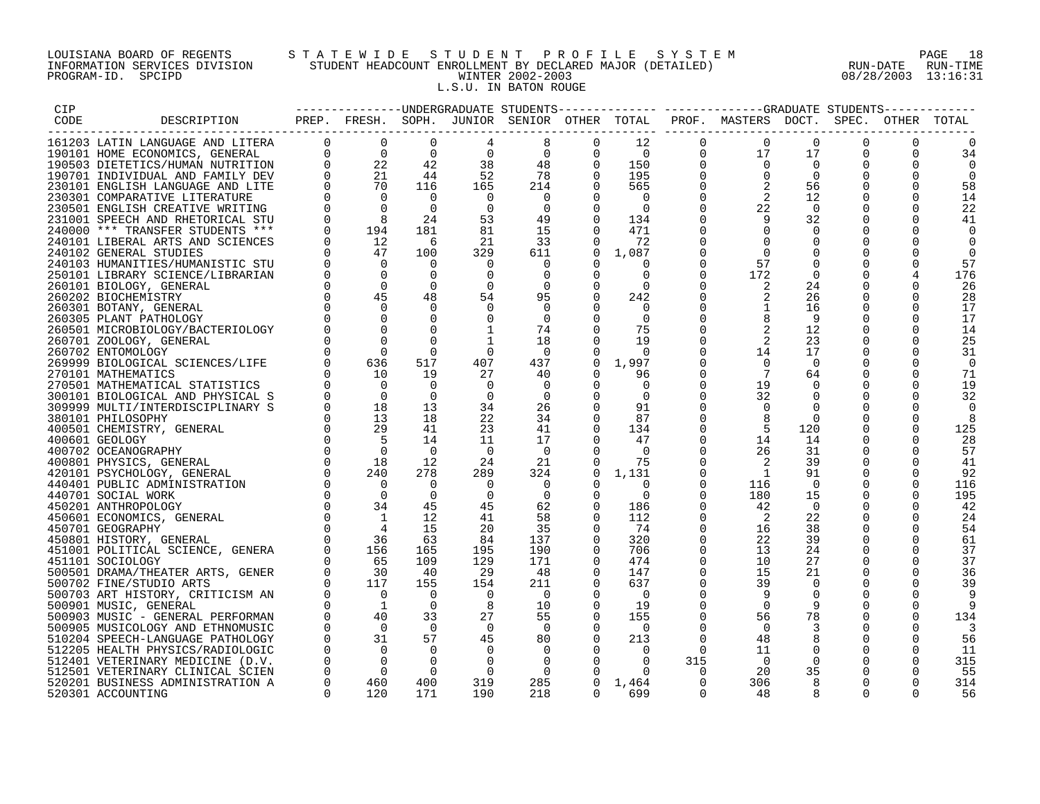## LOUISIANA BOARD OF REGENTS S T A T E W I D E S T U D E N T P R O F I L E S Y S T E M PAGE 18 INFORMATION SERVICES DIVISION STUDENT HEADCOUNT ENROLLMENT BY DECLARED MAJOR (DETAILED) RUN-DATE RUN-TIME PROGRAM-ID. SPCIPD WINTER 2002-2003 08/28/2003 13:16:31 L.S.U. IN BATON ROUGE

| CIP  |                                  |          |           |          |                |                                    |                                                 |                 |                | -------------UNDERGRADUATE STUDENTS------------- -----------GRADUATE STUDENTS----------- |                |                |          |          |
|------|----------------------------------|----------|-----------|----------|----------------|------------------------------------|-------------------------------------------------|-----------------|----------------|------------------------------------------------------------------------------------------|----------------|----------------|----------|----------|
| CODE | DESCRIPTION                      |          |           |          |                |                                    |                                                 |                 |                | PREP. FRESH. SOPH. JUNIOR SENIOR OTHER TOTAL PROF. MASTERS DOCT. SPEC. OTHER TOTAL       |                |                |          |          |
|      |                                  |          |           |          |                |                                    |                                                 |                 |                |                                                                                          |                |                |          |          |
|      | 161203 LATIN LANGUAGE AND LITERA |          |           |          | 4              | 8                                  | $\mathbf 0$                                     | 12              | $\mathbf{0}$   | $\overline{0}$                                                                           | $\Omega$       | $\Omega$       | $\Omega$ | $\Omega$ |
|      | 190101 HOME ECONOMICS, GENERAL   |          |           |          | $\overline{0}$ |                                    | $\frac{0}{18}$<br>$\frac{18}{4}$<br>$\mathbf 0$ | $\overline{0}$  | $\overline{0}$ | 17                                                                                       | 17             | $\overline{0}$ | $\Omega$ | 34       |
|      | 190503 DIETETICS/HUMAN NUTRITION |          |           |          | 38             | 48                                 | $\Omega$                                        | 150             | $\Omega$       | $\Omega$                                                                                 | $\overline{0}$ |                |          | $\Omega$ |
|      | 190701 INDIVIDUAL AND FAMILY DEV |          |           |          | 52             | 78                                 | $\Omega$                                        | 195             | $\Omega$       | $\Omega$                                                                                 | $\overline{0}$ | $\Omega$       | $\Omega$ | $\Omega$ |
|      | 230101 ENGLISH LANGUAGE AND LITE |          |           |          | 165            | 214                                | $\Omega$                                        | 565             | $\Omega$       |                                                                                          | 56             |                |          | 58       |
|      | 230301 COMPARATIVE LITERATURE    |          |           |          | $\overline{0}$ | $\overline{\phantom{0}}$           | $\Omega$                                        | $\overline{0}$  | $\Omega$       | $\overline{2}$                                                                           | 12             | 0              | $\Omega$ | 14       |
|      | 230501 ENGLISH CREATIVE WRITING  |          |           |          | $\overline{0}$ | $\begin{array}{c}0\\49\end{array}$ | $\Omega$                                        | $\overline{0}$  | $\Omega$       | 22                                                                                       | $\overline{0}$ | $\Omega$       | $\Omega$ | 22       |
|      | 231001 SPEECH AND RHETORICAL STU |          |           |          | 53             |                                    |                                                 | $0 \t 134$      | $\Omega$       |                                                                                          | 32             | 0              | $\Omega$ | 41       |
|      | 240000 *** TRANSFER STUDENTS *** |          |           |          | 81             | 15                                 | $\Omega$                                        | 471             | $\Omega$       | $\Omega$                                                                                 | $\Omega$       | $\mathbf 0$    |          | $\Omega$ |
|      | 240101 LIBERAL ARTS AND SCIENCES |          |           |          | 21             | 33                                 | $\Omega$                                        | 72              | $\Omega$       | $\Omega$                                                                                 |                |                |          |          |
|      | 240102 GENERAL STUDIES           |          |           |          | 329            | 611                                |                                                 | $0 \quad 1,087$ | $\Omega$       | $\bigcap$                                                                                |                | $\mathbf 0$    |          | $\Omega$ |
|      | 240103 HUMANITIES/HUMANISTIC STU |          |           |          | $\Omega$       | $\Omega$                           | $\Omega$                                        | $\Omega$        | $\Omega$       | 57                                                                                       | $\Omega$       | $\Omega$       |          | 57       |
|      | 250101 LIBRARY SCIENCE/LIBRARIAN |          |           |          | $\overline{0}$ | $\overline{0}$                     | $\mathbf 0$                                     | $\mathbf 0$     | $\mathbf 0$    | 172                                                                                      | $\overline{0}$ | $\mathbf 0$    |          | 176      |
|      | 260101 BIOLOGY, GENERAL          |          |           |          | 0              | $\overline{0}$                     | 0                                               | $\Omega$        | $\mathbf 0$    | $\overline{\phantom{0}}^2$                                                               | 24             | $\mathbf 0$    |          | 26       |
|      | 260202 BIOCHEMISTRY              |          |           |          | 54             | 95                                 | $\Omega$                                        | 242             | 0              |                                                                                          | 26             | 0              | $\Omega$ | 28       |
|      | 260301 BOTANY, GENERAL           |          |           |          | $\overline{0}$ | $\overline{0}$                     | $\Omega$                                        | $\overline{0}$  | $\Omega$       |                                                                                          | 16             | 0              | $\Omega$ | 17       |
|      | 260305 PLANT PATHOLOGY           |          |           |          | 0              | $\overline{0}$                     | $\Omega$                                        | $\overline{0}$  | $\Omega$       |                                                                                          | - 9            | $\Omega$       | $\Omega$ | 17       |
|      | 260501 MICROBIOLOGY/BACTERIOLOGY |          |           |          | $\mathbf{1}$   | 74                                 | $\Omega$                                        | 75              | $\Omega$       |                                                                                          | 12             |                | $\Omega$ | 14       |
|      |                                  |          |           |          |                | 18                                 | $\Omega$                                        | 19              | $\Omega$       | 2                                                                                        | 23             | $\Omega$       | $\Omega$ | 25       |
|      |                                  |          |           |          |                | $\bigcirc$                         | $\Omega$                                        | $\overline{0}$  | $\Omega$       | 14                                                                                       | 17             | $\Omega$       | $\Omega$ | 31       |
|      |                                  |          |           |          |                | 437                                |                                                 | $0 \quad 1,997$ | $\Omega$       | $\overline{0}$                                                                           | $\overline{0}$ | $\mathbf 0$    | $\Omega$ | $\Omega$ |
|      |                                  |          |           |          |                | 40                                 | $\Omega$                                        | 96              | $\Omega$       | $\overline{7}$                                                                           | 64             | 0              | $\Omega$ | 71       |
|      |                                  |          |           |          |                | 0                                  | $\Omega$                                        | $\Omega$        | 0              | 19                                                                                       |                |                |          | 19       |
|      |                                  |          |           |          |                | $\overline{0}$                     | $\Omega$                                        | $\Omega$        | $\Omega$       | 32                                                                                       | $\Omega$       | $\mathbf 0$    | $\Omega$ | 32       |
|      |                                  |          |           |          |                | 26                                 | $\Omega$                                        | 91              | $\Omega$       |                                                                                          |                |                |          |          |
|      |                                  |          |           |          |                | 34                                 | $\Omega$                                        | 87              | $\Omega$       | 8                                                                                        | $\Omega$       |                |          | 8        |
|      |                                  |          |           |          |                | 41                                 | $\Omega$                                        | 134             | $\Omega$       | -5                                                                                       | 120            | $\Omega$       | $\Omega$ | 125      |
|      |                                  |          |           |          |                | 17                                 | $\Omega$                                        | 47              | $\mathbf 0$    | 14                                                                                       | 14             |                |          | 28       |
|      |                                  |          |           |          |                | $\overline{\phantom{0}}$           | $\Omega$                                        | $\overline{0}$  | 0              | 26                                                                                       | 31             | 0              |          | 57       |
|      |                                  |          |           |          |                | 21                                 | $\Omega$                                        | 75              | $\Omega$       | - 2                                                                                      | 39             | 0              | 0        | 41       |
|      |                                  |          |           |          |                | 324                                | $\Omega$                                        | 1,131           | $\Omega$       | $\overline{1}$                                                                           | 91             | 0              | $\Omega$ | 92       |
|      |                                  |          |           |          |                | 0                                  | $\Omega$                                        | $\Omega$        | $\Omega$       | 116                                                                                      | $\Omega$       | $\mathbf 0$    |          | 116      |
|      |                                  |          |           |          |                | $\overline{0}$                     | $\Omega$                                        | $\Omega$        | $\Omega$       | 180                                                                                      | 15             |                |          | 195      |
|      |                                  |          |           |          |                | 62                                 | $\Omega$                                        | 186             | $\Omega$       | 42                                                                                       | $\Omega$       | $\Omega$       | $\Omega$ | 42       |
|      |                                  |          |           |          |                | 58                                 | $\Omega$                                        | 112             | $\Omega$       | -2                                                                                       | 22             | $\Omega$       | $\Omega$ | 24       |
|      |                                  |          |           |          |                | 35                                 | $\Omega$                                        | 74              | $\mathbf 0$    | 16                                                                                       | 38             | 0              | $\Omega$ | 54       |
|      |                                  |          |           |          |                | 137                                | 0                                               | 320             | 0              | 22                                                                                       | 39             | 0              | $\Omega$ | 61       |
|      |                                  |          |           |          |                | 190                                | 0                                               | 706             | 0              | 13                                                                                       | 24             |                | $\Omega$ | 37       |
|      |                                  |          |           |          |                | 171                                | $\Omega$                                        | 474             | 0              | 10                                                                                       | 27             | 0              | $\Omega$ | 37       |
|      |                                  |          |           |          |                | 48                                 | $\Omega$                                        | 147             | $\Omega$       | 15                                                                                       | 21             | $\Omega$       | $\Omega$ | 36       |
|      |                                  |          |           |          |                | 211                                | $\Omega$                                        | 637             | $\Omega$       | 39                                                                                       |                | $\Omega$       | $\Omega$ | 39       |
|      |                                  |          |           |          |                | $\overline{\phantom{0}}$           |                                                 | $\overline{0}$  | $\Omega$       | 9                                                                                        |                | $\Omega$       |          |          |
|      |                                  |          |           |          |                | 10                                 | $\Omega$                                        | 19              | $\Omega$       | $\Omega$                                                                                 | 9              | $\Omega$       | $\Omega$ |          |
|      |                                  |          |           |          |                | 55                                 | $\Omega$                                        | 155             | $\mathbf 0$    | 56                                                                                       | 78             | 0              | $\Omega$ | 134      |
|      |                                  |          |           |          |                | $\overline{0}$                     | $\overline{0}$                                  | $\overline{0}$  | $\Omega$       | $\overline{0}$                                                                           |                | 0              | $\Omega$ | -3       |
|      |                                  |          |           |          |                | 80                                 | $\mathbf 0$                                     | 213             | $\Omega$       | 48                                                                                       |                | 0              | $\Omega$ | 56       |
|      |                                  |          |           |          |                | $\overline{0}$                     | $\Omega$                                        | $\overline{0}$  | $\Omega$       | 11                                                                                       | 0              | $\overline{0}$ | $\Omega$ | -11      |
|      |                                  |          |           |          |                | $\overline{0}$                     | $\Omega$                                        | $\overline{0}$  | 315            | $\overline{0}$                                                                           | 0              | $\mathbf 0$    |          | 315      |
|      | 512501 VETERINARY CLINICAL SCIEN |          | $\bigcap$ | $\Omega$ | _ റ            | $\Omega$                           |                                                 | $\cap$          | $\overline{0}$ | 20                                                                                       | 35             | $\Omega$       | $\Omega$ | 55       |
|      | 520201 BUSINESS ADMINISTRATION A | $\Omega$ | 460       | 400      | 319            | 285                                | $\Omega$                                        | 1,464           | $\Omega$       | 306                                                                                      | 8              | $\Omega$       | $\Omega$ | 314      |
|      | 520301 ACCOUNTING                |          | 120       | 171      | 190            | 218                                | $\cap$                                          | 699             | $\Omega$       | 48                                                                                       |                | $\Omega$       |          | 56       |
|      |                                  |          |           |          |                |                                    |                                                 |                 |                |                                                                                          |                |                |          |          |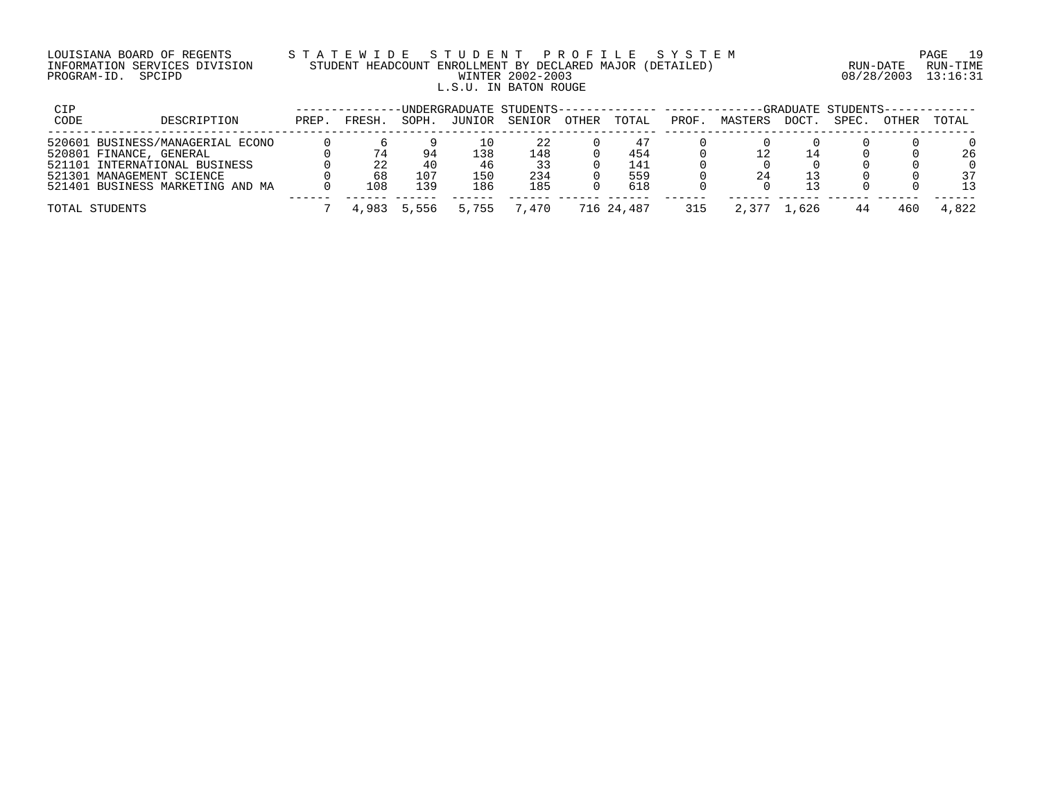## LOUISIANA BOARD OF REGENTS S T A T E W I D E S T U D E N T P R O F I L E S Y S T E M PAGE 19 INFORMATION SERVICES DIVISION STUDENT HEADCOUNT ENROLLMENT BY DECLARED MAJOR (DETAILED) RUN-DATE RUN-TIME PROGRAM-ID. SPCIPD WINTER 2002-2003 08/28/2003 13:16:31 L.S.U. IN BATON ROUGE

| CIP         |                                  |       |        |       |        | UNDERGRADUATE STUDENTS-------------- ------- |       |            |       |         |       | -GRADUATE STUDENTS-- |       |       |
|-------------|----------------------------------|-------|--------|-------|--------|----------------------------------------------|-------|------------|-------|---------|-------|----------------------|-------|-------|
| <b>CODE</b> | DESCRIPTION                      | PREP. | FRESH. | SOPH. | JUNIOR | SENIOR                                       | OTHER | TOTAL      | PROF. | MASTERS | DOCT. | SPEC.                | OTHER | TOTAL |
|             | 520601 BUSINESS/MANAGERIAL ECONO |       |        |       |        | 22                                           |       |            |       |         |       |                      |       |       |
|             | 520801 FINANCE, GENERAL          |       |        | 94    | -38    | 148                                          |       | 454        |       |         | 14    |                      |       | 26    |
|             | 521101 INTERNATIONAL BUSINESS    |       |        | 40    | 46     | 33                                           |       | 141        |       |         |       |                      |       |       |
|             | 521301 MANAGEMENT SCIENCE        |       | 68     | 107   | 150    | 234                                          |       | 559        |       | 24      |       |                      |       | 37    |
|             | 521401 BUSINESS MARKETING AND MA |       | 108    | 139   | 186    | 185                                          |       | 618        |       |         |       |                      |       | 13    |
|             |                                  |       |        |       |        |                                              |       |            |       |         |       |                      |       |       |
|             | TOTAL STUDENTS                   |       | 4,983  | 5,556 | 5.755  | 7.470                                        |       | 716 24,487 | 315   |         | . 626 | 44                   | 460   | 4,822 |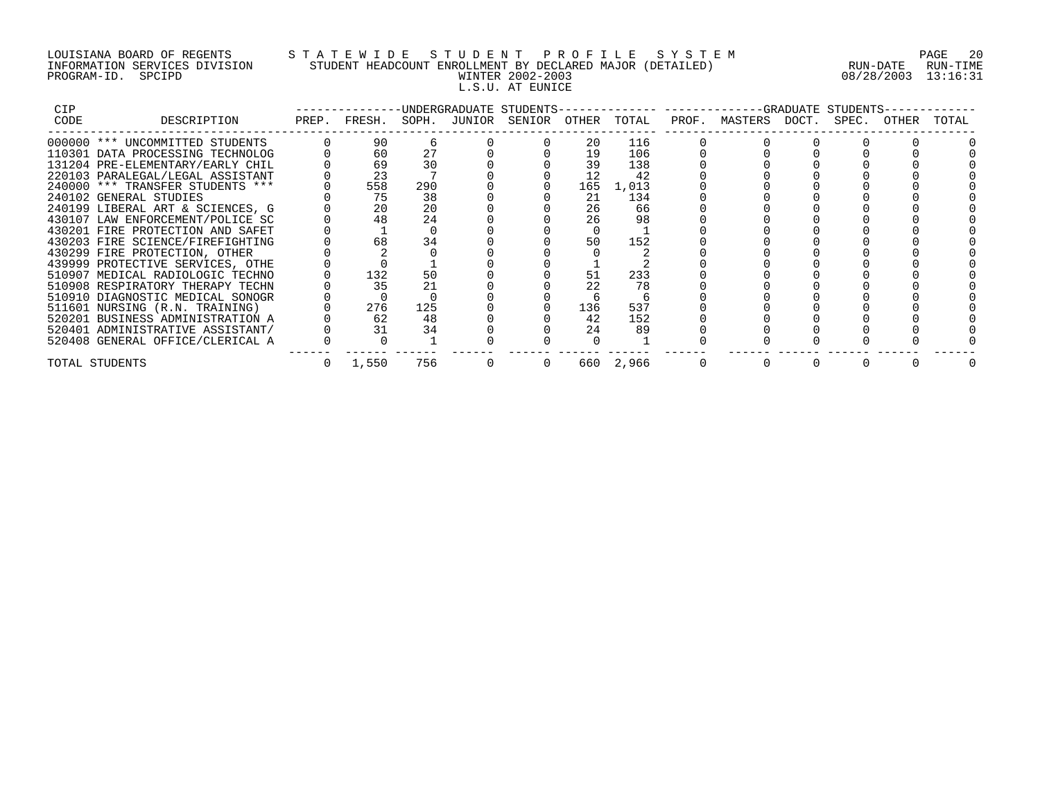# LOUISIANA BOARD OF REGENTS S T A T E W I D E S T U D E N T P R O F I L E S Y S T E M PAGE 20 INFORMATION SERVICES DIVISION STUDENT HEADCOUNT ENROLLMENT BY DECLARED MAJOR (DETAILED) RUN-DATE RUN-TIME PROGRAM-ID. SPCIPD WINTER 2002-2003 08/28/2003 13:16:31 L.S.U. AT EUNICE

| <b>CIP</b> |                                  |       |     |                                              |     |           | -------------UNDERGRADUATE STUDENTS-------------- -------------GRADUATE STUDENTS- |  |       |       |
|------------|----------------------------------|-------|-----|----------------------------------------------|-----|-----------|-----------------------------------------------------------------------------------|--|-------|-------|
| CODE       | DESCRIPTION                      |       |     | PREP. FRESH. SOPH. JUNIOR SENIOR OTHER TOTAL |     |           | PROF. MASTERS DOCT. SPEC.                                                         |  | OTHER | TOTAL |
|            | 000000 *** UNCOMMITTED STUDENTS  | 90    |     |                                              | 20  | 116       |                                                                                   |  |       |       |
|            | 110301 DATA PROCESSING TECHNOLOG | 60    | 27  |                                              | 19  | 106       |                                                                                   |  |       |       |
|            | 131204 PRE-ELEMENTARY/EARLY CHIL | 69    | 30  |                                              | 39  | 138       |                                                                                   |  |       |       |
|            | 220103 PARALEGAL/LEGAL ASSISTANT | 23    |     |                                              | 12  | 42        |                                                                                   |  |       |       |
|            | 240000 *** TRANSFER STUDENTS *** | 558   | 290 |                                              | 165 | 1,013     |                                                                                   |  |       |       |
|            | 240102 GENERAL STUDIES           | 75    | 38  |                                              | 21  | 134       |                                                                                   |  |       |       |
|            | 240199 LIBERAL ART & SCIENCES, G | 20    | 20  |                                              | 26  | 66        |                                                                                   |  |       |       |
|            | 430107 LAW ENFORCEMENT/POLICE SC | 48    | 24  |                                              | 26  | 98        |                                                                                   |  |       |       |
|            | 430201 FIRE PROTECTION AND SAFET |       |     |                                              |     |           |                                                                                   |  |       |       |
|            | 430203 FIRE SCIENCE/FIREFIGHTING | 68    | 34  |                                              | 50  | 152       |                                                                                   |  |       |       |
|            | 430299 FIRE PROTECTION, OTHER    |       |     |                                              |     |           |                                                                                   |  |       |       |
|            | 439999 PROTECTIVE SERVICES, OTHE |       |     |                                              |     |           |                                                                                   |  |       |       |
|            | 510907 MEDICAL RADIOLOGIC TECHNO | 132   | 50  |                                              | 51  | 233       |                                                                                   |  |       |       |
|            | 510908 RESPIRATORY THERAPY TECHN | 35    | 21  |                                              | 22  | 78        |                                                                                   |  |       |       |
|            | 510910 DIAGNOSTIC MEDICAL SONOGR |       |     |                                              |     |           |                                                                                   |  |       |       |
|            | 511601 NURSING (R.N. TRAINING)   | 276   | 125 |                                              | 136 | 537       |                                                                                   |  |       |       |
|            | 520201 BUSINESS ADMINISTRATION A | 62    | 48  |                                              | 42  | 152       |                                                                                   |  |       |       |
|            | 520401 ADMINISTRATIVE ASSISTANT/ | 31    | 34  |                                              | 24  | 89        |                                                                                   |  |       |       |
|            | 520408 GENERAL OFFICE/CLERICAL A |       |     |                                              |     |           |                                                                                   |  |       |       |
|            | TOTAL STUDENTS                   | 1,550 | 756 | $\overline{0}$                               |     | 660 2,966 |                                                                                   |  |       |       |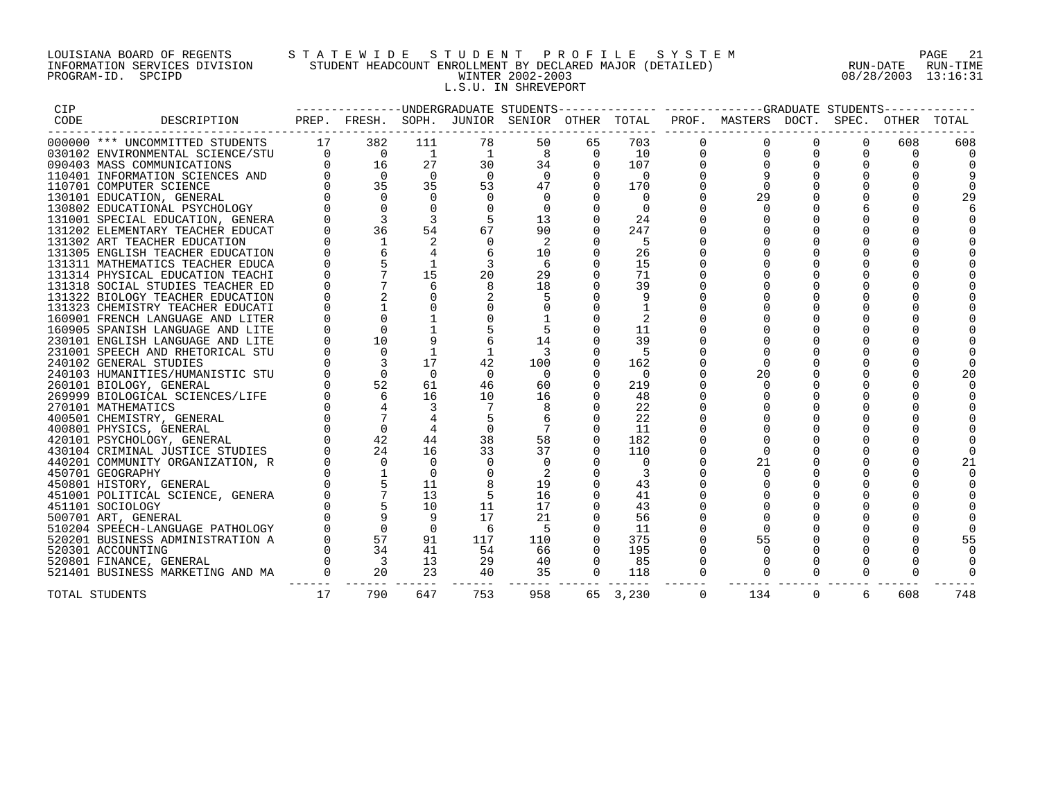## LOUISIANA BOARD OF REGENTS S T A T E W I D E S T U D E N T P R O F I L E S Y S T E M PAGE 21 INFORMATION SERVICES DIVISION STUDENT HEADCOUNT ENROLLMENT BY DECLARED MAJOR (DETAILED) RUN-DATE RUN-TIME PROGRAM-ID. SPCIPD WINTER 2002-2003 08/28/2003 13:16:31 L.S.U. IN SHREVEPORT

| CIP  |                                                                                                                                                                                                                                                     |                |                         |                |                | ---------------DNDERGRADUATE STUDENTS-------------- |                |                 |              | -------------GRADUATE STUDENTS----------- |             |          |             |       |
|------|-----------------------------------------------------------------------------------------------------------------------------------------------------------------------------------------------------------------------------------------------------|----------------|-------------------------|----------------|----------------|-----------------------------------------------------|----------------|-----------------|--------------|-------------------------------------------|-------------|----------|-------------|-------|
| CODE | DESCRIPTION                                                                                                                                                                                                                                         |                |                         |                |                | PREP. FRESH. SOPH. JUNIOR SENIOR OTHER TOTAL        |                |                 |              | PROF. MASTERS DOCT.                       |             |          | SPEC. OTHER | TOTAL |
|      | 000000 *** UNCOMMITTED STUDENTS 17 382                                                                                                                                                                                                              |                |                         | 111            | 78             | 50                                                  | 65             | 703             | $\Omega$     | $\Omega$                                  | $\Omega$    | $\Omega$ | 608         | 608   |
|      |                                                                                                                                                                                                                                                     |                |                         | $\overline{1}$ | $\overline{1}$ |                                                     | 8<br>$\Omega$  | 10              |              |                                           | $\Omega$    | $\Omega$ | $\Omega$    |       |
|      | 030102 ENVIRONMENTAL SCIENCE/STU 0 0<br>090403 MASS COMMUNICATIONS 0 16<br>110401 INFORMATION SCIENCES AND 0 0                                                                                                                                      |                |                         | 27             | 30             | 34                                                  | $\mathbf{0}$   | 107             | $\mathbf{0}$ |                                           | $\mathbf 0$ | $\Omega$ |             |       |
|      |                                                                                                                                                                                                                                                     |                | $\overline{0}$          | $\overline{0}$ | $\Omega$       | $\overline{0}$                                      |                | $\overline{0}$  |              |                                           |             |          |             |       |
|      |                                                                                                                                                                                                                                                     |                | 35                      | 35             | 53             | 47                                                  | $\Omega$       | 170             |              | $\Omega$                                  | $\Omega$    |          |             |       |
|      |                                                                                                                                                                                                                                                     |                | $\Omega$                | $\Omega$       | $\Omega$       | $\overline{0}$                                      |                | $\Omega$        |              | 29                                        | $\mathbf 0$ |          | 0           | 29    |
|      |                                                                                                                                                                                                                                                     |                |                         |                |                | $\overline{0}$                                      |                | $\Omega$        |              |                                           |             |          |             |       |
|      | 030102 ENVIRONMENTAL SCIENCE/ST0<br>110401 MASS COMMUNICATIONS<br>110401 INFORMATION SCIENCES AND<br>110701 COMPUTER SCIENCE<br>130101 EDUCATIONAL PSYCHOLOGY<br>131001 SPECIAL EDUCATION, GENERA<br>131001 SPECIAL EDUCATION, GENERA<br>131202 ELE |                | 3                       | 3              |                | 13                                                  |                | 24              |              |                                           |             |          |             |       |
|      |                                                                                                                                                                                                                                                     |                | 36                      | 54             | 67             | 90                                                  | $\Omega$       | 247             |              |                                           | 0           | $\Omega$ |             |       |
|      |                                                                                                                                                                                                                                                     |                | $\mathbf{1}$            |                | $\Omega$       |                                                     |                | -5              |              |                                           |             |          |             |       |
|      |                                                                                                                                                                                                                                                     |                |                         | $\overline{4}$ |                | 10                                                  |                | 26              |              |                                           |             | $\Omega$ |             |       |
|      |                                                                                                                                                                                                                                                     |                |                         | $\mathbf{1}$   | $\overline{3}$ | -6                                                  |                | 15              |              |                                           | $\Omega$    | $\Omega$ |             |       |
|      | 131314 PHYSICAL EDUCATION TEACHI                                                                                                                                                                                                                    |                |                         | 15             | 20             | 29                                                  |                | 71              |              |                                           |             |          |             |       |
|      | 131318 SOCIAL STUDIES TEACHER ED                                                                                                                                                                                                                    |                |                         |                |                | 18                                                  |                | 39              |              |                                           |             |          |             |       |
|      | 131322 BIOLOGY TEACHER EDUCATION                                                                                                                                                                                                                    |                |                         | $\Omega$       |                |                                                     |                | 9               |              |                                           | $\Omega$    |          |             |       |
|      | 131323 CHEMISTRY TEACHER EDUCATI                                                                                                                                                                                                                    |                |                         |                |                |                                                     |                | 1               |              |                                           |             | $\Omega$ |             |       |
|      | 160901 FRENCH LANGUAGE AND LITER                                                                                                                                                                                                                    |                |                         |                |                |                                                     |                |                 |              |                                           | $\Omega$    | $\Omega$ |             |       |
|      | 160905 SPANISH LANGUAGE AND LITE                                                                                                                                                                                                                    |                |                         |                |                |                                                     |                | 11              |              |                                           |             | $\Omega$ |             |       |
|      | 230101 ENGLISH LANGUAGE AND LITE                                                                                                                                                                                                                    |                | 10                      |                |                | 14                                                  |                | 39              |              |                                           |             |          |             |       |
|      | 231001 SPEECH AND RHETORICAL STU                                                                                                                                                                                                                    |                | $\Omega$                | $\overline{1}$ |                | -3                                                  |                | -5              |              |                                           |             |          |             |       |
|      | 240102 GENERAL STUDIES                                                                                                                                                                                                                              |                | 3                       | 17             | 42             | 100                                                 | $\Omega$       | 162             |              |                                           | $\Omega$    |          |             |       |
|      | 240103 HUMANITIES/HUMANISTIC STU                                                                                                                                                                                                                    |                |                         | $\Omega$       | $\Omega$       | $\Omega$                                            |                | $\overline{0}$  |              | 20                                        |             |          | $\Omega$    |       |
|      | 260101 BIOLOGY, GENERAL                                                                                                                                                                                                                             |                | 52                      | 61             | 46             | 60                                                  |                | 219             |              |                                           |             | $\Omega$ |             |       |
|      | 269999 BIOLOGICAL SCIENCES/LIFE                                                                                                                                                                                                                     |                | 6                       | 16             | 10             | 16                                                  | $\mathbf{0}$   | 48              |              |                                           | 0           |          |             |       |
|      | 270101 MATHEMATICS                                                                                                                                                                                                                                  |                |                         | 3              |                |                                                     |                | 22              |              |                                           |             |          |             |       |
|      | 400501 CHEMISTRY, GENERAL                                                                                                                                                                                                                           |                | $7\overline{ }$         |                |                |                                                     |                | 22              |              |                                           |             |          |             |       |
|      | 400801 PHYSICS, GENERAL                                                                                                                                                                                                                             |                | $\Omega$                |                | $\mathbf 0$    |                                                     | $\Omega$       | 11              |              |                                           | $\Omega$    | $\Omega$ |             |       |
|      | 420101 PSYCHOLOGY, GENERAL                                                                                                                                                                                                                          |                | 42                      | 44             | 38             | 58                                                  |                | 182             |              |                                           |             |          |             |       |
|      | 430104 CRIMINAL JUSTICE STUDIES                                                                                                                                                                                                                     |                | 24                      | 16             | 33             | 37                                                  |                | 110             |              |                                           |             |          |             |       |
|      | 440201 COMMUNITY ORGANIZATION, R                                                                                                                                                                                                                    |                | $\Omega$                | $\Omega$       | $\Omega$       | $\overline{0}$                                      | $\Omega$       | $\Omega$        |              | 21                                        | 0           | $\Omega$ | 0           |       |
|      | 450701 GEOGRAPHY                                                                                                                                                                                                                                    |                | $\overline{1}$          | $\Omega$       |                |                                                     |                |                 |              |                                           |             |          |             |       |
|      | 450801 HISTORY, GENERAL                                                                                                                                                                                                                             |                | $\overline{5}$          | 11             |                | 19                                                  |                | 43              |              |                                           |             |          |             |       |
|      | 451001 POLITICAL SCIENCE, GENERA                                                                                                                                                                                                                    |                | $7\overline{ }$         | 13             | 5              | 16                                                  |                | 41              |              |                                           | $\Omega$    | $\Omega$ |             |       |
|      | 451101 SOCIOLOGY                                                                                                                                                                                                                                    |                |                         | 10             | 11             | 17                                                  |                | 43              |              |                                           |             |          |             |       |
|      | 500701 ART, GENERAL                                                                                                                                                                                                                                 |                | 9                       |                | 17             | 21                                                  |                | 56              |              |                                           |             |          |             |       |
|      | 510204 SPEECH-LANGUAGE PATHOLOGY                                                                                                                                                                                                                    |                | $\overline{0}$          | $\Omega$       | 6              | $-5$                                                | $\Omega$       | 11              |              |                                           | $\mathbf 0$ | $\Omega$ | O           |       |
|      | 520201 BUSINESS ADMINISTRATION A                                                                                                                                                                                                                    |                | 57                      | 91             | 117            | 110                                                 |                | 375<br>$\Omega$ |              | 55                                        |             |          |             |       |
|      | 520301 ACCOUNTING                                                                                                                                                                                                                                   |                | 34                      | 41             | 54             | 66                                                  | $\Omega$       | 195             |              |                                           |             |          |             |       |
|      | 520801 FINANCE, GENERAL                                                                                                                                                                                                                             |                | $\overline{\mathbf{3}}$ | 13             | 29             | 40                                                  | $\Omega$       | 85              | $\Omega$     |                                           | $\Omega$    |          |             |       |
|      | 521401 BUSINESS MARKETING AND MA                                                                                                                                                                                                                    | $\overline{0}$ | 20                      | 23             | 40             | 35                                                  | $\overline{0}$ | 118             | $\Omega$     | $\Omega$                                  | $\Omega$    | 0        |             |       |
|      | TOTAL STUDENTS                                                                                                                                                                                                                                      | 17             | 790                     | 647            | 753            | 958                                                 |                | 65 3,230        | $\Omega$     | 134                                       | $\Omega$    | 6        | 608         | 748   |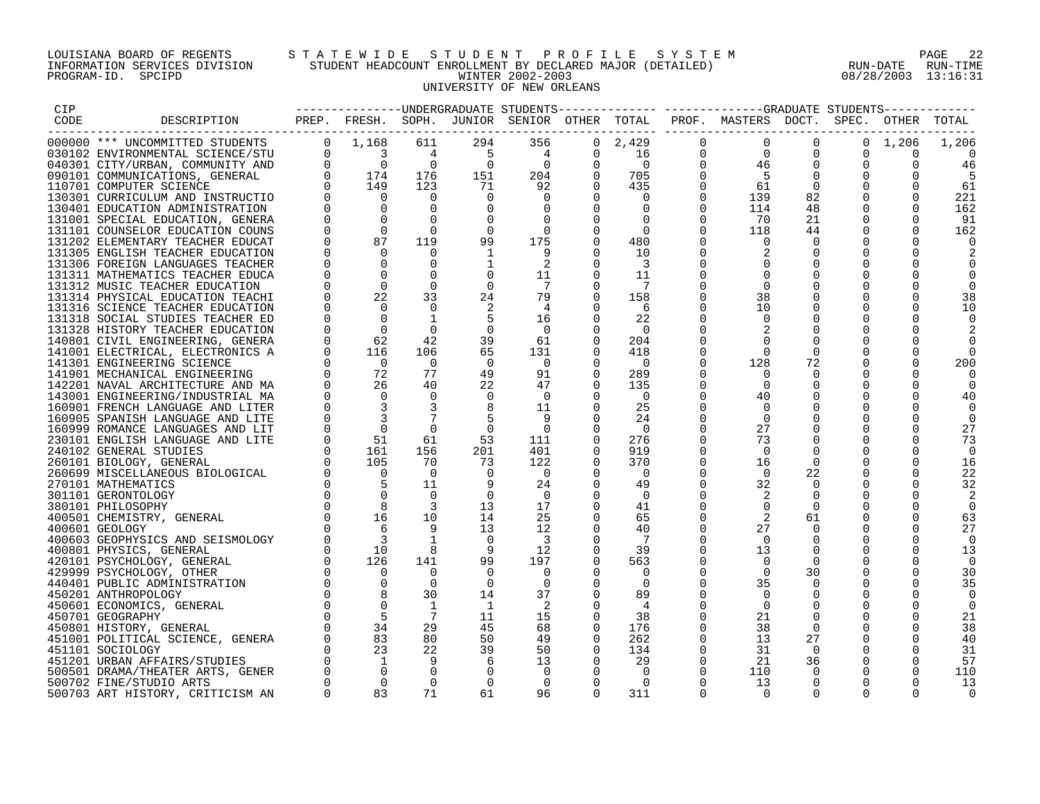## LOUISIANA BOARD OF REGENTS S T A T E W I D E S T U D E N T P R O F I L E S Y S T E M PAGE 22 INFORMATION SERVICES DIVISION STUDENT HEADCOUNT ENROLLMENT BY DECLARED MAJOR (DETAILED) RUN-DATE RUN-TIME PROGRAM-ID. SPCIPD WINTER 2002-2003 08/28/2003 13:16:31 UNIVERSITY OF NEW ORLEANS

|                                                                                                                                                                                                                                                                                                                                                                          |                |                                                           |                            |                          |                          |                |                          |                      | ---------------UNDERGRADUATE STUDENTS------------- -----------GRADUATE STUDENTS------------ |                |                            |                 |          |
|--------------------------------------------------------------------------------------------------------------------------------------------------------------------------------------------------------------------------------------------------------------------------------------------------------------------------------------------------------------------------|----------------|-----------------------------------------------------------|----------------------------|--------------------------|--------------------------|----------------|--------------------------|----------------------|---------------------------------------------------------------------------------------------|----------------|----------------------------|-----------------|----------|
|                                                                                                                                                                                                                                                                                                                                                                          |                |                                                           |                            |                          |                          |                |                          |                      | PREP. FRESH. SOPH. JUNIOR SENIOR OTHER TOTAL PROF. MASTERS DOCT. SPEC. OTHER TOTAL          |                |                            |                 |          |
|                                                                                                                                                                                                                                                                                                                                                                          |                |                                                           |                            | 294                      | 356                      |                | $0 \quad 2,429$          | $\mathbf 0$          | $\overline{0}$                                                                              | $\overline{0}$ |                            | $0 \quad 1,206$ | 1,206    |
|                                                                                                                                                                                                                                                                                                                                                                          |                |                                                           |                            |                          |                          |                | 16                       | $\mathbf 0$          |                                                                                             | $\Omega$       | 0                          | $\Omega$        |          |
|                                                                                                                                                                                                                                                                                                                                                                          |                |                                                           |                            | $\frac{5}{0}$            |                          |                | $\overline{0}$           | $\overline{0}$       | $\begin{array}{c}0\\46\end{array}$                                                          | $\Omega$       | $\mathbf 0$                | $\Omega$        | 46       |
|                                                                                                                                                                                                                                                                                                                                                                          |                |                                                           |                            | 151                      |                          |                | 705                      | $\mathbf 0$          | $\overline{5}$                                                                              |                | $\mathbf 0$                |                 | - 5      |
|                                                                                                                                                                                                                                                                                                                                                                          |                |                                                           |                            | 71                       |                          |                | 435                      | $\overline{0}$       | 61                                                                                          | $\overline{0}$ | 0                          |                 | 61       |
|                                                                                                                                                                                                                                                                                                                                                                          |                |                                                           |                            | $\mathbf 0$              |                          |                | $\overline{0}$           | $\Omega$             | 139                                                                                         | 82             | $\mathbf 0$                | $\Omega$        | 221      |
|                                                                                                                                                                                                                                                                                                                                                                          |                |                                                           |                            | $\mathbf 0$              |                          | $\Omega$       | $\overline{0}$           | 0                    | 114                                                                                         | 48             | $\Omega$                   | $\Omega$        | 162      |
|                                                                                                                                                                                                                                                                                                                                                                          |                |                                                           |                            | $\Omega$                 | $\Omega$                 | $\Omega$       | $\overline{\phantom{0}}$ | $\Omega$             | 70                                                                                          | 21             | $\Omega$                   | $\Omega$        | 91       |
|                                                                                                                                                                                                                                                                                                                                                                          |                |                                                           |                            | $\mathbf 0$              | $\overline{0}$           | $\Omega$       | $\Omega$                 | $\Omega$             | 118                                                                                         | 44             | $\Omega$                   | $\Omega$        | 162      |
|                                                                                                                                                                                                                                                                                                                                                                          |                |                                                           |                            | 99                       | 175                      | $\mathbf 0$    | 480                      |                      |                                                                                             | $\Omega$       |                            |                 |          |
|                                                                                                                                                                                                                                                                                                                                                                          |                |                                                           |                            |                          |                          |                | 10                       | $\Omega$             |                                                                                             | $\Omega$       | $\mathbf 0$                |                 |          |
|                                                                                                                                                                                                                                                                                                                                                                          |                |                                                           |                            |                          |                          |                | -3                       |                      |                                                                                             |                |                            |                 |          |
|                                                                                                                                                                                                                                                                                                                                                                          |                |                                                           |                            | $\overline{0}$           | 11                       | $\overline{0}$ | 11                       |                      |                                                                                             |                | 0                          |                 |          |
| 131312 MUSIC TEACHER EDUCATION                                                                                                                                                                                                                                                                                                                                           | $\mathbf 0$    | $\mathbf 0$                                               | $\Omega$                   | $\mathbf 0$              | $\overline{7}$           | $\Omega$       |                          |                      | $\Omega$                                                                                    |                | $\mathbf 0$                |                 |          |
| 131314 PHYSICAL EDUCATION TEACHI                                                                                                                                                                                                                                                                                                                                         | $\Omega$       | 22<br>$\overline{0}$                                      | 33                         | 24                       | 79<br>$4\overline{4}$    |                | 158                      |                      | 38                                                                                          |                | $\mathbf 0$                |                 | 38       |
| 131316 SCIENCE TEACHER EDUCATION                                                                                                                                                                                                                                                                                                                                         |                | $\bigcap$                                                 | $\Omega$<br>$\overline{1}$ | 5                        | 16                       | $\Omega$       | -6<br>22                 | $\Omega$<br>$\Omega$ | 10<br>$\Omega$                                                                              |                | $\mathbf 0$<br>$\Omega$    | $\Omega$        | 10       |
| 131318 SOCIAL STUDIES TEACHER ED<br>131328 HISTORY TEACHER EDUCATION                                                                                                                                                                                                                                                                                                     | $\mathbf 0$    | $\overline{0}$                                            | $\Omega$                   | $\overline{0}$           | $\overline{0}$           |                | $\overline{0}$           |                      |                                                                                             |                | $\mathbf 0$                |                 |          |
| 140801 CIVIL ENGINEERING, GENERA                                                                                                                                                                                                                                                                                                                                         | $\overline{0}$ |                                                           | 42                         | 39                       | 61                       | 0              | 204                      |                      |                                                                                             |                |                            |                 |          |
| 141001 ELECTRICAL, ELECTRONICS A                                                                                                                                                                                                                                                                                                                                         | $\overline{0}$ |                                                           | 106                        | 65                       | 131                      |                | 418                      |                      |                                                                                             |                | 0                          |                 |          |
| 141301 ENGINEERING SCIENCE                                                                                                                                                                                                                                                                                                                                               |                |                                                           | $\bigcirc$                 | $\overline{0}$           | $\overline{0}$           | $\Omega$       | $\overline{0}$           | $\Omega$             | 128                                                                                         | 72             | $\mathbf 0$                |                 | 200      |
| 141901 MECHANICAL ENGINEERING                                                                                                                                                                                                                                                                                                                                            |                | $\begin{array}{r} 62 \\ 116 \\ 0 \\ 72 \\ 26 \end{array}$ | 77                         | 49                       | 91                       | $\Omega$       | 289                      | $\Omega$             |                                                                                             |                | $\Omega$                   |                 |          |
| 142201 NAVAL ARCHITECTURE AND MA                                                                                                                                                                                                                                                                                                                                         | $\Omega$       |                                                           | 40                         | 22                       | 47                       | $\Omega$       | 135                      | $\Omega$             | $\Omega$                                                                                    |                | $\Omega$                   |                 |          |
| 143001 ENGINEERING/INDUSTRIAL MA                                                                                                                                                                                                                                                                                                                                         |                | $\bigcirc$                                                | $\overline{0}$             | $\overline{0}$           | $\overline{0}$           |                | $\bigcap$                | $\Omega$             | 40                                                                                          |                | $\Omega$                   |                 | 40       |
| 160901 FRENCH LANGUAGE AND LITER                                                                                                                                                                                                                                                                                                                                         |                |                                                           | $\overline{\mathbf{3}}$    | 8                        | 11                       | 0              | 25                       |                      |                                                                                             |                | 0                          |                 |          |
| 160905 SPANISH LANGUAGE AND LITE                                                                                                                                                                                                                                                                                                                                         |                |                                                           | $7\overline{ }$            | -5                       | - 9                      |                | 24                       |                      | $\Omega$                                                                                    |                | 0                          |                 |          |
| 160999 ROMANCE LANGUAGES AND LIT                                                                                                                                                                                                                                                                                                                                         |                |                                                           | $\Omega$                   | $\overline{0}$           | $\overline{\phantom{0}}$ | $\Omega$       | 0                        | $\Omega$             | 27                                                                                          |                | $\mathbf 0$                | O               | 27       |
| 230101 ENGLISH LANGUAGE AND LITE                                                                                                                                                                                                                                                                                                                                         |                |                                                           | 61                         | 53                       | 111                      | 0              | 276                      |                      | 73                                                                                          |                | 0                          |                 | 73       |
| 240102 GENERAL STUDIES                                                                                                                                                                                                                                                                                                                                                   |                |                                                           | 156                        | 201                      | 401                      |                | 919                      | $\Omega$             | $\Omega$                                                                                    |                | $\Omega$                   |                 | $\Omega$ |
| 260101 BIOLOGY, GENERAL                                                                                                                                                                                                                                                                                                                                                  |                |                                                           | 70                         | 73                       | 122                      | $\Omega$       | 370                      | $\Omega$             | 16                                                                                          | $\Omega$       | $\Omega$                   | $\Omega$        | 16       |
| 260699 MISCELLANEOUS BIOLOGICAL                                                                                                                                                                                                                                                                                                                                          |                |                                                           | $\overline{0}$             | $\overline{\phantom{0}}$ | $\overline{0}$           |                | $\overline{0}$           | $\Omega$             | $\overline{0}$                                                                              | 22             | $\mathbf 0$                | $\mathbf 0$     | 22       |
| 270101 MATHEMATICS                                                                                                                                                                                                                                                                                                                                                       |                |                                                           | 11                         |                          | 24                       | $\overline{0}$ | 49                       | 0                    | 32                                                                                          | 0              | 0                          | $\Omega$        | 32       |
| 301101 GERONTOLOGY                                                                                                                                                                                                                                                                                                                                                       |                |                                                           | $\Omega$                   | $\overline{0}$           | $\overline{0}$           |                | $\overline{0}$           |                      |                                                                                             |                |                            |                 |          |
| 380101 PHILOSOPHY                                                                                                                                                                                                                                                                                                                                                        |                |                                                           | 10 <sup>°</sup>            | 13<br>14                 | 17<br>25                 | 0<br>$\Omega$  | 41<br>65                 | $\Omega$             |                                                                                             | $\Omega$<br>61 | $\mathbf 0$<br>$\mathbf 0$ |                 | $\Omega$ |
| 400501 CHEMISTRY, GENERAL<br>400601 GEOLOGY                                                                                                                                                                                                                                                                                                                              |                |                                                           |                            | 13                       | 12                       |                | 40                       | $\Omega$             | 27                                                                                          | $\Omega$       |                            |                 | 63<br>27 |
| 400603 GEOPHYSICS AND SEISMOLOGY                                                                                                                                                                                                                                                                                                                                         |                |                                                           |                            | $\overline{0}$           | $\overline{\phantom{a}}$ |                | $\overline{7}$           | $\Omega$             | $\bigcap$                                                                                   | $\Omega$       | $\Omega$                   |                 | $\Omega$ |
| 400801 PHYSICS, GENERAL                                                                                                                                                                                                                                                                                                                                                  |                |                                                           | 8                          | - 9                      | 12                       |                | 39                       | 0                    | 13                                                                                          |                | $\mathbf 0$                |                 | 13       |
| 420101 PSYCHOLOGY, GENERAL                                                                                                                                                                                                                                                                                                                                               |                |                                                           | 141                        | 99                       | 197                      | $\Omega$       | 563                      | $\Omega$             | $\overline{0}$                                                                              | $\Omega$       | 0                          | $\Omega$        | $\Omega$ |
| 429999 PSYCHOLOGY, OTHER                                                                                                                                                                                                                                                                                                                                                 |                |                                                           | $\Omega$                   | $\Omega$                 | $\Omega$                 |                | $\Omega$                 | $\Omega$             | $\Omega$                                                                                    | 30             | $\Omega$                   | $\Omega$        | 30       |
| 440401 PUBLIC ADMINISTRATION                                                                                                                                                                                                                                                                                                                                             |                |                                                           | $\Omega$                   | $\overline{0}$           | $\Omega$                 | $\overline{0}$ | $\Omega$                 | $\Omega$             | 35                                                                                          | $\Omega$       | $\Omega$                   | $\Omega$        | 35       |
| 450201 ANTHROPOLOGY                                                                                                                                                                                                                                                                                                                                                      |                |                                                           | 30                         | 14                       | 37                       | $\mathbf 0$    | 89                       | $\Omega$             | $\Omega$                                                                                    |                | $\mathbf 0$                |                 | $\Omega$ |
| 450601 ECONOMICS, GENERAL                                                                                                                                                                                                                                                                                                                                                |                |                                                           | 1                          | $\mathbf{1}$             |                          |                | 4                        | $\Omega$             | $\Omega$                                                                                    |                | $\mathbf 0$                |                 | $\Omega$ |
| 450701 GEOGRAPHY                                                                                                                                                                                                                                                                                                                                                         |                |                                                           | 7                          | 11                       | 15                       | $\Omega$       | 38                       | $\Omega$             | 21                                                                                          | $\Omega$       | $\Omega$                   |                 | 21       |
| 450801 HISTORY, GENERAL                                                                                                                                                                                                                                                                                                                                                  |                |                                                           | 29                         | 45                       | 68                       | $\mathbf 0$    | 176                      | 0                    | 38                                                                                          | $\overline{0}$ | $\mathbf 0$                | $\mathbf 0$     | 38       |
| $\begin{array}{cccc} 0 & 0 & 0 & 0 \\ 0 & 0 & 0 & 0 \\ 0 & 0 & 0 & 0 \\ 0 & 0 & 0 & 0 \\ 0 & 0 & 161 \\ 0 & 0 & 161 \\ 0 & 0 & 0 \\ 0 & 0 & 0 \\ 0 & 0 & 0 \\ 0 & 0 & 0 \\ 0 & 0 & 0 \\ 0 & 0 & 0 \\ 0 & 0 & 0 \\ 0 & 0 & 0 \\ 0 & 0 & 0 \\ 0 & 0 & 0 \\ 0 & 0 & 0 \\ 0 & 0 & 0 \\ 0 & 0 & 0 \\ 0 & 0 & 0 \\ 0 & 0 & 0 \\ 0 & 0 & 0$<br>451001 POLITICAL SCIENCE, GENERA |                |                                                           | 80                         | 50                       | 49                       | 0              | 262                      | 0                    | 13                                                                                          | 27             | 0                          | $\Omega$        | 40       |
| 451101 SOCIOLOGY                                                                                                                                                                                                                                                                                                                                                         |                |                                                           | 22                         | 39                       | 50                       |                | 134                      | $\Omega$             | 31                                                                                          | - 0            | 0                          | 0               | 31       |
| 451201 URBAN AFFAIRS/STUDIES                                                                                                                                                                                                                                                                                                                                             |                |                                                           |                            |                          | 13                       | $\overline{0}$ | 29                       | 0                    | 21                                                                                          | 36             | 0                          | 0               | 57       |
| 500501 DRAMA/THEATER ARTS, GENER                                                                                                                                                                                                                                                                                                                                         |                |                                                           | $\Omega$                   | $\Omega$                 | $\Omega$                 | $\Omega$       | $\Omega$                 | $\Omega$             | 110                                                                                         | $\Omega$       | $\Omega$                   |                 | 110      |
| 500702 FINE/STUDIO ARTS                                                                                                                                                                                                                                                                                                                                                  |                |                                                           | $\Omega$                   | $\Omega$                 | $\Omega$                 | $\Omega$       | $\Omega$                 | $\Omega$             | 13                                                                                          | $\Omega$       | $\Omega$                   | $\Omega$        | 13       |
| 500703 ART HISTORY, CRITICISM AN                                                                                                                                                                                                                                                                                                                                         | $\Omega$       | 83                                                        | 71                         | 61                       | 96                       | $\cap$         | 311                      | $\cap$               |                                                                                             |                |                            |                 | $\Omega$ |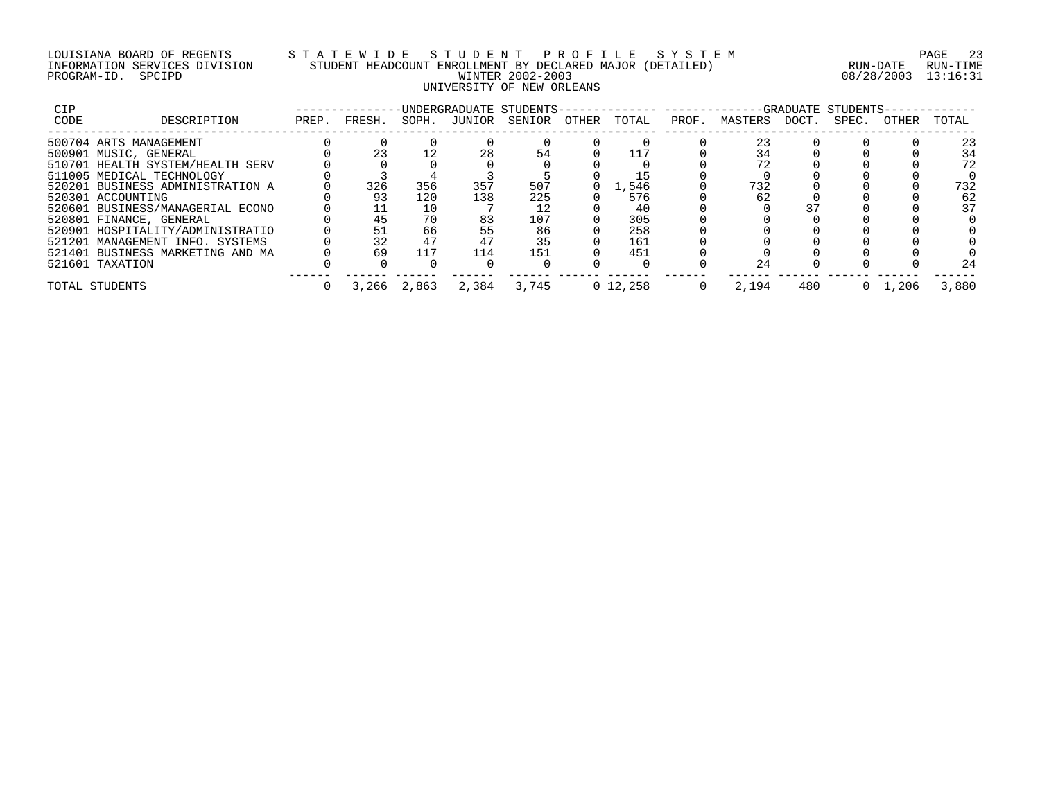## LOUISIANA BOARD OF REGENTS S T A T E W I D E S T U D E N T P R O F I L E S Y S T E M PAGE 23 INFORMATION SERVICES DIVISION STUDENT HEADCOUNT ENROLLMENT BY DECLARED MAJOR (DETAILED) RUN-DATE RUN-TIME PROGRAM-ID. SPCIPD WINTER 2002-2003 08/28/2003 13:16:31 UNIVERSITY OF NEW ORLEANS

| CIP  |                                  |       |        |             |       | -UNDERGRADUATE STUDENTS- |       |             |       |               |     | -GRADUATE STUDENTS- |       |       |
|------|----------------------------------|-------|--------|-------------|-------|--------------------------|-------|-------------|-------|---------------|-----|---------------------|-------|-------|
| CODE | DESCRIPTION                      | PREP. | FRESH. | SOPH.       |       | JUNIOR SENIOR            | OTHER | TOTAL       | PROF. | MASTERS DOCT. |     | SPEC.               | OTHER | TOTAL |
|      | 500704 ARTS MANAGEMENT           |       |        |             |       |                          |       |             |       | 23            |     |                     |       | 23    |
|      | 500901 MUSIC, GENERAL            |       | 23     |             | 28    | 54                       |       |             |       | 34            |     |                     |       | 34    |
|      | 510701 HEALTH SYSTEM/HEALTH SERV |       |        |             |       |                          |       |             |       |               |     |                     |       | 72    |
|      | 511005 MEDICAL TECHNOLOGY        |       |        |             |       |                          |       |             |       |               |     |                     |       |       |
|      | 520201 BUSINESS ADMINISTRATION A |       | 326    | 356         | 357   | 507                      |       | 1,546       |       | 732           |     |                     |       | 732   |
|      | 520301 ACCOUNTING                |       | 93     | 120         | 138   | 225                      |       | 576         |       | 62            |     |                     |       | 62    |
|      | 520601 BUSINESS/MANAGERIAL ECONO |       |        | 10          |       |                          |       | 40          |       |               |     |                     |       | 37    |
|      | 520801 FINANCE, GENERAL          |       | 45     | 70          | 83    | 107                      |       | 305         |       |               |     |                     |       |       |
|      | 520901 HOSPITALITY/ADMINISTRATIO |       |        | 66          | 55    | 86                       |       | 258         |       |               |     |                     |       |       |
|      | 521201 MANAGEMENT INFO. SYSTEMS  |       | 32     | 47          |       | 35                       |       | 161         |       |               |     |                     |       |       |
|      | 521401 BUSINESS MARKETING AND MA |       | 69     | 117         | 114   | 151                      |       | 451         |       |               |     |                     |       |       |
|      | 521601 TAXATION                  |       |        |             |       |                          |       |             |       | 24            |     |                     |       | 24    |
|      | TOTAL STUDENTS                   |       |        | 3,266 2,863 | 2,384 | 3,745                    |       | $0\,12.258$ |       | 2,194         | 480 |                     | . 206 | 3,880 |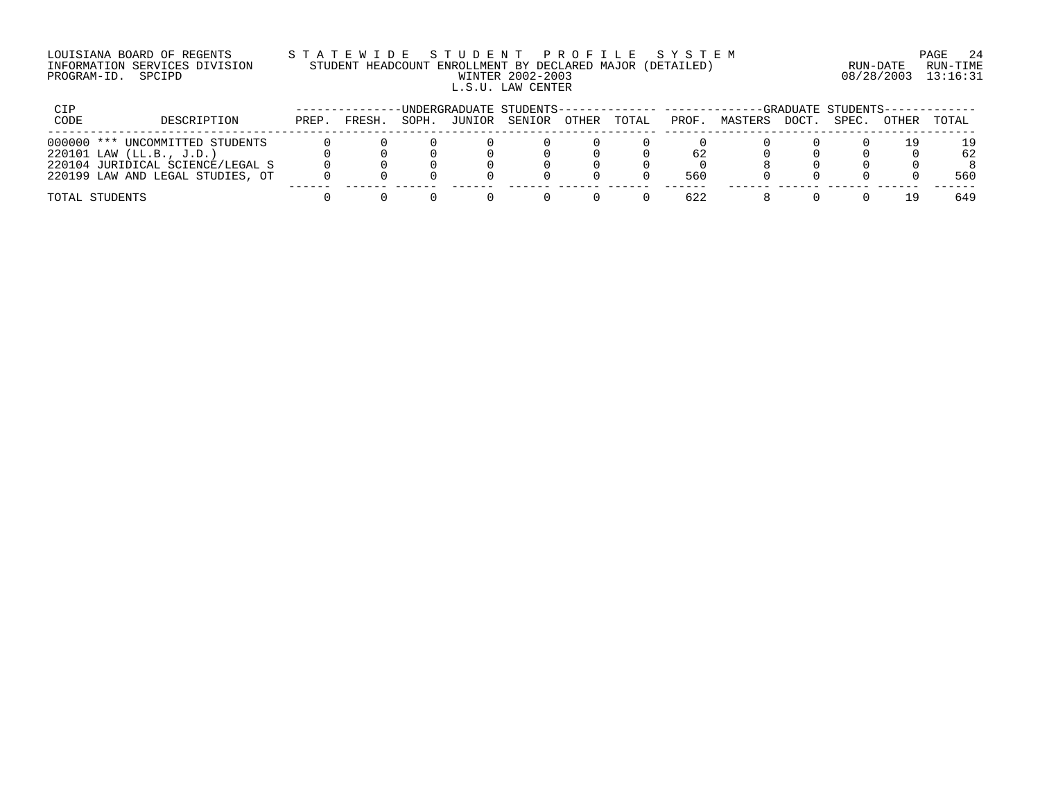## LOUISIANA BOARD OF REGENTS S T A T E W I D E S T U D E N T P R O F I L E S Y S T E M PAGE 24 INFORMATION SERVICES DIVISION STUDENT HEADCOUNT ENROLLMENT BY DECLARED MAJOR (DETAILED) RUN-DATE RUN-TIME PROGRAM-ID. SPCIPD WINTER 2002-2003 08/28/2003 13:16:31 L.S.U. LAW CENTER

| CIP          |                                                  |       |        |       |        | -UNDERGRADUATE STUDENTS-------------- --------- |       |       |       |         |       | -GRADUATE STUDENTS- |       |          |
|--------------|--------------------------------------------------|-------|--------|-------|--------|-------------------------------------------------|-------|-------|-------|---------|-------|---------------------|-------|----------|
| CODE         | DESCRIPTION                                      | PREP. | FRESH. | SOPH. | JUNIOR | SENIOR                                          | OTHER | TOTAL | PROF. | MASTERS | DOCT. | SPEC.               | OTHER | TOTAL    |
| $000000$ *** | UNCOMMITTED STUDENTS<br>220101 LAW (LL.B., J.D.) |       |        |       |        |                                                 |       |       | 62    |         |       |                     |       | 19<br>62 |
|              | 220104 JURIDICAL SCIENCE/LEGAL S                 |       |        |       |        |                                                 |       |       |       |         |       |                     |       |          |
|              | 220199 LAW AND LEGAL STUDIES, OT                 |       |        |       |        |                                                 |       |       | 560   |         |       |                     |       | 560      |
|              | TOTAL STUDENTS                                   |       |        |       |        |                                                 |       |       | 622   |         |       |                     |       | 649      |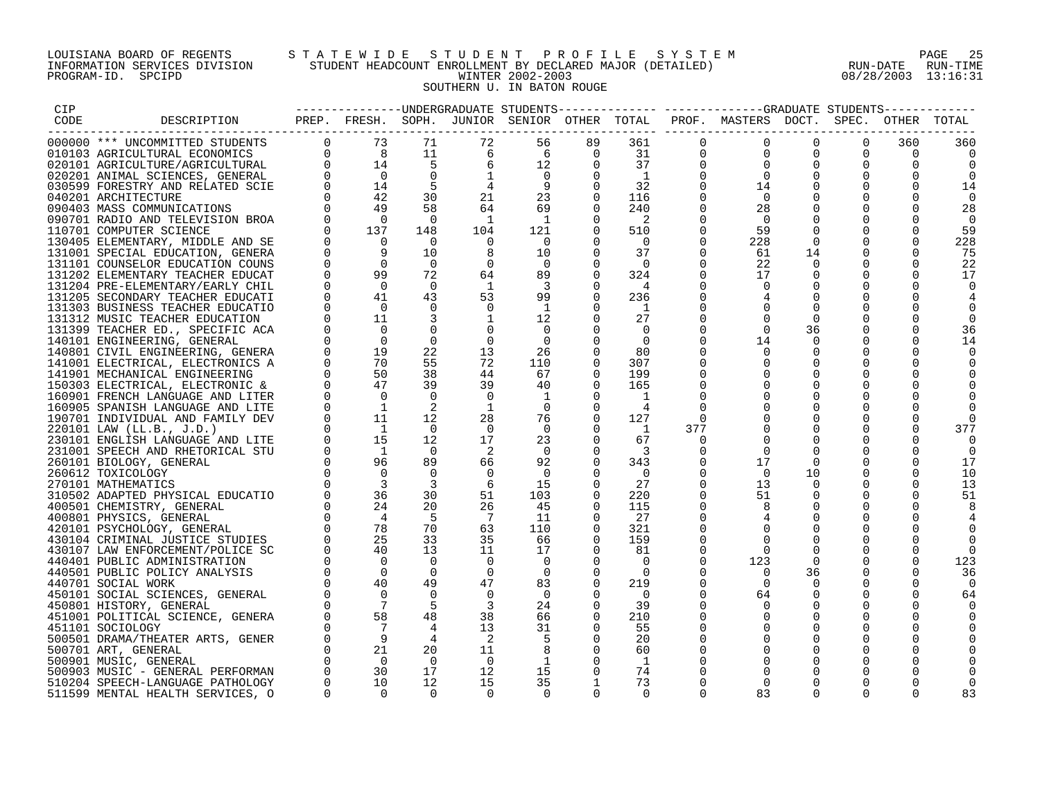## LOUISIANA BOARD OF REGENTS S T A T E W I D E S T U D E N T P R O F I L E S Y S T E M PAGE 25 INFORMATION SERVICES DIVISION STUDENT HEADCOUNT ENROLLMENT BY DECLARED MAJOR (DETAILED) RUN-DATE RUN-TIME PROGRAM-ID. SPCIPD WINTER 2002-2003 08/28/2003 13:16:31 SOUTHERN U. IN BATON ROUGE

| CIP  |             |  |  |                                                                 |                                  |                            |             | --------------DNDERGRADUATE STUDENTS------------- -----------GRADUATE STUDENTS-    |          |                  |          |           |
|------|-------------|--|--|-----------------------------------------------------------------|----------------------------------|----------------------------|-------------|------------------------------------------------------------------------------------|----------|------------------|----------|-----------|
| CODE | DESCRIPTION |  |  |                                                                 |                                  |                            |             | PREP. FRESH. SOPH. JUNIOR SENIOR OTHER TOTAL PROF. MASTERS DOCT. SPEC. OTHER TOTAL |          |                  |          |           |
|      |             |  |  | 56                                                              | 89                               | 361                        | $\mathbf 0$ | $\mathbf 0$                                                                        | $\Omega$ | $\Omega$         | 360      | 360       |
|      |             |  |  | 6                                                               | $\overline{0}$                   | 31                         | $\mathbf 0$ | $\Omega$                                                                           | $\Omega$ |                  | $\Omega$ |           |
|      |             |  |  |                                                                 | $\Omega$                         | 37                         | $\Omega$    |                                                                                    |          | $\Omega$         |          |           |
|      |             |  |  |                                                                 | $\Omega$                         | $\overline{1}$             | $\Omega$    | $\Omega$                                                                           |          | $\Omega$         | $\Omega$ |           |
|      |             |  |  |                                                                 | $\Omega$                         | 32                         | $\Omega$    | 14                                                                                 |          | 0                |          | 14        |
|      |             |  |  |                                                                 | $\Omega$                         | 116                        | $\Omega$    | $\overline{0}$                                                                     |          | $\mathbf 0$      | $\Omega$ | $\Omega$  |
|      |             |  |  | $\begin{array}{c} 6 \\ 12 \\ 0 \\ 9 \\ 23 \\ 69 \\ \end{array}$ |                                  | 240                        | 0           | 28                                                                                 |          | $\Omega$         | $\Omega$ | 28        |
|      |             |  |  | $\overline{1}$                                                  | $\Omega$                         | $\overline{\phantom{a}}^2$ | $\Omega$    | - 0                                                                                |          | $\Omega$         | $\Omega$ | $\Omega$  |
|      |             |  |  | 121                                                             | $\Omega$                         | 510                        | $\mathbf 0$ | 59                                                                                 | $\Omega$ | $\Omega$         |          | 59        |
|      |             |  |  | $\overline{0}$                                                  |                                  | $\overline{0}$             | 0           | 228                                                                                |          | $\mathbf 0$      |          | 228       |
|      |             |  |  | 10                                                              | $\Omega$                         | 37                         | $\Omega$    | 61                                                                                 | 14       | $\Omega$         | $\Omega$ | 75        |
|      |             |  |  | $\overline{0}$                                                  | $\Omega$                         | $\bigcap$                  | $\Omega$    | 22                                                                                 |          | $\Omega$         | $\Omega$ | 22        |
|      |             |  |  | 89                                                              | $\mathbf 0$                      | 324                        | $\mathbf 0$ | 17                                                                                 | 0        | $\mathbf 0$      | $\Omega$ | 17        |
|      |             |  |  | $\overline{\phantom{a}}$                                        | 0                                | $\frac{4}{3}$              | $\Omega$    | $\Omega$                                                                           | $\Omega$ | $\mathbf 0$      |          |           |
|      |             |  |  | 99                                                              | $\Omega$                         | 236                        |             |                                                                                    |          |                  |          |           |
|      |             |  |  | $\overline{1}$                                                  |                                  | $\overline{1}$             |             |                                                                                    |          |                  |          |           |
|      |             |  |  | 12                                                              | $\Omega$                         | 27                         | 0           |                                                                                    | $\Omega$ | $\Omega$         |          |           |
|      |             |  |  | $\overline{0}$                                                  | $\Omega$                         | $\Omega$                   |             | $\Omega$                                                                           | 36       | $\Omega$         |          | 36        |
|      |             |  |  | $\overline{0}$                                                  |                                  | $\Omega$                   | $\Omega$    | 14                                                                                 | $\Omega$ | $\Omega$         |          |           |
|      |             |  |  | 26                                                              | $\Omega$                         | 80                         |             |                                                                                    |          | $\Omega$         |          |           |
|      |             |  |  | 110                                                             | $\Omega$                         | 307                        | $\Omega$    |                                                                                    |          | $\mathbf 0$      |          |           |
|      |             |  |  | 67                                                              | $\Omega$                         | 199                        | $\Omega$    |                                                                                    |          | $\Omega$         |          |           |
|      |             |  |  | 40                                                              | $\overline{0}$                   | 165                        |             |                                                                                    |          | 0                |          |           |
|      |             |  |  | $\overline{1}$                                                  |                                  | $\overline{1}$             |             |                                                                                    | $\Omega$ | $\Omega$         |          |           |
|      |             |  |  | $\overline{0}$                                                  | $\overline{0}$                   |                            |             |                                                                                    |          |                  |          |           |
|      |             |  |  | 76                                                              | $\Omega$                         | 127                        | $\Omega$    |                                                                                    |          | $\Omega$         |          |           |
|      |             |  |  | $\overline{0}$                                                  | $\Omega$                         | $\overline{1}$             | 377         |                                                                                    | $\Omega$ | $\Omega$         |          | 377       |
|      |             |  |  | 23                                                              | $\Omega$                         | 67                         | $\Omega$    |                                                                                    |          |                  |          |           |
|      |             |  |  | $\bigcirc$                                                      | $\Omega$                         |                            | $\Omega$    | $\Omega$                                                                           |          | 0                |          | $\Omega$  |
|      |             |  |  | 92                                                              | $\Omega$                         | 343                        | 0           | 17                                                                                 |          | $\Omega$         | $\Omega$ | 17        |
|      |             |  |  | $\overline{0}$                                                  | $\Omega$                         | $\overline{0}$             | $\Omega$    | $\overline{0}$                                                                     | 10       | $\Omega$         | $\Omega$ | 10        |
|      |             |  |  | 15                                                              | $\Omega$                         | 27                         | $\Omega$    | 13                                                                                 | $\Omega$ | $\Omega$         | $\Omega$ | 13        |
|      |             |  |  | 103                                                             | 0                                | 220                        | $\Omega$    | 51                                                                                 |          | $\Omega$         | $\Omega$ | 51        |
|      |             |  |  | 45                                                              | $\Omega$                         | 115                        | $\Omega$    |                                                                                    |          | $\Omega$         |          |           |
|      |             |  |  | 11                                                              | $\Omega$                         | 27                         | $\Omega$    |                                                                                    |          | $\Omega$         |          |           |
|      |             |  |  | 110                                                             | $\overline{0}$                   | 321                        | $\Omega$    |                                                                                    |          | $\Omega$         |          |           |
|      |             |  |  | 66<br>17                                                        | $\overline{0}$<br>$\overline{0}$ | 159<br>81                  | 0<br>0      |                                                                                    |          | $\mathbf 0$<br>0 |          |           |
|      |             |  |  | $\overline{0}$                                                  | $\Omega$                         | $\Omega$                   | $\Omega$    |                                                                                    | $\Omega$ | $\Omega$         |          |           |
|      |             |  |  | $\overline{0}$                                                  | $\Omega$                         | $\Omega$                   | $\Omega$    | 123                                                                                | 36       | $\Omega$         | $\Omega$ | 123<br>36 |
|      |             |  |  | 83                                                              | $\Omega$                         | 219                        | $\Omega$    | - 0                                                                                | $\Omega$ | $\Omega$         | $\Omega$ |           |
|      |             |  |  | $\overline{0}$                                                  | $\Omega$                         | $\overline{0}$             | $\Omega$    | 64                                                                                 | $\Omega$ | $\Omega$         | $\Omega$ | 64        |
|      |             |  |  | 24                                                              | $\Omega$                         | 39                         | $\Omega$    |                                                                                    | $\Omega$ | $\Omega$         |          |           |
|      |             |  |  | 66                                                              | $\overline{0}$                   | 210                        | $\Omega$    |                                                                                    |          | $\mathbf 0$      |          |           |
|      |             |  |  | 31                                                              | $\overline{0}$                   | 55                         | $\Omega$    |                                                                                    | $\Omega$ | $\Omega$         |          |           |
|      |             |  |  |                                                                 | $\overline{0}$                   | 20                         |             |                                                                                    | $\Omega$ | 0                |          |           |
|      |             |  |  | - 8                                                             | $\Omega$                         | 60                         |             | $\Omega$                                                                           | $\Omega$ | $\mathbf 0$      |          |           |
|      |             |  |  |                                                                 | $\Omega$                         | 1                          |             |                                                                                    |          | $\Omega$         |          |           |
|      |             |  |  | 15                                                              | $\Omega$                         | 74                         |             |                                                                                    |          |                  |          |           |
|      |             |  |  | 35                                                              | 1                                | 73                         | $\Omega$    | $\Omega$                                                                           |          | $\Omega$         |          |           |
|      |             |  |  | $\Omega$                                                        | $\cap$                           | $\Omega$                   | $\cap$      | 83                                                                                 |          |                  |          | 83        |
|      |             |  |  |                                                                 |                                  |                            |             |                                                                                    |          |                  |          |           |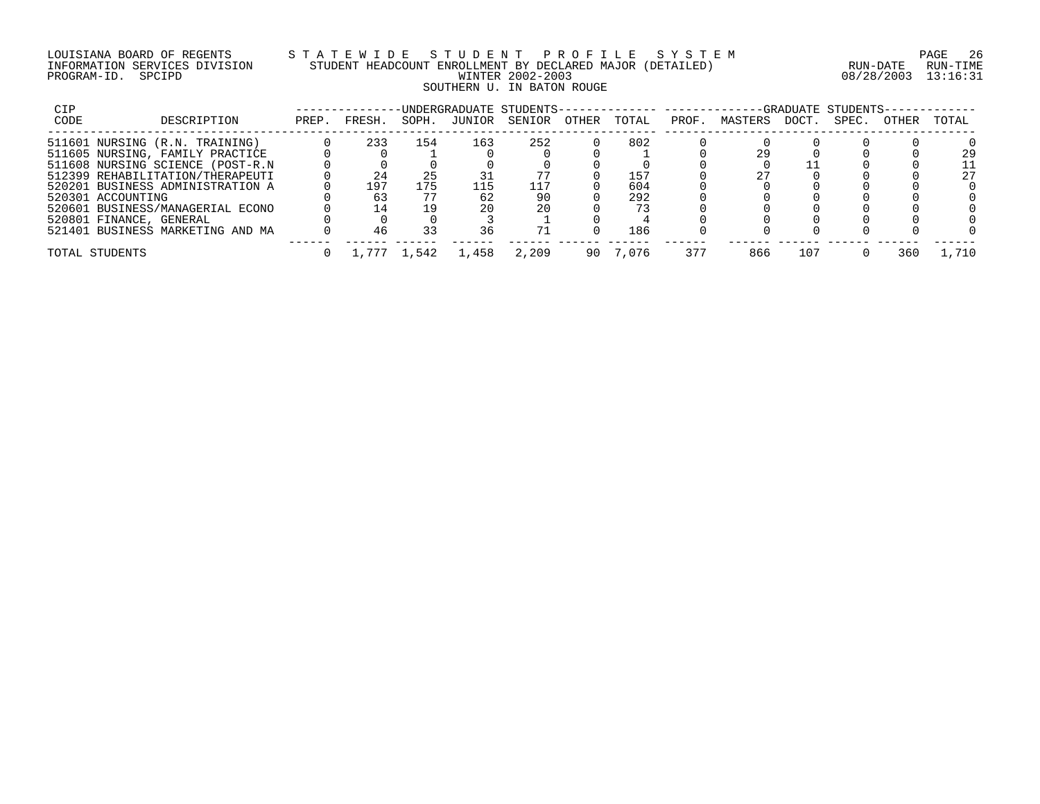## LOUISIANA BOARD OF REGENTS S T A T E W I D E S T U D E N T P R O F I L E S Y S T E M PAGE 26 INFORMATION SERVICES DIVISION STUDENT HEADCOUNT ENROLLMENT BY DECLARED MAJOR (DETAILED) RUN-DATE RUN-TIME PROGRAM-ID. SPCIPD WINTER 2002-2003 08/28/2003 13:16:31 SOUTHERN U. IN BATON ROUGE

| CIP                     |                                  |       |        |       |       | -UNDERGRADUATE STUDENTS- |       |       |       |         |       | -GRADUATE STUDENTS- |       |       |
|-------------------------|----------------------------------|-------|--------|-------|-------|--------------------------|-------|-------|-------|---------|-------|---------------------|-------|-------|
| CODE                    | DESCRIPTION                      | PREP. | FRESH. | SOPH. |       | JUNIOR SENIOR            | OTHER | TOTAL | PROF. | MASTERS | DOCT. | SPEC.               | OTHER | TOTAL |
|                         | 511601 NURSING (R.N. TRAINING)   |       | 233    | 154   | 163   | 252                      |       | 802   |       |         |       |                     |       |       |
|                         | 511605 NURSING, FAMILY PRACTICE  |       |        |       |       |                          |       |       |       | 29      |       |                     |       | 29    |
|                         | 511608 NURSING SCIENCE (POST-R.N |       |        |       |       |                          |       |       |       |         |       |                     |       | 11    |
|                         | 512399 REHABILITATION/THERAPEUTI |       | 24     | 25    |       |                          |       | 157   |       |         |       |                     |       | 27    |
|                         | 520201 BUSINESS ADMINISTRATION A |       | 197    | 175   | 115   | 117                      |       | 604   |       |         |       |                     |       |       |
| 520301 ACCOUNTING       |                                  |       |        |       | 62    | 90                       |       | 292   |       |         |       |                     |       |       |
|                         | 520601 BUSINESS/MANAGERIAL ECONO |       | 14     | 19    | 2.0   | 20                       |       | 73    |       |         |       |                     |       |       |
| 520801 FINANCE, GENERAL |                                  |       |        |       |       |                          |       |       |       |         |       |                     |       |       |
|                         | 521401 BUSINESS MARKETING AND MA |       | 46     | 33    | 36    |                          |       | 186   |       |         |       |                     |       |       |
| TOTAL STUDENTS          |                                  |       |        |       | 1,458 | 2,209                    | 90    | 7.076 | 377   | 866     | 107   |                     | 360   | .710  |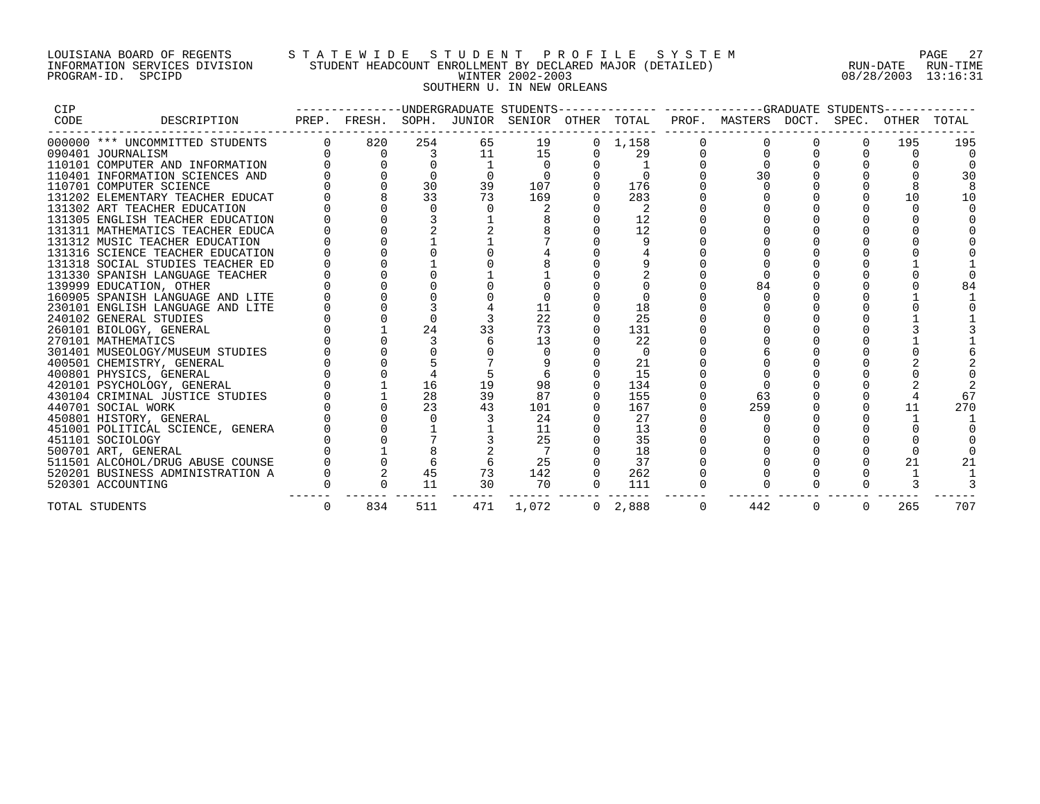## LOUISIANA BOARD OF REGENTS S T A T E W I D E S T U D E N T P R O F I L E S Y S T E M PAGE 27 INFORMATION SERVICES DIVISION STUDENT HEADCOUNT ENROLLMENT BY DECLARED MAJOR (DETAILED) RUN-DATE RUN-TIME PROGRAM-ID. SPCIPD WINTER 2002-2003 08/28/2003 13:16:31 SOUTHERN U. IN NEW ORLEANS

| CIP  |                                  |          |     |     |       |                 |          | --------------UNDERGRADUATE STUDENTS-------------- ------------GRADUATE STUDENTS- |   |          |     |       |
|------|----------------------------------|----------|-----|-----|-------|-----------------|----------|-----------------------------------------------------------------------------------|---|----------|-----|-------|
| CODE | DESCRIPTION                      |          |     |     |       |                 |          | PREP. FRESH. SOPH. JUNIOR SENIOR OTHER TOTAL PROF. MASTERS DOCT. SPEC. OTHER      |   |          |     | TOTAL |
|      | 000000 *** UNCOMMITTED STUDENTS  | 820      | 254 | 65  | 19    | $0 \quad 1,158$ |          |                                                                                   |   | $\Omega$ | 195 | 195   |
|      | 090401 JOURNALISM                | $\Omega$ | 3   | 11  | 15    | 29              |          |                                                                                   |   |          |     |       |
|      | 110101 COMPUTER AND INFORMATION  |          |     |     |       |                 |          |                                                                                   |   |          |     |       |
|      | 110401 INFORMATION SCIENCES AND  |          |     |     |       |                 |          | 30                                                                                |   |          |     | 30    |
|      | 110701 COMPUTER SCIENCE          |          | 30  | 39  | 107   | 176             |          |                                                                                   |   |          |     |       |
|      | 131202 ELEMENTARY TEACHER EDUCAT |          | 33  | 73  | 169   | 283             |          |                                                                                   |   |          | 10  | 10    |
|      | 131302 ART TEACHER EDUCATION     |          |     |     |       |                 |          |                                                                                   |   |          |     |       |
|      | 131305 ENGLISH TEACHER EDUCATION |          |     |     |       | 12              |          |                                                                                   |   |          |     |       |
|      | 131311 MATHEMATICS TEACHER EDUCA |          |     |     |       | 12              |          |                                                                                   |   |          |     |       |
|      | 131312 MUSIC TEACHER EDUCATION   |          |     |     |       |                 |          |                                                                                   |   |          |     |       |
|      | 131316 SCIENCE TEACHER EDUCATION |          |     |     |       |                 |          |                                                                                   |   |          |     |       |
|      | 131318 SOCIAL STUDIES TEACHER ED |          |     |     |       |                 |          |                                                                                   |   |          |     |       |
|      | 131330 SPANISH LANGUAGE TEACHER  |          |     |     |       |                 |          |                                                                                   |   |          |     |       |
|      | 139999 EDUCATION, OTHER          |          |     |     |       |                 |          | 84                                                                                |   |          |     |       |
|      | 160905 SPANISH LANGUAGE AND LITE |          |     |     |       |                 |          |                                                                                   |   |          |     |       |
|      | 230101 ENGLISH LANGUAGE AND LITE |          |     |     |       | 18              |          |                                                                                   |   |          |     |       |
|      | 240102 GENERAL STUDIES           |          |     |     | 22    | 25              |          |                                                                                   |   |          |     |       |
|      | 260101 BIOLOGY, GENERAL          |          | 24  |     | 73    | 131             |          |                                                                                   |   |          |     |       |
|      | 270101 MATHEMATICS               |          |     |     | 13    | 22              |          |                                                                                   |   |          |     |       |
|      | 301401 MUSEOLOGY/MUSEUM STUDIES  |          |     |     |       | $\Omega$        |          |                                                                                   |   |          |     |       |
|      | 400501 CHEMISTRY, GENERAL        |          |     |     |       | 21              |          |                                                                                   |   |          |     |       |
|      | 400801 PHYSICS, GENERAL          |          |     |     |       | 15              |          |                                                                                   |   |          |     |       |
|      | 420101 PSYCHOLOGY, GENERAL       |          | 16  | 19  | 98    | 134             |          |                                                                                   |   |          |     |       |
|      | 430104 CRIMINAL JUSTICE STUDIES  |          | 28  | 39  | 87    | 155             |          | 63                                                                                |   |          |     | 67    |
|      | 440701 SOCIAL WORK               |          | 23  | 43  | 101   | 167             |          | 259                                                                               |   |          | 11  | 270   |
|      | 450801 HISTORY, GENERAL          |          |     |     | 24    | 27              |          |                                                                                   |   |          |     |       |
|      | 451001 POLITICAL SCIENCE, GENERA |          |     |     | 11    | 13              |          |                                                                                   |   |          |     |       |
|      | 451101 SOCIOLOGY                 |          |     |     | 25    | 35              |          |                                                                                   |   |          |     |       |
|      | 500701 ART, GENERAL              |          |     |     |       | 18              |          |                                                                                   |   |          |     |       |
|      | 511501 ALCOHOL/DRUG ABUSE COUNSE |          |     |     | 25    | 37              |          |                                                                                   |   |          | 21  |       |
|      | 520201 BUSINESS ADMINISTRATION A |          | 45  | 73  | 142   | 262             |          |                                                                                   |   |          |     |       |
|      | 520301 ACCOUNTING                |          | 11  | 30  | 70    | 111             |          |                                                                                   |   |          |     |       |
|      | TOTAL STUDENTS                   | 834      | 511 | 471 | 1,072 | 0, 2, 888       | $\Omega$ | 442                                                                               | 0 | $\Omega$ | 265 | 707   |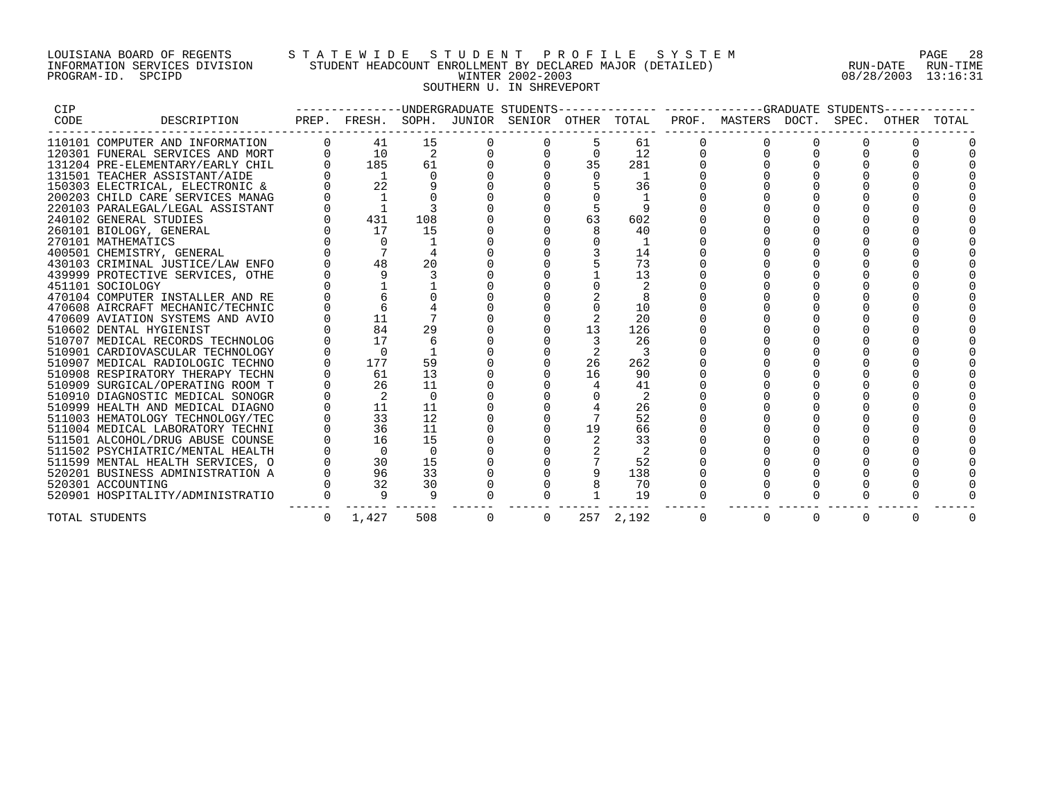## LOUISIANA BOARD OF REGENTS S T A T E W I D E S T U D E N T P R O F I L E S Y S T E M PAGE 28 INFORMATION SERVICES DIVISION STUDENT HEADCOUNT ENROLLMENT BY DECLARED MAJOR (DETAILED) RUN-DATE RUN-TIME PROGRAM-ID. SPCIPD WINTER 2002-2003 08/28/2003 13:16:31 SOUTHERN U. IN SHREVEPORT

| CIP  |                                  |   |                |                |              |    |           | --------------UNDERGRADUATE STUDENTS-------------- ------------GRADUATE STUDENTS------------ |          |          |                   |  |
|------|----------------------------------|---|----------------|----------------|--------------|----|-----------|----------------------------------------------------------------------------------------------|----------|----------|-------------------|--|
| CODE | DESCRIPTION                      |   |                |                |              |    |           | PREP. FRESH. SOPH. JUNIOR SENIOR OTHER TOTAL PROF. MASTERS DOCT.                             |          |          | SPEC. OTHER TOTAL |  |
|      | 110101 COMPUTER AND INFORMATION  |   | 41             | 15             |              |    | 61        |                                                                                              |          |          |                   |  |
|      | 120301 FUNERAL SERVICES AND MORT |   | 10             | 2              |              |    | 12        |                                                                                              |          |          |                   |  |
|      | 131204 PRE-ELEMENTARY/EARLY CHIL |   | 185            | 61             |              | 35 | 281       |                                                                                              |          |          |                   |  |
|      | 131501 TEACHER ASSISTANT/AIDE    |   | $\mathbf{1}$   |                |              |    | 1         |                                                                                              |          |          |                   |  |
|      | 150303 ELECTRICAL, ELECTRONIC &  |   | 22             |                |              |    | 36        |                                                                                              |          |          |                   |  |
|      | 200203 CHILD CARE SERVICES MANAG |   |                |                |              |    |           |                                                                                              |          |          |                   |  |
|      | 220103 PARALEGAL/LEGAL ASSISTANT |   |                |                |              |    |           |                                                                                              |          |          |                   |  |
|      | 240102 GENERAL STUDIES           |   | 431            | 108            |              | 63 | 602       |                                                                                              |          |          |                   |  |
|      | 260101 BIOLOGY, GENERAL          |   | 17             | 15             |              |    | 40        |                                                                                              |          |          |                   |  |
|      | 270101 MATHEMATICS               |   |                |                |              |    |           |                                                                                              |          |          |                   |  |
|      | 400501 CHEMISTRY, GENERAL        |   |                |                |              |    | 14        |                                                                                              |          |          |                   |  |
|      | 430103 CRIMINAL JUSTICE/LAW ENFO |   | 48             | 20             |              |    | 73        |                                                                                              |          |          |                   |  |
|      | 439999 PROTECTIVE SERVICES, OTHE |   |                |                |              |    | 13        |                                                                                              |          |          |                   |  |
|      | 451101 SOCIOLOGY                 |   |                |                |              |    |           |                                                                                              |          |          |                   |  |
|      | 470104 COMPUTER INSTALLER AND RE |   |                |                |              |    |           |                                                                                              |          |          |                   |  |
|      | 470608 AIRCRAFT MECHANIC/TECHNIC |   |                |                |              |    | 10        |                                                                                              |          |          |                   |  |
|      | 470609 AVIATION SYSTEMS AND AVIO |   | 11             |                |              |    | 20        |                                                                                              |          |          |                   |  |
|      | 510602 DENTAL HYGIENIST          |   | 84             | 29             |              | 13 | 126       |                                                                                              |          |          |                   |  |
|      | 510707 MEDICAL RECORDS TECHNOLOG |   | 17             | 6              |              |    | 26        |                                                                                              |          |          |                   |  |
|      | 510901 CARDIOVASCULAR TECHNOLOGY |   | $\Omega$       |                |              | 2  | 3         |                                                                                              |          |          |                   |  |
|      | 510907 MEDICAL RADIOLOGIC TECHNO |   | 177            | 59             |              | 26 | 262       |                                                                                              |          |          |                   |  |
|      | 510908 RESPIRATORY THERAPY TECHN |   | 61             | 13             |              | 16 | 90        |                                                                                              |          |          |                   |  |
|      | 510909 SURGICAL/OPERATING ROOM T |   | 26             | 11             |              |    | 41        |                                                                                              |          |          |                   |  |
|      | 510910 DIAGNOSTIC MEDICAL SONOGR |   |                | 0              |              |    |           |                                                                                              |          |          |                   |  |
|      | 510999 HEALTH AND MEDICAL DIAGNO |   | 11             | 11             |              |    | 26        |                                                                                              |          |          |                   |  |
|      | 511003 HEMATOLOGY TECHNOLOGY/TEC |   | 33             | 12             |              |    | 52        |                                                                                              |          |          |                   |  |
|      | 511004 MEDICAL LABORATORY TECHNI |   | 36             | 11             |              | 19 | 66        |                                                                                              |          |          |                   |  |
|      | 511501 ALCOHOL/DRUG ABUSE COUNSE |   | 16             | 15             |              |    | 33        |                                                                                              |          |          |                   |  |
|      | 511502 PSYCHIATRIC/MENTAL HEALTH |   | $\overline{0}$ | $\overline{0}$ |              |    |           |                                                                                              |          |          |                   |  |
|      | 511599 MENTAL HEALTH SERVICES, O |   | 30             | 15             |              |    | 52        |                                                                                              |          |          |                   |  |
|      | 520201 BUSINESS ADMINISTRATION A |   | 96             | 33             |              |    | 138       |                                                                                              |          |          |                   |  |
|      | 520301 ACCOUNTING                |   | 32             | 30             |              |    | -70       |                                                                                              |          |          |                   |  |
|      | 520901 HOSPITALITY/ADMINISTRATIO |   |                |                |              |    | 19        |                                                                                              |          |          |                   |  |
|      | TOTAL STUDENTS                   | 0 | 1,427          | 508            | $\mathbf{0}$ |    | 257 2,192 | $\Omega$                                                                                     | $\Omega$ | $\Omega$ |                   |  |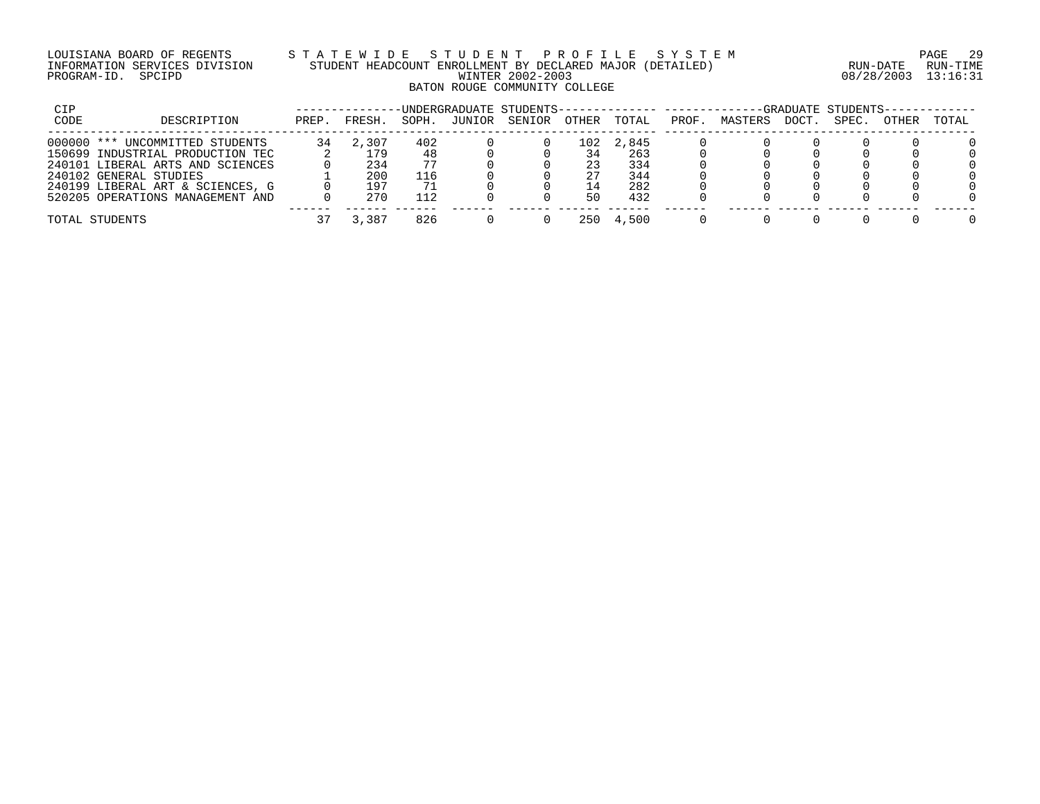## LOUISIANA BOARD OF REGENTS S T A T E W I D E S T U D E N T P R O F I L E S Y S T E M PAGE 29 INFORMATION SERVICES DIVISION STUDENT HEADCOUNT ENROLLMENT BY DECLARED MAJOR (DETAILED) RUN-DATE RUN-TIME PROGRAM-ID. SPCIPD WINTER 2002-2003 08/28/2003 13:16:31 BATON ROUGE COMMUNITY COLLEGE

| CIP  |                                  |       |        |       |        | -UNDERGRADUATE STUDENTS-------------- --------- |       |       |       |         |      | -GRADUATE STUDENTS- |       |       |
|------|----------------------------------|-------|--------|-------|--------|-------------------------------------------------|-------|-------|-------|---------|------|---------------------|-------|-------|
| CODE | DESCRIPTION                      | PREP. | FRESH. | SOPH. | JUNIOR | SENIOR                                          | OTHER | TOTAL | PROF. | MASTERS | DOCT | SPEC.               | OTHER | TOTAL |
|      | 000000 *** UNCOMMITTED STUDENTS  | 34    | 2,307  | 402   |        |                                                 | 102   | 2,845 |       |         |      |                     |       |       |
|      | 150699 INDUSTRIAL PRODUCTION TEC |       | 179    | 48    |        |                                                 | 34    | 263   |       |         |      |                     |       |       |
|      | 240101 LIBERAL ARTS AND SCIENCES |       | 234    |       |        |                                                 | 23    | 334   |       |         |      |                     |       |       |
|      | 240102 GENERAL STUDIES           |       | 200    | 116   |        |                                                 | 27    | 344   |       |         |      |                     |       |       |
|      | 240199 LIBERAL ART & SCIENCES, G |       | 197    |       |        |                                                 | 14    | 282   |       |         |      |                     |       |       |
|      | 520205 OPERATIONS MANAGEMENT AND |       | 270    |       |        |                                                 | 50    | 432   |       |         |      |                     |       |       |
|      | TOTAL STUDENTS                   |       | 3,387  | 826   |        |                                                 | 250   | 4,500 |       |         |      |                     |       |       |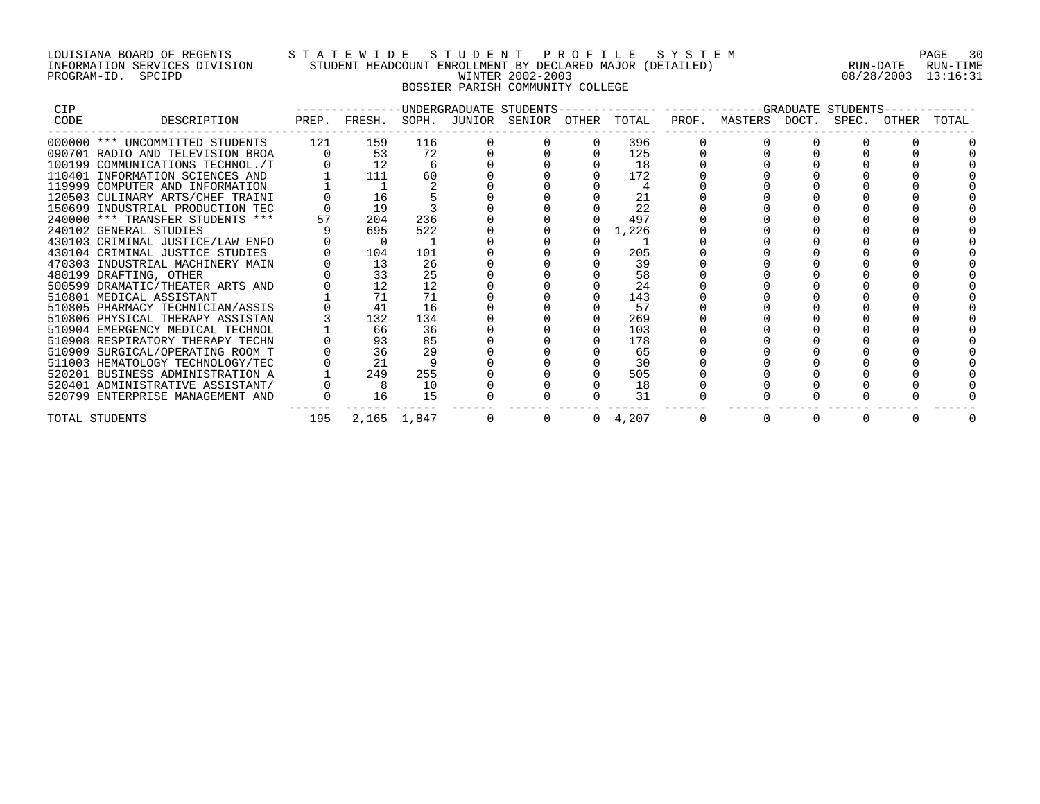## LOUISIANA BOARD OF REGENTS S T A T E W I D E S T U D E N T P R O F I L E S Y S T E M PAGE 30 INFORMATION SERVICES DIVISION STUDENT HEADCOUNT ENROLLMENT BY DECLARED MAJOR (DETAILED) RUN-DATE RUN-TIME PROGRAM-ID. SPCIPD WINTER 2002-2003 08/28/2003 13:16:31 BOSSIER PARISH COMMUNITY COLLEGE

| <b>CIP</b> |                                  |     | ------------UNDERGRADUATE STUDENTS--         |             |   |                 |                     |       |       |       |
|------------|----------------------------------|-----|----------------------------------------------|-------------|---|-----------------|---------------------|-------|-------|-------|
| CODE       | DESCRIPTION                      |     | PREP. FRESH. SOPH. JUNIOR SENIOR OTHER TOTAL |             |   |                 | PROF. MASTERS DOCT. | SPEC. | OTHER | TOTAL |
|            | 000000 *** UNCOMMITTED STUDENTS  | 121 | 159                                          | 116         |   | 396             |                     |       |       |       |
|            | 090701 RADIO AND TELEVISION BROA |     | 53                                           | 72          |   | 125             |                     |       |       |       |
|            | 100199 COMMUNICATIONS TECHNOL./T |     |                                              |             |   | 18              |                     |       |       |       |
|            | 110401 INFORMATION SCIENCES AND  |     | 111                                          | 60          |   | 172             |                     |       |       |       |
|            | 119999 COMPUTER AND INFORMATION  |     |                                              |             |   |                 |                     |       |       |       |
|            | 120503 CULINARY ARTS/CHEF TRAINI |     | 16                                           |             |   | 21              |                     |       |       |       |
|            | 150699 INDUSTRIAL PRODUCTION TEC |     | 19                                           |             |   | 22              |                     |       |       |       |
|            | 240000 *** TRANSFER STUDENTS *** | 57  | 204                                          | 236         |   | 497             |                     |       |       |       |
|            | 240102 GENERAL STUDIES           |     | 695                                          | 522         |   | 1,226           |                     |       |       |       |
|            | 430103 CRIMINAL JUSTICE/LAW ENFO |     | $\Omega$                                     |             |   |                 |                     |       |       |       |
|            | 430104 CRIMINAL JUSTICE STUDIES  |     | 104                                          | 101         |   | 205             |                     |       |       |       |
|            | 470303 INDUSTRIAL MACHINERY MAIN |     | 13                                           | 26          |   | 39              |                     |       |       |       |
|            | 480199 DRAFTING, OTHER           |     | 33                                           | 25          |   | 58              |                     |       |       |       |
|            | 500599 DRAMATIC/THEATER ARTS AND |     | 12                                           | 12          |   | 24              |                     |       |       |       |
|            | 510801 MEDICAL ASSISTANT         |     | 71                                           | 71          |   | 143             |                     |       |       |       |
|            | 510805 PHARMACY TECHNICIAN/ASSIS |     | 41                                           | 16          |   | 57              |                     |       |       |       |
|            | 510806 PHYSICAL THERAPY ASSISTAN |     | 132                                          | 134         |   | 269             |                     |       |       |       |
|            | 510904 EMERGENCY MEDICAL TECHNOL |     | 66                                           | 36          |   | 103             |                     |       |       |       |
|            | 510908 RESPIRATORY THERAPY TECHN |     | 93                                           | 85          |   | 178             |                     |       |       |       |
|            | 510909 SURGICAL/OPERATING ROOM T |     | 36                                           | 29          |   | 65              |                     |       |       |       |
|            | 511003 HEMATOLOGY TECHNOLOGY/TEC |     | 21                                           |             |   | 30              |                     |       |       |       |
|            | 520201 BUSINESS ADMINISTRATION A |     | 249                                          | 255         |   | 505             |                     |       |       |       |
|            | 520401 ADMINISTRATIVE ASSISTANT/ |     |                                              | 10          |   | 18              |                     |       |       |       |
|            | 520799 ENTERPRISE MANAGEMENT AND |     | 16                                           | 15          |   | 31              |                     |       |       |       |
|            | TOTAL STUDENTS                   | 195 |                                              | 2,165 1,847 | 0 | $0 \quad 4,207$ |                     |       |       |       |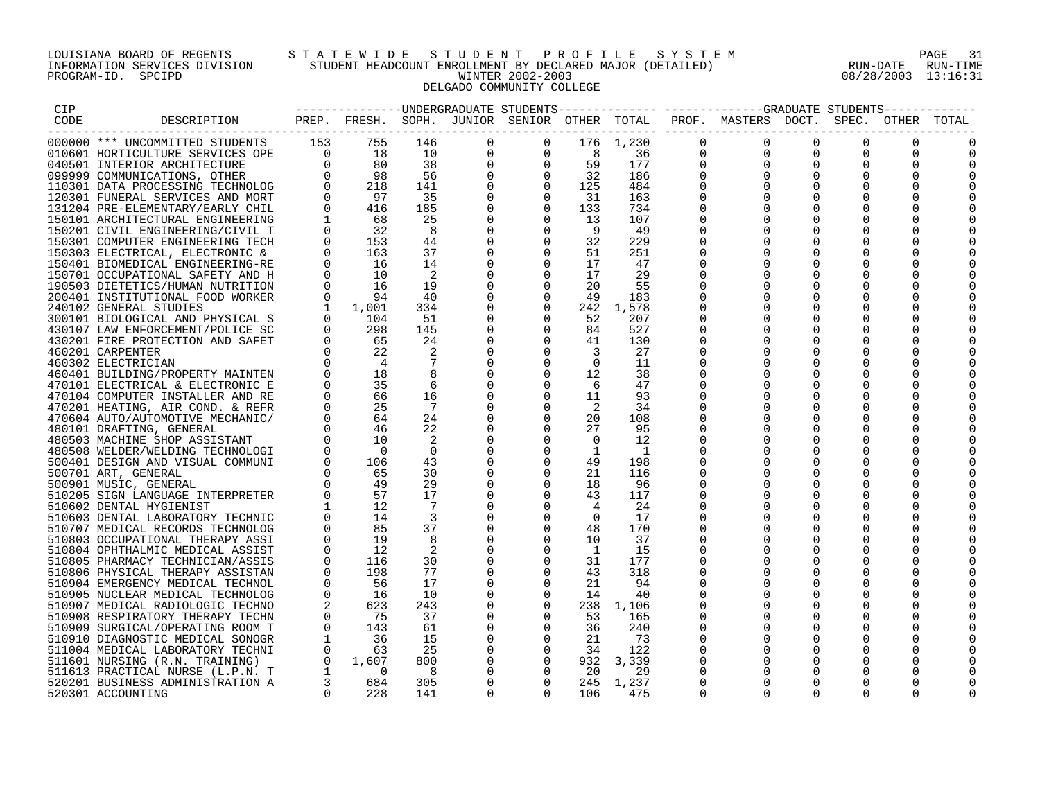# LOUISIANA BOARD OF REGENTS STATEWIDE STUDENT PROFILE SYSTEM NAGE 31 INFORMATION SERVICES DIVISION STUDENT HEADCOUNT ENROLLMENT BY DECLARED MAJOR (DETAILED) RUN-DATE RUN-DATE RUN-TIME<br>PROGRAM-ID. SPCIPD 808/28/2003 13:16:31 DELGADO COMMUNITY COLLEGE

08/28/2003 13:16:31

| CIP  |                                  |              |                                                                                 |                            |              |                |                 |                          |             | -------------DNDERGRADUATE STUDENTS------------- ----------GRADUATE STUDENTS----------- |             |             |          |  |
|------|----------------------------------|--------------|---------------------------------------------------------------------------------|----------------------------|--------------|----------------|-----------------|--------------------------|-------------|-----------------------------------------------------------------------------------------|-------------|-------------|----------|--|
| CODE | DESCRIPTION                      |              |                                                                                 |                            |              |                |                 |                          |             | PREP. FRESH. SOPH. JUNIOR SENIOR OTHER TOTAL PROF. MASTERS DOCT. SPEC. OTHER TOTAL      |             |             |          |  |
|      |                                  |              |                                                                                 |                            |              |                |                 |                          |             |                                                                                         |             |             |          |  |
|      | 000000 *** UNCOMMITTED STUDENTS  | 153          | 755                                                                             | 146                        | 0            | $\mathbf 0$    |                 | 176 1,230                | $\mathbf 0$ | $\Omega$                                                                                | $\Omega$    | $\Omega$    |          |  |
|      |                                  |              |                                                                                 | 10                         | 0            | 0              | 8               | - 36                     | 0           | $\mathbf{0}$                                                                            | 0           | 0           |          |  |
|      |                                  |              |                                                                                 | 38                         | $\mathsf{O}$ | $\Omega$       | 59              | 177                      | 0           | $\overline{0}$                                                                          | $\Omega$    | $\Omega$    | $\Omega$ |  |
|      |                                  |              |                                                                                 | 56                         | $\mathbf 0$  | $\Omega$       | $\overline{32}$ | 186                      | $\Omega$    | $\Omega$                                                                                | $\Omega$    | $\Omega$    |          |  |
|      |                                  |              | $\begin{bmatrix} 0 & 18 \\ 0 & 80 \\ 0 & 98 \\ 0 & 218 \\ 0 & 97 \end{bmatrix}$ | 141                        | $\mathbf 0$  | $\Omega$       | 125             | 484                      | $\Omega$    |                                                                                         |             |             |          |  |
|      |                                  |              |                                                                                 | 35                         | 0            | $\Omega$       | 31              | 163                      | $\Omega$    | $\Omega$                                                                                | $\mathbf 0$ | $\Omega$    |          |  |
|      |                                  |              | 416                                                                             | 185                        | $\mathbf 0$  | $\Omega$       | 133             | 734                      | $\Omega$    | $\Omega$                                                                                | $\Omega$    | $\Omega$    |          |  |
|      |                                  |              | 68                                                                              | 25                         | $\mathbf 0$  | $\Omega$       | 13              | 107                      | $\Omega$    | $\Omega$                                                                                | $\Omega$    | $\Omega$    |          |  |
|      |                                  |              | 32                                                                              | 8                          | $\mathsf 0$  | $\Omega$       | - 9             | - 49                     | 0           | $\mathbf 0$                                                                             | $\mathbf 0$ | $\mathbf 0$ |          |  |
|      |                                  |              | 153                                                                             | 44                         | 0            | $\Omega$       | 32              | 229                      |             |                                                                                         | 0           | 0           |          |  |
|      |                                  |              |                                                                                 | 37                         |              | $\Omega$       |                 |                          |             | $\Omega$                                                                                |             | $\Omega$    |          |  |
|      |                                  |              | 163                                                                             |                            | $\mathbf 0$  |                | 51              | 251                      | $\Omega$    | $\Omega$                                                                                |             |             |          |  |
|      |                                  |              | 16                                                                              | 14                         | 0            | $\Omega$       | 17              | 47                       | $\Omega$    |                                                                                         | $\Omega$    | $\Omega$    |          |  |
|      |                                  |              | 10                                                                              | $\overline{\phantom{0}}^2$ | 0            | $\mathbf{0}$   | 17              | 29                       | 0           |                                                                                         |             |             |          |  |
|      |                                  |              | 16                                                                              | 19                         | $\mathbf 0$  | $\Omega$       | 20              | 55                       |             | $\Omega$                                                                                | $\Omega$    | $\Omega$    |          |  |
|      |                                  |              | 94                                                                              | 40                         | 0            | $\Omega$       | 49              | 183                      | $\Omega$    |                                                                                         |             | $\Omega$    |          |  |
|      |                                  |              | 1,001                                                                           | 334                        | $\mathbf 0$  | $\Omega$       |                 | 242 1,578                | $\Omega$    |                                                                                         | $\Omega$    | $\Omega$    |          |  |
|      |                                  |              | $\begin{matrix}0\\0\end{matrix}$<br>104                                         | 51                         | $\mathbf 0$  | $\overline{0}$ | 52              | 207                      | 0           | $\Omega$                                                                                | $\mathbf 0$ | $\mathbf 0$ |          |  |
|      |                                  |              | 298                                                                             | 145                        | 0            | $\Omega$       | 84              | 527                      | 0           |                                                                                         |             | $\Omega$    |          |  |
|      |                                  |              | 65                                                                              | 24                         | 0            | $\Omega$       | 41              | 130                      | $\Omega$    | $\Omega$                                                                                | $\Omega$    | $\Omega$    |          |  |
|      | 460201 CARPENTER                 | $\Omega$     | 22                                                                              |                            | 0            | $\Omega$       | $\overline{3}$  | 27                       | $\Omega$    | $\Omega$                                                                                | $\Omega$    | $\Omega$    |          |  |
|      | 460302 ELECTRICIAN               |              |                                                                                 |                            | 0            | $\Omega$       | $\Omega$        | 11                       |             | $\Omega$                                                                                | $\mathbf 0$ | $\mathbf 0$ |          |  |
|      | 460401 BUILDING/PROPERTY MAINTEN |              | 18                                                                              |                            | $\mathbf 0$  |                | 12              | 38                       | 0           | $\mathbf 0$                                                                             | $\mathbf 0$ | 0           |          |  |
|      | 470101 ELECTRICAL & ELECTRONIC E |              | 35                                                                              |                            | 0            |                | 6               | 47                       | $\Omega$    |                                                                                         | $\Omega$    | $\Omega$    |          |  |
|      | 470104 COMPUTER INSTALLER AND RE |              | 66                                                                              | 16                         | $\mathbf 0$  | $\Omega$       | 11              | 93                       |             |                                                                                         | $\Omega$    | $\Omega$    |          |  |
|      | 470201 HEATING, AIR COND. & REFR | 0            | 25                                                                              | $\overline{7}$             | $\mathbf 0$  | $\Omega$       | 2               | 34                       | $\Omega$    | $\Omega$                                                                                | $\Omega$    | $\Omega$    |          |  |
|      | 470604 AUTO/AUTOMOTIVE MECHANIC/ | $\Omega$     | 64                                                                              | 24                         | 0            | $\Omega$       | 20              | 108                      | $\Omega$    | $\Omega$                                                                                |             | $\Omega$    |          |  |
|      | 480101 DRAFTING, GENERAL         |              | 46                                                                              | 22                         | 0            |                | 27              | 95                       |             | $\Omega$                                                                                | $\Omega$    | $\Omega$    |          |  |
|      | 480503 MACHINE SHOP ASSISTANT    |              | 10                                                                              |                            | 0            | $\Omega$       | $\Omega$        | 12                       |             |                                                                                         |             | $\Omega$    |          |  |
|      | 480508 WELDER/WELDING TECHNOLOGI |              | $\bigcap$                                                                       | $\Omega$                   | 0            | $\Omega$       | $\mathbf{1}$    | $\overline{\phantom{0}}$ |             |                                                                                         | $\Omega$    | $\Omega$    |          |  |
|      | 500401 DESIGN AND VISUAL COMMUNI | $\Omega$     | 106                                                                             | 43                         | $\mathbf 0$  | $\overline{0}$ | 49              | 198                      | $\Omega$    | $\Omega$                                                                                | 0           | 0           |          |  |
|      |                                  |              | 65                                                                              |                            |              | $\Omega$       |                 |                          |             |                                                                                         |             |             |          |  |
|      | 500701 ART, GENERAL              |              | 49                                                                              | 30                         | $\mathbf 0$  | $\Omega$       | 21              | 116                      | $\Omega$    |                                                                                         |             |             |          |  |
|      | 500901 MUSIC, GENERAL            |              |                                                                                 | 29                         | $\mathbf 0$  |                | 18              | - 96                     | $\Omega$    | $\Omega$                                                                                | $\Omega$    | $\Omega$    |          |  |
|      | 510205 SIGN LANGUAGE INTERPRETER | $\Omega$     | 57                                                                              | 17                         | 0            | $\Omega$       | 43              | 117                      |             | $\Omega$                                                                                | $\Omega$    | $\Omega$    |          |  |
|      | 510602 DENTAL HYGIENIST          |              | 12                                                                              | 7                          | 0            | $\Omega$       | 4               | 24                       |             | $\Omega$                                                                                | $\Omega$    | $\Omega$    |          |  |
|      | 510603 DENTAL LABORATORY TECHNIC |              | 14                                                                              | $\overline{\mathbf{3}}$    | $\mathbf 0$  | $\Omega$       | $\Omega$        | 17                       | $\Omega$    | $\Omega$                                                                                | $\Omega$    | $\Omega$    |          |  |
|      | 510707 MEDICAL RECORDS TECHNOLOG |              | 85                                                                              | 37                         | 0            | $\mathbf 0$    | 48              | 170                      |             | $\Omega$                                                                                | $\mathbf 0$ | $\mathbf 0$ |          |  |
|      | 510803 OCCUPATIONAL THERAPY ASSI |              | 19                                                                              |                            | 0            | $\Omega$       | 10              | 37                       |             |                                                                                         | $\Omega$    | 0           |          |  |
|      | 510804 OPHTHALMIC MEDICAL ASSIST | $\Omega$     | 12                                                                              |                            | $\mathbf 0$  | $\Omega$       | $\overline{1}$  | 15                       | $\Omega$    | $\Omega$                                                                                | $\Omega$    | $\Omega$    |          |  |
|      | 510805 PHARMACY TECHNICIAN/ASSIS | $\Omega$     | 116                                                                             | 30                         | $\mathbf 0$  | $\Omega$       | 31              | 177                      | $\Omega$    |                                                                                         |             |             |          |  |
|      | 510806 PHYSICAL THERAPY ASSISTAN | $\Omega$     | 198                                                                             | 77                         | 0            | $\Omega$       | 43              | 318                      |             | $\Omega$                                                                                | $\mathbf 0$ | $\mathbf 0$ |          |  |
|      | 510904 EMERGENCY MEDICAL TECHNOL | $\Omega$     | - 56                                                                            | 17                         | 0            | $\Omega$       | 21              | 94                       | 0           | $\Omega$                                                                                | $\Omega$    | $\Omega$    |          |  |
|      | 510905 NUCLEAR MEDICAL TECHNOLOG | $\Omega$     | 16                                                                              | 10                         | 0            | $\Omega$       | 14              | 40                       |             | $\Omega$                                                                                | $\Omega$    | $\Omega$    |          |  |
|      | 510907 MEDICAL RADIOLOGIC TECHNO |              | 623                                                                             | 243                        | $\mathbf 0$  | $\Omega$       |                 | 238 1,106                | $\Omega$    | $\Omega$                                                                                | $\Omega$    | $\Omega$    |          |  |
|      | 510908 RESPIRATORY THERAPY TECHN |              | 75                                                                              | 37                         | 0            | $\Omega$       | 53              | 165                      | 0           |                                                                                         |             | $\mathbf 0$ |          |  |
|      | 510909 SURGICAL/OPERATING ROOM T | $\mathbf{0}$ | 143                                                                             | 61                         | 0            | $\Omega$       | 36              | 240                      | 0           | 0                                                                                       | 0           | 0           |          |  |
|      | 510910 DIAGNOSTIC MEDICAL SONOGR | 1            | 36                                                                              | 15                         | 0            | $\Omega$       | 21              | 73                       | $\Omega$    | $\Omega$                                                                                | $\Omega$    | $\Omega$    |          |  |
|      | 511004 MEDICAL LABORATORY TECHNI |              | $\Omega$<br>63                                                                  | 25                         | $\mathbf 0$  | $\Omega$       | 34              | 122                      | $\Omega$    | $\Omega$                                                                                | $\Omega$    | $\Omega$    |          |  |
|      | 511601 NURSING (R.N. TRAINING)   |              | $0 \t 1,607$                                                                    | 800                        | $\mathbf 0$  | $\overline{0}$ |                 | 932 3,339                | 0           | $\mathbf 0$                                                                             | $\mathbf 0$ | $\mathbf 0$ |          |  |
|      | 511613 PRACTICAL NURSE (L.P.N. T |              | $1 \quad$<br>$\overline{0}$                                                     | 8                          | 0            | $\Omega$       | -20             | 29                       | 0           | $\Omega$                                                                                | $\Omega$    | $\Omega$    |          |  |
|      | 520201 BUSINESS ADMINISTRATION A |              | $3 \sim$<br>684                                                                 | 305                        | $\mathbf 0$  | $\Omega$       |                 | 245 1,237                | $\Omega$    | $\Omega$                                                                                | $\Omega$    | $\Omega$    |          |  |
|      |                                  | $\Omega$     |                                                                                 |                            | $\Omega$     | $\Omega$       |                 |                          | $\Omega$    | $\Omega$                                                                                | $\Omega$    | $\Omega$    | ∩        |  |
|      | 520301 ACCOUNTING                |              | 228                                                                             | 141                        |              |                | 106             | 475                      |             |                                                                                         |             |             |          |  |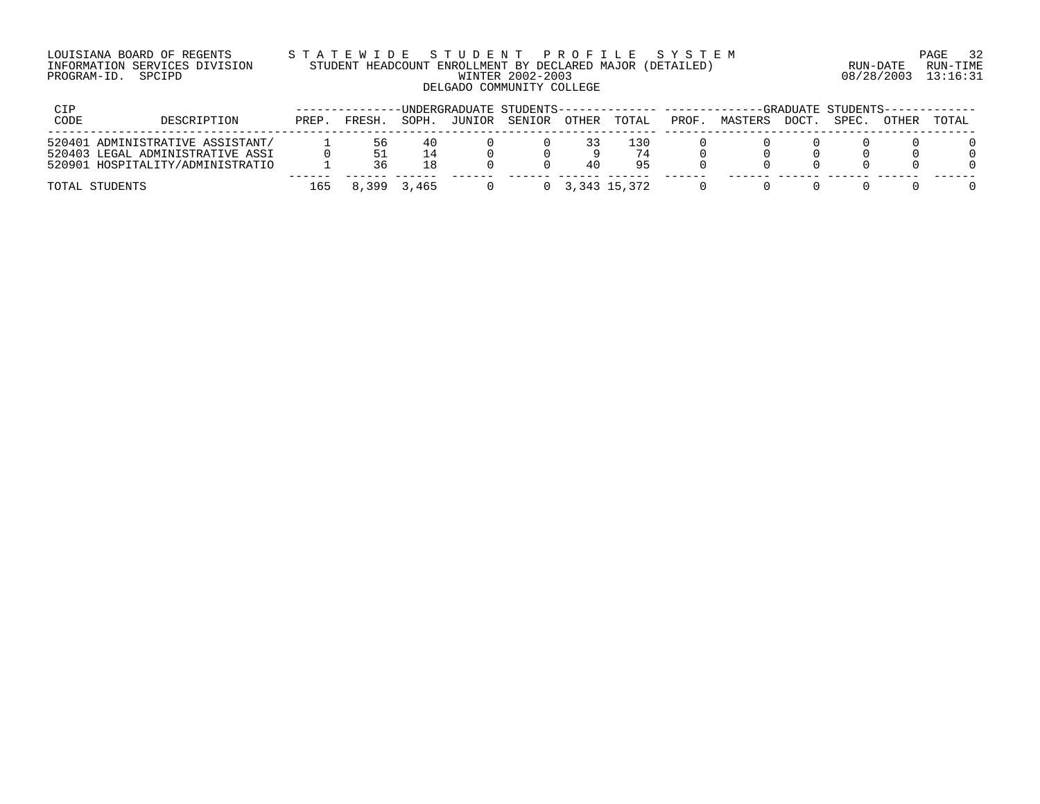## LOUISIANA BOARD OF REGENTS S T A T E W I D E S T U D E N T P R O F I L E S Y S T E M PAGE 32 INFORMATION SERVICES DIVISION STUDENT HEADCOUNT ENROLLMENT BY DECLARED MAJOR (DETAILED) RUN-DATE RUN-TIME PROGRAM-ID. SPCIPD WINTER 2002-2003 08/28/2003 13:16:31 DELGADO COMMUNITY COLLEGE

| CIP  |                                                                                                          |       |           |             | -UNDERGRADUATE STUDENTS-------------- ------- |        |       |                            |       |         |       | -GRADUATE STUDENTS-- |       |       |
|------|----------------------------------------------------------------------------------------------------------|-------|-----------|-------------|-----------------------------------------------|--------|-------|----------------------------|-------|---------|-------|----------------------|-------|-------|
| CODE | DESCRIPTION                                                                                              | PREP. | FRESH.    | SOPH.       | JUNIOR                                        | SENIOR | OTHER | TOTAL                      | PROF. | MASTERS | DOCT. | SPEC.                | OTHER | TOTAL |
|      | 520401 ADMINISTRATIVE ASSISTANT/<br>520403 LEGAL ADMINISTRATIVE ASSI<br>520901 HOSPITALITY/ADMINISTRATIO |       | 56.<br>36 | 40<br>1 R   |                                               |        | 40    | -30<br>95                  |       |         |       |                      |       |       |
|      | TOTAL STUDENTS                                                                                           | 165   |           | 8,399 3,465 |                                               |        |       | $0\quad 3,343\quad 15,372$ |       |         |       |                      |       |       |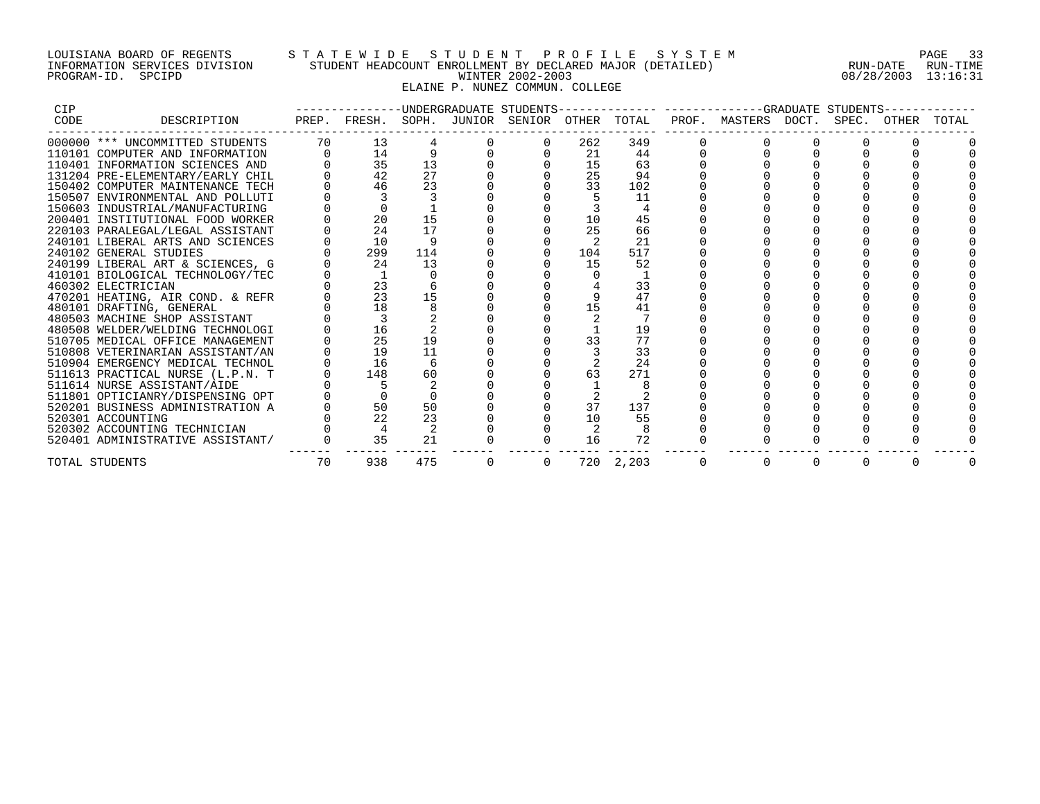## LOUISIANA BOARD OF REGENTS S T A T E W I D E S T U D E N T P R O F I L E S Y S T E M PAGE 33 INFORMATION SERVICES DIVISION STUDENT HEADCOUNT ENROLLMENT BY DECLARED MAJOR (DETAILED) RUN-DATE RUN-TIME PROGRAM-ID. SPCIPD WINTER 2002-2003 08/28/2003 13:16:31 ELAINE P. NUNEZ COMMUN. COLLEGE

| <b>CIP</b> |                                  |    |                 |     | -------------UNDERGRADUATE STUDENTS-- |     |           | ------------GRADUATE STUDENTS-                                               |          |          |       |
|------------|----------------------------------|----|-----------------|-----|---------------------------------------|-----|-----------|------------------------------------------------------------------------------|----------|----------|-------|
| CODE       | DESCRIPTION                      |    |                 |     |                                       |     |           | PREP. FRESH. SOPH. JUNIOR SENIOR OTHER TOTAL PROF. MASTERS DOCT. SPEC. OTHER |          |          | TOTAL |
|            | 000000 *** UNCOMMITTED STUDENTS  | 70 | 13 <sup>°</sup> |     |                                       | 262 | 349       |                                                                              |          |          |       |
|            | 110101 COMPUTER AND INFORMATION  |    | 14              |     |                                       | 21  | 44        |                                                                              |          |          |       |
|            | 110401 INFORMATION SCIENCES AND  |    | 35              | 13  |                                       | 15  | 63        |                                                                              |          |          |       |
|            | 131204 PRE-ELEMENTARY/EARLY CHIL |    | 42              | 27  |                                       | 25  | 94        |                                                                              |          |          |       |
|            | 150402 COMPUTER MAINTENANCE TECH |    | 46              | 23  |                                       | 33  | 102       |                                                                              |          |          |       |
|            | 150507 ENVIRONMENTAL AND POLLUTI |    |                 |     |                                       |     | 11        |                                                                              |          |          |       |
|            | 150603 INDUSTRIAL/MANUFACTURING  |    |                 |     |                                       |     |           |                                                                              |          |          |       |
|            | 200401 INSTITUTIONAL FOOD WORKER |    | 20              | 15  |                                       | 10  | 45        |                                                                              |          |          |       |
|            | 220103 PARALEGAL/LEGAL ASSISTANT |    | 24              | 17  |                                       | 25  | 66        |                                                                              |          |          |       |
|            | 240101 LIBERAL ARTS AND SCIENCES |    | 10              |     |                                       |     | 21        |                                                                              |          |          |       |
|            | 240102 GENERAL STUDIES           |    | 299             | 114 |                                       | 104 | 517       |                                                                              |          |          |       |
|            | 240199 LIBERAL ART & SCIENCES, G |    | 24              | 13  |                                       | 15  | 52        |                                                                              |          |          |       |
|            | 410101 BIOLOGICAL TECHNOLOGY/TEC |    |                 |     |                                       |     |           |                                                                              |          |          |       |
|            | 460302 ELECTRICIAN               |    | 23              |     |                                       |     | 33        |                                                                              |          |          |       |
|            | 470201 HEATING, AIR COND. & REFR |    | 23              | 15  |                                       |     | 47        |                                                                              |          |          |       |
|            | 480101 DRAFTING, GENERAL         |    | 18              |     |                                       | 15  | 41        |                                                                              |          |          |       |
|            | 480503 MACHINE SHOP ASSISTANT    |    |                 |     |                                       |     |           |                                                                              |          |          |       |
|            | 480508 WELDER/WELDING TECHNOLOGI |    | 16              |     |                                       |     | 19        |                                                                              |          |          |       |
|            | 510705 MEDICAL OFFICE MANAGEMENT |    | 25              | 19  |                                       |     | 77        |                                                                              |          |          |       |
|            | 510808 VETERINARIAN ASSISTANT/AN |    | 19              | 11  |                                       |     | 33        |                                                                              |          |          |       |
|            | 510904 EMERGENCY MEDICAL TECHNOL |    | 16              |     |                                       |     | 24        |                                                                              |          |          |       |
|            | 511613 PRACTICAL NURSE (L.P.N. T |    | 148             | 60  |                                       |     | 271       |                                                                              |          |          |       |
|            | 511614 NURSE ASSISTANT/AIDE      |    |                 |     |                                       |     |           |                                                                              |          |          |       |
|            | 511801 OPTICIANRY/DISPENSING OPT |    |                 |     |                                       |     |           |                                                                              |          |          |       |
|            | 520201 BUSINESS ADMINISTRATION A |    | 50              | 50  |                                       | 37  | 137       |                                                                              |          |          |       |
|            | 520301 ACCOUNTING                |    | 22              | 23  |                                       | 10  | 55        |                                                                              |          |          |       |
|            | 520302 ACCOUNTING TECHNICIAN     |    | 4               |     |                                       |     |           |                                                                              |          |          |       |
|            | 520401 ADMINISTRATIVE ASSISTANT/ |    | 35              | 21  |                                       | 16  | 72        |                                                                              |          |          |       |
|            | TOTAL STUDENTS                   | 70 | 938             | 475 | $\Omega$                              |     | 720 2,203 | $\Omega$                                                                     | $\Omega$ | $\Omega$ |       |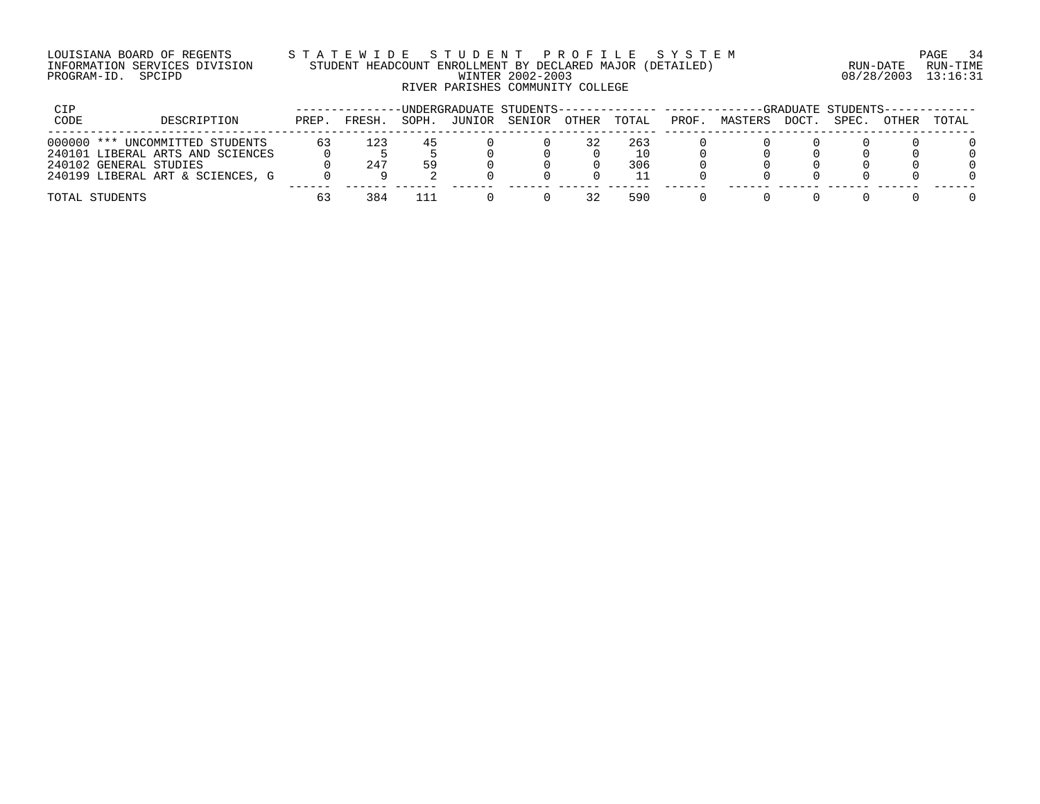#### LOUISIANA BOARD OF REGENTS S T A T E W I D E S T U D E N T P R O F I L E S Y S T E M PAGE 34 INFORMATION SERVICES DIVISION STUDENT HEADCOUNT ENROLLMENT BY DECLARED MAJOR (DETAILED) RUN-DATE RUN-TIME PROGRAM-ID. SPCIPD WINTER 2002-2003 08/28/2003 13:16:31 RIVER PARISHES COMMUNITY COLLEGE

| CIP  |                                                            |       |        |       |        | -INDERGRADUATE STUDENTS-------------- -------- |       |           |      |         |       | -GRADUATE STUDENTS-- |       |       |
|------|------------------------------------------------------------|-------|--------|-------|--------|------------------------------------------------|-------|-----------|------|---------|-------|----------------------|-------|-------|
| CODE | DESCRIPTION                                                | PREP. | FRESH. | SOPH. | JUNIOR | SENIOR                                         | OTHER | TOTAL     | PROF | MASTERS | DOCT. | SPEC.                | OTHER | TOTAL |
|      | 000000 *** UNCOMMITTED STUDENTS                            | 63    | 123    |       |        |                                                |       | 263       |      |         |       |                      |       |       |
|      | 240101 LIBERAL ARTS AND SCIENCES<br>240102 GENERAL STUDIES |       | 247    | 59    |        |                                                |       | 10<br>306 |      |         |       |                      |       |       |
|      | 240199 LIBERAL ART & SCIENCES, G                           |       |        |       |        |                                                |       |           |      |         |       |                      |       |       |
|      | TOTAL STUDENTS                                             | 63    | 384    |       |        |                                                |       | 590       |      |         |       |                      |       |       |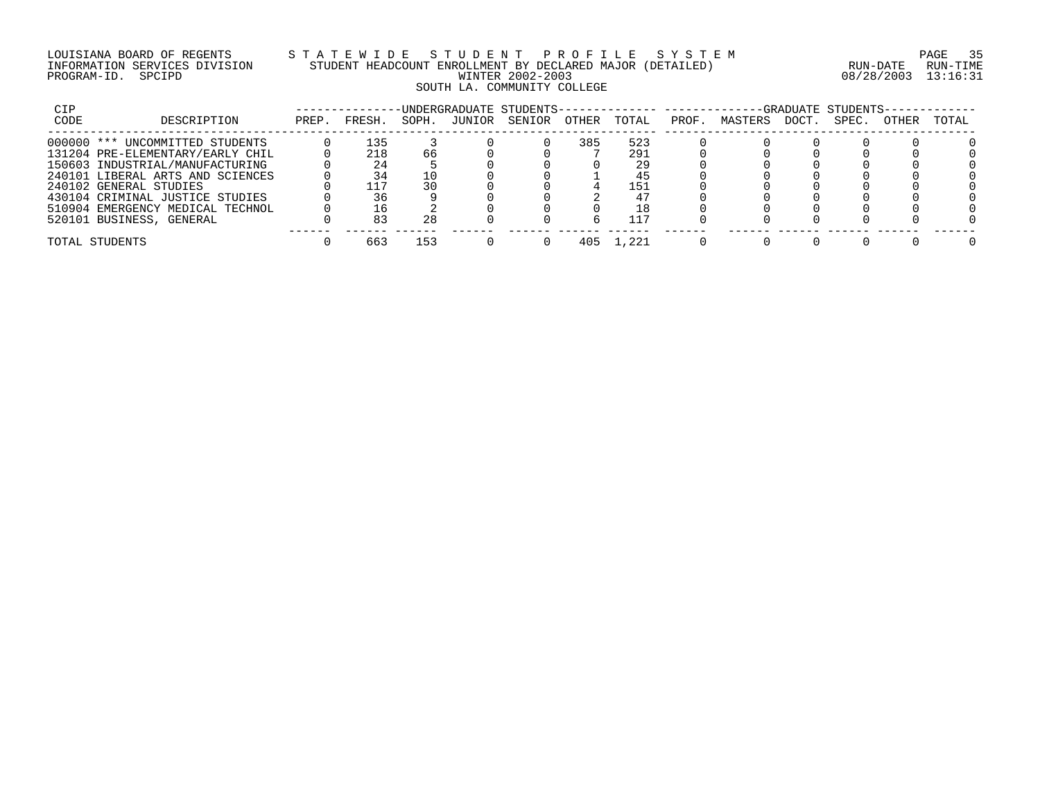## LOUISIANA BOARD OF REGENTS S T A T E W I D E S T U D E N T P R O F I L E S Y S T E M PAGE 35 INFORMATION SERVICES DIVISION STUDENT HEADCOUNT ENROLLMENT BY DECLARED MAJOR (DETAILED) RUN-DATE RUN-TIME PROGRAM-ID. SPCIPD WINTER 2002-2003 08/28/2003 13:16:31 SOUTH LA. COMMUNITY COLLEGE

| CIP  | UNDERGRADUATE STUDENTS--         |       |        |       |        |        |       |       | -GRADUATE STUDENTS- |         |       |       |       |       |  |
|------|----------------------------------|-------|--------|-------|--------|--------|-------|-------|---------------------|---------|-------|-------|-------|-------|--|
| CODE | DESCRIPTION                      | PREP. | FRESH. | SOPH. | JUNIOR | SENIOR | OTHER | TOTAL | PROF                | MASTERS | DOCT. | SPEC. | OTHER | TOTAL |  |
|      | 000000 *** UNCOMMITTED STUDENTS  |       | 135    |       |        |        | 385   | 523   |                     |         |       |       |       |       |  |
|      | 131204 PRE-ELEMENTARY/EARLY CHIL |       | 218    | 66    |        |        |       | 291   |                     |         |       |       |       |       |  |
|      | 150603 INDUSTRIAL/MANUFACTURING  |       | 24     |       |        |        |       | 29    |                     |         |       |       |       |       |  |
|      | 240101 LIBERAL ARTS AND SCIENCES |       |        |       |        |        |       |       |                     |         |       |       |       |       |  |
|      | 240102 GENERAL STUDIES           |       |        |       |        |        |       | 151   |                     |         |       |       |       |       |  |
|      | 430104 CRIMINAL JUSTICE STUDIES  |       |        |       |        |        |       |       |                     |         |       |       |       |       |  |
|      | 510904 EMERGENCY MEDICAL TECHNOL |       |        |       |        |        |       |       |                     |         |       |       |       |       |  |
|      | 520101 BUSINESS, GENERAL         |       |        | 28    |        |        |       | 117   |                     |         |       |       |       |       |  |
|      | TOTAL STUDENTS                   |       | 663    | 153   |        |        | 405   | . 221 |                     |         |       |       |       |       |  |